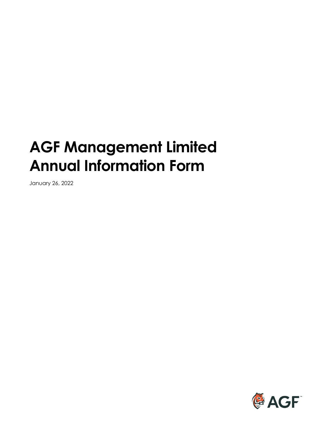# **AGF Management Limited Annual Information Form**

January 26, 2022

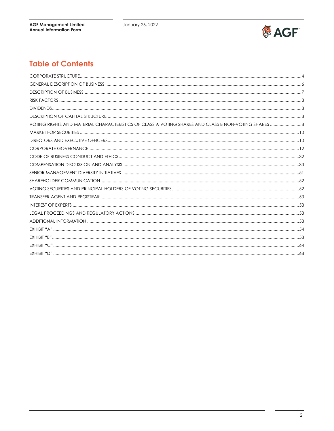

# **Table of Contents**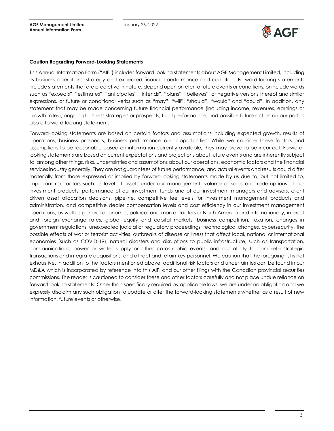

#### **Caution Regarding Forward-Looking Statements**

This Annual Information Form ("AIF") includes forward-looking statements about AGF Management Limited, including its business operations, strategy and expected financial performance and condition. Forward-looking statements include statements that are predictive in nature, depend upon or refer to future events or conditions, or include words such as "expects", "estimates", "anticipates", "intends", "plans", "believes", or negative versions thereof and similar expressions, or future or conditional verbs such as "may", "will", "should", "would" and "could". In addition, any statement that may be made concerning future financial performance (including income, revenues, earnings or growth rates), ongoing business strategies or prospects, fund performance, and possible future action on our part, is also a forward-looking statement.

Forward-looking statements are based on certain factors and assumptions including expected growth, results of operations, business prospects, business performance and opportunities. While we consider these factors and assumptions to be reasonable based on information currently available, they may prove to be incorrect. Forwardlooking statements are based on current expectations and projections about future events and are inherently subject to, among other things, risks, uncertainties and assumptions about our operations, economic factors and the financial services industry generally. They are not guarantees of future performance, and actual events and results could differ materially from those expressed or implied by forward-looking statements made by us due to, but not limited to, important risk factors such as level of assets under our management, volume of sales and redemptions of our investment products, performance of our investment funds and of our investment managers and advisors, client driven asset allocation decisions, pipeline, competitive fee levels for investment management products and administration, and competitive dealer compensation levels and cost efficiency in our investment management operations, as well as general economic, political and market factors in North America and internationally, interest and foreign exchange rates, global equity and capital markets, business competition, taxation, changes in government regulations, unexpected judicial or regulatory proceedings, technological changes, cybersecurity, the possible effects of war or terrorist activities, outbreaks of disease or illness that affect local, national or international economies (such as COVID-19), natural disasters and disruptions to public infrastructure, such as transportation, communications, power or water supply or other catastrophic events, and our ability to complete strategic transactions and integrate acquisitions, and attract and retain key personnel. We caution that the foregoing list is not exhaustive. In addition to the factors mentioned above, additional risk factors and uncertainties can be found in our MD&A which is incorporated by reference into this AIF, and our other filings with the Canadian provincial securities commissions. The reader is cautioned to consider these and other factors carefully and not place undue reliance on forward-looking statements. Other than specifically required by applicable laws, we are under no obligation and we expressly disclaim any such obligation to update or alter the forward-looking statements whether as a result of new information, future events or otherwise.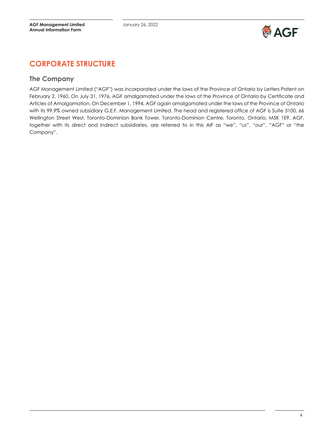

# <span id="page-3-0"></span>**CORPORATE STRUCTURE**

### **The Company**

AGF Management Limited ("AGF") was incorporated under the laws of the Province of Ontario by Letters Patent on February 2, 1960. On July 31, 1976, AGF amalgamated under the laws of the Province of Ontario by Certificate and Articles of Amalgamation. On December 1, 1994, AGF again amalgamated under the laws of the Province of Ontario with its 99.9% owned subsidiary G.E.F. Management Limited. The head and registered office of AGF is Suite 3100, 66 Wellington Street West, Toronto-Dominion Bank Tower, Toronto-Dominion Centre, Toronto, Ontario, M5K 1E9. AGF, together with its direct and indirect subsidiaries, are referred to in this AIF as "we", "us", "our", "AGF" or "the Company".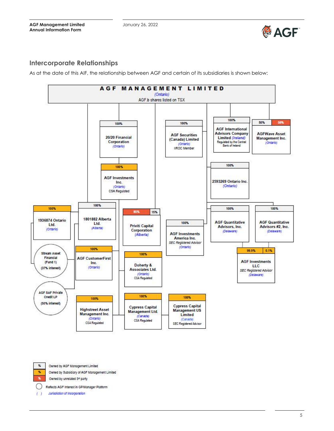

# **Intercorporate Relationships**

As at the date of this AIF, the relationship between AGF and certain of its subsidiaries is shown below:



 $\%$ x ×,

Owned by AGF Management Limited

Owned by Subsidiary of AGF Management Limited

Owned by unrelated 3<sup>et</sup> party

Reflects AGF Interest in GP/Manager Platform

Jurisdiction of incorporation  $\left( \right)$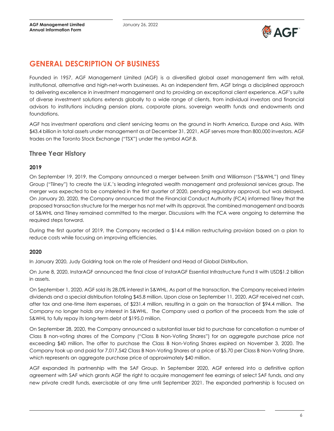

# <span id="page-5-0"></span>**GENERAL DESCRIPTION OF BUSINESS**

Founded in 1957, AGF Management Limited (AGF) is a diversified global asset management firm with retail, institutional, alternative and high-net-worth businesses. As an independent firm, AGF brings a disciplined approach to delivering excellence in investment management and to providing an exceptional client experience. AGF's suite of diverse investment solutions extends globally to a wide range of clients, from individual investors and financial advisors to institutions including pension plans, corporate plans, sovereign wealth funds and endowments and foundations.

AGF has investment operations and client servicing teams on the ground in North America, Europe and Asia. With \$43.4 billion in total assets under management as at December 31, 2021, AGF serves more than 800,000 investors. AGF trades on the Toronto Stock Exchange ("TSX") under the symbol AGF.B.

### **Three Year History**

#### **2019**

On September 19, 2019, the Company announced a merger between Smith and Williamson ("S&WHL") and Tilney Group ("Tilney") to create the U.K.'s leading integrated wealth management and professional services group. The merger was expected to be completed in the first quarter of 2020, pending regulatory approval, but was delayed. On January 20, 2020, the Company announced that the Financial Conduct Authority (FCA) informed Tilney that the proposed transaction structure for the merger has not met with its approval. The combined management and boards of S&WHL and Tilney remained committed to the merger. Discussions with the FCA were ongoing to determine the required steps forward.

During the first quarter of 2019, the Company recorded a \$14.4 million restructuring provision based on a plan to reduce costs while focusing on improving efficiencies.

#### **2020**

In January 2020, Judy Goldring took on the role of President and Head of Global Distribution.

On June 8, 2020, InstarAGF announced the final close of InstarAGF Essential Infrastructure Fund II with USD\$1.2 billion in assets.

On September 1, 2020, AGF sold its 28.0% interest in S&WHL. As part of the transaction, the Company received interim dividends and a special distribution totaling \$45.8 million. Upon close on September 11, 2020, AGF received net cash, after tax and one-time item expenses, of \$231.4 million, resulting in a gain on the transaction of \$94.4 million. The Company no longer holds any interest in S&WHL. The Company used a portion of the proceeds from the sale of S&WHL to fully repay its long-term debt of \$195.0 million.

On September 28, 2020, the Company announced a substantial issuer bid to purchase for cancellation a number of Class B non-voting shares of the Company ("Class B Non-Voting Shares") for an aggregate purchase price not exceeding \$40 million. The offer to purchase the Class B Non-Voting Shares expired on November 3, 2020. The Company took up and paid for 7,017,542 Class B Non-Voting Shares at a price of \$5.70 per Class B Non-Voting Share, which represents an aggregate purchase price of approximately \$40 million.

AGF expanded its partnership with the SAF Group. In September 2020, AGF entered into a definitive option agreement with SAF which grants AGF the right to acquire management fee earnings of select SAF funds, and any new private credit funds, exercisable at any time until September 2021. The expanded partnership is focused on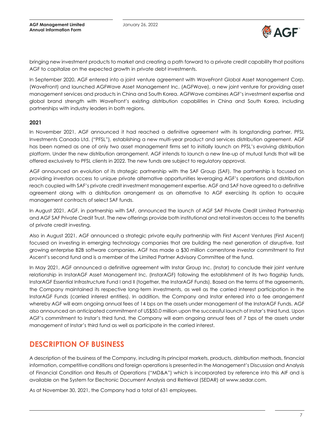

bringing new investment products to market and creating a path forward to a private credit capability that positions AGF to capitalize on the expected growth in private debt investments.

In September 2020, AGF entered into a joint venture agreement with WaveFront Global Asset Management Corp. (WaveFront) and launched AGFWave Asset Management Inc. (AGFWave), a new joint venture for providing asset management services and products in China and South Korea. AGFWave combines AGF's investment expertise and global brand strength with WaveFront's existing distribution capabilities in China and South Korea, including partnerships with industry leaders in both regions.

#### **2021**

In November 2021, AGF announced it had reached a definitive agreement with its longstanding partner, PFSL Investments Canada Ltd. ("PFSL"), establishing a new multi-year product and services distribution agreement. AGF has been named as one of only two asset management firms set to initially launch on PFSL's evolving distribution platform. Under the new distribution arrangement, AGF intends to launch a new line-up of mutual funds that will be offered exclusively to PFSL clients in 2022. The new funds are subject to regulatory approval.

AGF announced an evolution of its strategic partnership with the SAF Group (SAF). The partnership is focused on providing investors access to unique private alternative opportunities leveraging AGF's operations and distribution reach coupled with SAF's private credit investment management expertise. AGF and SAF have agreed to a definitive agreement along with a distribution arrangement as an alternative to AGF exercising its option to acquire management contracts of select SAF funds.

In August 2021, AGF, in partnership with SAF, announced the launch of AGF SAF Private Credit Limited Partnership and AGF SAF Private Credit Trust. The new offerings provide both institutional and retail investors access to the benefits of private credit investing.

Also in August 2021, AGF announced a strategic private equity partnership with First Ascent Ventures (First Ascent) focused on investing in emerging technology companies that are building the next generation of disruptive, fast growing enterprise B2B software companies. AGF has made a \$30 million cornerstone investor commitment to First Ascent's second fund and is a member of the Limited Partner Advisory Committee of the fund.

In May 2021, AGF announced a definitive agreement with Instar Group Inc. (Instar) to conclude their joint venture relationship in InstarAGF Asset Management Inc. (InstarAGF) following the establishment of its two flagship funds, InstarAGF Essential Infrastructure Fund I and II (together, the InstarAGF Funds). Based on the terms of the agreements, the Company maintained its respective long-term investments, as well as the carried interest participation in the InstarAGF Funds (carried interest entities). In addition, the Company and Instar entered into a fee arrangement whereby AGF will earn ongoing annual fees of 14 bps on the assets under management of the InstarAGF Funds. AGF also announced an anticipated commitment of US\$50.0 million upon the successful launch of Instar's third fund. Upon AGF's commitment to Instar's third fund, the Company will earn ongoing annual fees of 7 bps of the assets under management of Instar's third fund as well as participate in the carried interest.

# <span id="page-6-0"></span>**DESCRIPTION OF BUSINESS**

A description of the business of the Company, including its principal markets, products, distribution methods, financial information, competitive conditions and foreign operations is presented in the Management's Discussion and Analysis of Financial Condition and Results of Operations ("MD&A") which is incorporated by reference into this AIF and is available on the System for Electronic Document Analysis and Retrieval (SEDAR) at www.sedar.com.

As at November 30, 2021, the Company had a total of 631 employees.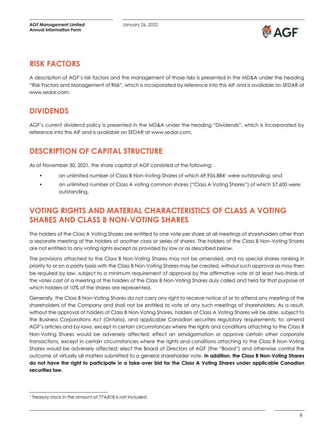

# <span id="page-7-0"></span>**RISK FACTORS**

A description of AGF's risk factors and the management of those risks is presented in the MD&A under the heading "Risk Factors and Management of Risk", which is incorporated by reference into this AIF and is available on SEDAR at www.sedar.com.

# <span id="page-7-1"></span>**DIVIDENDS**

AGF's current dividend policy is presented in the MD&A under the heading "Dividends", which is incorporated by reference into this AIF and is available on SEDAR at www.sedar.com.

# <span id="page-7-2"></span>**DESCRIPTION OF CAPITAL STRUCTURE**

As at November 30, 2021, the share capital of AGF consisted of the following:

- an unlimited number of Class B Non-Voting Shares of which 69,956,8841 were outstanding; and
- an unlimited number of Class A voting common shares ("Class A Voting Shares") of which 57,600 were outstanding.

# <span id="page-7-3"></span>**VOTING RIGHTS AND MATERIAL CHARACTERISTICS OF CLASS A VOTING SHARES AND CLASS B NON-VOTING SHARES**

The holders of the Class A Voting Shares are entitled to one vote per share at all meetings of shareholders other than a separate meeting of the holders of another class or series of shares. The holders of the Class B Non-Voting Shares are not entitled to any voting rights except as provided by law or as described below.

The provisions attached to the Class B Non-Voting Shares may not be amended, and no special shares ranking in priority to or on a parity basis with the Class B Non-Voting Shares may be created, without such approval as may then be required by law, subject to a minimum requirement of approval by the affirmative vote of at least two-thirds of the votes cast at a meeting of the holders of the Class B Non-Voting Shares duly called and held for that purpose at which holders of 10% of the shares are represented.

Generally, the Class B Non-Voting Shares do not carry any right to receive notice of or to attend any meeting of the shareholders of the Company and shall not be entitled to vote at any such meetings of shareholders. As a result, without the approval of holders of Class B Non-Voting Shares, holders of Class A Voting Shares will be able, subject to the Business Corporations Act (Ontario), and applicable Canadian securities regulatory requirements, to: amend AGF's articles and by-laws, except in certain circumstances where the rights and conditions attaching to the Class B Non-Voting Shares would be adversely affected; effect an amalgamation or approve certain other corporate transactions, except in certain circumstances where the rights and conditions attaching to the Class B Non-Voting Shares would be adversely affected; elect the Board of Directors of AGF (the "Board") and otherwise control the outcome of virtually all matters submitted to a general shareholder vote. **In addition, the Class B Non-Voting Shares do not have the right to participate in a take-over bid for the Class A Voting Shares under applicable Canadian securities law.**

<sup>1</sup> Treasury stock in the amount of 774,818 is not included.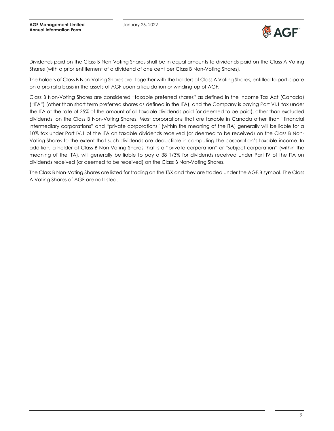

Dividends paid on the Class B Non-Voting Shares shall be in equal amounts to dividends paid on the Class A Voting Shares (with a prior entitlement of a dividend of one cent per Class B Non-Voting Shares).

The holders of Class B Non-Voting Shares are, together with the holders of Class A Voting Shares, entitled to participate on a pro rata basis in the assets of AGF upon a liquidation or winding-up of AGF.

Class B Non-Voting Shares are considered "taxable preferred shares" as defined in the Income Tax Act (Canada) ("ITA") (other than short term preferred shares as defined in the ITA), and the Company is paying Part VI.1 tax under the ITA at the rate of 25% of the amount of all taxable dividends paid (or deemed to be paid), other than excluded dividends, on the Class B Non-Voting Shares. Most corporations that are taxable in Canada other than "financial intermediary corporations" and "private corporations" (within the meaning of the ITA) generally will be liable for a 10% tax under Part IV.1 of the ITA on taxable dividends received (or deemed to be received) on the Class B Non-Voting Shares to the extent that such dividends are deductible in computing the corporation's taxable income. In addition, a holder of Class B Non-Voting Shares that is a "private corporation" or "subject corporation" (within the meaning of the ITA), will generally be liable to pay a 38 1/3% for dividends received under Part IV of the ITA on dividends received (or deemed to be received) on the Class B Non-Voting Shares.

The Class B Non-Voting Shares are listed for trading on the TSX and they are traded under the AGF.B symbol. The Class A Voting Shares of AGF are not listed.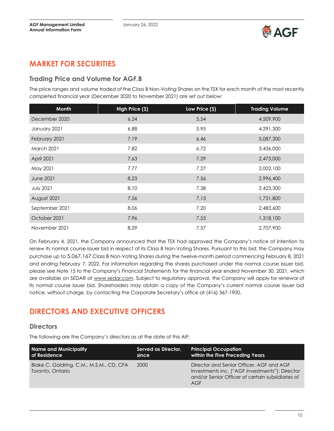

# <span id="page-9-0"></span>**MARKET FOR SECURITIES**

### **Trading Price and Volume for AGF.B**

The price ranges and volume traded of the Class B Non-Voting Shares on the TSX for each month of the most recently completed financial year (December 2020 to November 2021) are set out below:

| <b>Month</b>      | High Price (\$) | Low Price (\$) | <b>Trading Volume</b> |
|-------------------|-----------------|----------------|-----------------------|
| December 2020     | 6.24            | 5.54           | 4,509,900             |
| January 2021      | 6.88            | 5.95           | 4,291,300             |
| February 2021     | 7.19            | 6.46           | 5,087,300             |
| <b>March 2021</b> | 7.82            | 6.72           | 5,436,000             |
| April 2021        | 7.63            | 7.29           | 2,473,000             |
| May 2021          | 7.77            | 7.27           | 2,002,100             |
| <b>June 2021</b>  | 8.23            | 7.56           | 2,996,400             |
| <b>July 2021</b>  | 8.10            | 7.38           | 2,423,300             |
| August 2021       | 7.56            | 7.13           | 1,731,800             |
| September 2021    | 8.06            | 7.20           | 2,483,600             |
| October 2021      | 7.96            | 7.53           | 1,318,100             |
| November 2021     | 8.29            | 7.57           | 2,707,900             |

On February 4, 2021, the Company announced that the TSX had approved the Company's notice of intention to renew its normal course issuer bid in respect of its Class B Non-Voting Shares. Pursuant to this bid, the Company may purchase up to 5,067,167 Class B Non-Voting Shares during the twelve-month period commencing February 8, 2021 and ending February 7, 2022. For information regarding the shares purchased under the normal course issuer bid, please see Note 15 to the Company's Financial Statements for the financial year ended November 30, 2021, which are available on SEDAR at www.sedar.com. Subject to regulatory approval, the Company will apply for renewal of its normal course issuer bid. Shareholders may obtain a copy of the Company's current normal course issuer bid notice, without charge, by contacting the Corporate Secretary's office at (416) 367-1900.

# <span id="page-9-1"></span>**DIRECTORS AND EXECUTIVE OFFICERS**

### **Directors**

The following are the Company's directors as at the date of this AIF:

| Name and Municipality                                        | Served as Director, | <b>Principal Occupation</b>                                                                                                                           |
|--------------------------------------------------------------|---------------------|-------------------------------------------------------------------------------------------------------------------------------------------------------|
| of Residence                                                 | since               | within the Five Preceding Years                                                                                                                       |
| Blake C. Goldring, C.M., M.S.M., CD, CFA<br>Toronto, Ontario | 2000                | Director and Senior Officer, AGF and AGF<br>Investments Inc. ("AGF Investments"); Director<br>and/or Senior Officer of certain subsidiaries of<br>AGF |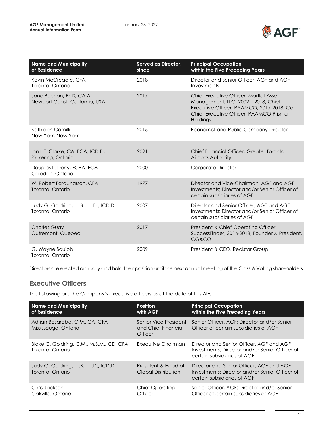

| <b>Name and Municipality</b><br>of Residence              | Served as Director,<br>since | <b>Principal Occupation</b><br>within the Five Preceding Years                                                                                                                   |
|-----------------------------------------------------------|------------------------------|----------------------------------------------------------------------------------------------------------------------------------------------------------------------------------|
| Kevin McCreadie, CFA<br>Toronto, Ontario                  | 2018                         | Director and Senior Officer, AGF and AGF<br>Investments                                                                                                                          |
| Jane Buchan, PhD, CAIA<br>Newport Coast, California, USA  | 2017                         | Chief Executive Officer, Martlet Asset<br>Management, LLC; 2002 - 2018, Chief<br>Executive Officer, PAAMCO; 2017-2018, Co-<br>Chief Executive Officer, PAAMCO Prisma<br>Holdings |
| Kathleen Camilli<br>New York, New York                    | 2015                         | <b>Economist and Public Company Director</b>                                                                                                                                     |
| Ian L.T. Clarke, CA, FCA, ICD.D,<br>Pickering, Ontario    | 2021                         | Chief Financial Officer, Greater Toronto<br>Airports Authority                                                                                                                   |
| Douglas L. Derry, FCPA, FCA<br>Caledon, Ontario           | 2000                         | Corporate Director                                                                                                                                                               |
| W. Robert Farquharson, CFA<br>Toronto, Ontario            | 1977                         | Director and Vice-Chairman, AGF and AGF<br>Investments; Director and/or Senior Officer of<br>certain subsidiaries of AGF                                                         |
| Judy G. Goldring, LL.B., LL.D., ICD.D<br>Toronto, Ontario | 2007                         | Director and Senior Officer, AGF and AGF<br>Investments; Director and/or Senior Officer of<br>certain subsidiaries of AGF                                                        |
| <b>Charles Guay</b><br>Outremont, Quebec                  | 2017                         | President & Chief Operating Officer,<br>SuccessFinder; 2016-2018, Founder & President,<br><b>CG&amp;CO</b>                                                                       |
| G. Wayne Squibb<br>Toronto, Ontario                       | 2009                         | President & CEO, Realstar Group                                                                                                                                                  |

Directors are elected annually and hold their position until the next annual meeting of the Class A Voting shareholders.

# **Executive Officers**

The following are the Company's executive officers as at the date of this AIF:

| <b>Name and Municipality</b><br>of Residence                 | <b>Position</b><br>with AGF                                    | <b>Principal Occupation</b><br>within the Five Preceding Years                                                            |
|--------------------------------------------------------------|----------------------------------------------------------------|---------------------------------------------------------------------------------------------------------------------------|
| Adrian Basaraba, CPA, CA, CFA<br>Mississauga, Ontario        | Senior Vice President<br>and Chief Financial<br><b>Officer</b> | Senior Officer, AGF: Director and/or Senior<br>Officer of certain subsidiaries of AGF                                     |
| Blake C. Goldring, C.M., M.S.M., CD, CFA<br>Toronto, Ontario | Executive Chairman                                             | Director and Senior Officer, AGF and AGF<br>Investments; Director and/or Senior Officer of<br>certain subsidiaries of AGF |
| Judy G. Goldring, LL.B., LL.D., ICD.D<br>Toronto, Ontario    | President & Head of<br>Global Distribution                     | Director and Senior Officer, AGF and AGF<br>Investments; Director and/or Senior Officer of<br>certain subsidiaries of AGF |
| Chris Jackson<br>Oakville, Ontario                           | <b>Chief Operating</b><br>Officer                              | Senior Officer, AGF; Director and/or Senior<br>Officer of certain subsidiaries of AGF                                     |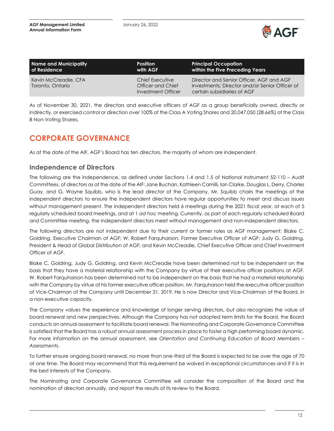

| Name and Municipality                    | <b>Position</b>                                            | <b>Principal Occupation</b>                                                                                               |
|------------------------------------------|------------------------------------------------------------|---------------------------------------------------------------------------------------------------------------------------|
| of Residence                             | with AGF                                                   | within the Five Preceding Years                                                                                           |
| Kevin McCreadie, CFA<br>Toronto, Ontario | Chief Executive<br>Officer and Chief<br>Investment Officer | Director and Senior Officer, AGF and AGF<br>Investments; Director and/or Senior Officer of<br>certain subsidiaries of AGF |

As of November 30, 2021, the directors and executive officers of AGF as a group beneficially owned, directly or indirectly, or exercised control or direction over 100% of the Class A Voting Shares and 20,047,050 (28.66%) of the Class B Non-Voting Shares.

# <span id="page-11-0"></span>**CORPORATE GOVERNANCE**

As at the date of the AIF, AGF's Board has ten directors, the majority of whom are independent.

# **Independence of Directors**

The following are the independence, as defined under Sections 1.4 and 1.5 of National Instrument 52-110 – *Audit Committees*, of directors as at the date of the AIF: Jane Buchan, Kathleen Camilli, Ian Clarke, Douglas L. Derry, Charles Guay, and G. Wayne Squibb, who is the lead director of the Company. Mr. Squibb chairs the meetings of the independent directors to ensure the independent directors have regular opportunities to meet and discuss issues without management present. The independent directors held 6 meetings during the 2021 fiscal year, at each of 5 regularly scheduled board meetings, and at 1 *ad hoc* meeting. Currently, as part of each regularly scheduled Board and Committee meeting, the independent directors meet without management and non-independent directors.

The following directors are not independent due to their current or former roles as AGF management: Blake C. Goldring, Executive Chairman of AGF; W. Robert Farquharson, Former Executive Officer of AGF; Judy G. Goldring, President & Head of Global Distribution of AGF; and Kevin McCreadie, Chief Executive Officer and Chief Investment Officer of AGF.

Blake C. Goldring, Judy G. Goldring, and Kevin McCreadie have been determined not to be independent on the basis that they have a material relationship with the Company by virtue of their executive officer positions at AGF. W. Robert Farquharson has been determined not to be independent on the basis that he had a material relationship with the Company by virtue of his former executive officer position. Mr. Farquharson held the executive officer position of Vice-Chairman of the Company until December 31, 2019. He is now Director and Vice-Chairman of the Board, in a non-executive capacity.

The Company values the experience and knowledge of longer serving directors, but also recognizes the value of board renewal and new perspectives. Although the Company has not adopted term limits for the Board, the Board conducts an annual assessment to facilitate board renewal. The Nominating and Corporate Governance Committee is satisfied that the Board has a robust annual assessment process in place to foster a high performing board dynamic. For more information on the annual assessment, see *Orientation and Continuing Education of Board Members – Assessments*.

To further ensure ongoing board renewal, no more than one-third of the Board is expected to be over the age of 70 at one time. The Board may recommend that this requirement be waived in exceptional circumstances and if it is in the best interests of the Company.

The Nominating and Corporate Governance Committee will consider the composition of the Board and the nomination of directors annually, and report the results of its review to the Board.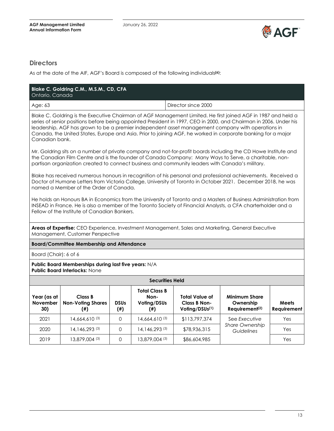

# **Directors**

As at the date of the AIF, AGF's Board is composed of the following individuals **(6)**:

| Ontario, Canada                                                                                                                                                                                                                                                                                                                                                                                                                                                           | Blake C. Goldring C.M., M.S.M., CD, CFA                                                      |                          |                                                          |                                                         |                                                                                                                                                                                                                                   |                      |  |  |
|---------------------------------------------------------------------------------------------------------------------------------------------------------------------------------------------------------------------------------------------------------------------------------------------------------------------------------------------------------------------------------------------------------------------------------------------------------------------------|----------------------------------------------------------------------------------------------|--------------------------|----------------------------------------------------------|---------------------------------------------------------|-----------------------------------------------------------------------------------------------------------------------------------------------------------------------------------------------------------------------------------|----------------------|--|--|
| Age: 63                                                                                                                                                                                                                                                                                                                                                                                                                                                                   |                                                                                              |                          |                                                          | Director since 2000                                     |                                                                                                                                                                                                                                   |                      |  |  |
| Blake C. Goldring is the Executive Chairman of AGF Management Limited. He first joined AGF in 1987 and held a<br>series of senior positions before being appointed President in 1997, CEO in 2000, and Chairman in 2006. Under his<br>leadership, AGF has grown to be a premier independent asset management company with operations in<br>Canada, the United States, Europe and Asia. Prior to joining AGF, he worked in corporate banking for a major<br>Canadian bank. |                                                                                              |                          |                                                          |                                                         |                                                                                                                                                                                                                                   |                      |  |  |
| Mr. Goldring sits on a number of private company and not-for-profit boards including the CD Howe Institute and<br>the Canadian Film Centre and is the founder of Canada Company: Many Ways to Serve, a charitable, non-<br>partisan organization created to connect business and community leaders with Canada's military.                                                                                                                                                |                                                                                              |                          |                                                          |                                                         |                                                                                                                                                                                                                                   |                      |  |  |
|                                                                                                                                                                                                                                                                                                                                                                                                                                                                           | named a Member of the Order of Canada.                                                       |                          |                                                          |                                                         | Blake has received numerous honours in recognition of his personal and professional achievements. Received a<br>Doctor of Humane Letters from Victoria College, University of Toronto in October 2021. December 2018, he was      |                      |  |  |
|                                                                                                                                                                                                                                                                                                                                                                                                                                                                           | Fellow of the Institute of Canadian Bankers.                                                 |                          |                                                          |                                                         | He holds an Honours BA in Economics from the University of Toronto and a Masters of Business Administration from<br>INSEAD in France. He is also a member of the Toronto Society of Financial Analysts, a CFA charterholder and a |                      |  |  |
| Areas of Expertise: CEO Experience, Investment Management, Sales and Marketing, General Executive<br>Management, Customer Perspective                                                                                                                                                                                                                                                                                                                                     |                                                                                              |                          |                                                          |                                                         |                                                                                                                                                                                                                                   |                      |  |  |
|                                                                                                                                                                                                                                                                                                                                                                                                                                                                           | <b>Board/Committee Membership and Attendance</b>                                             |                          |                                                          |                                                         |                                                                                                                                                                                                                                   |                      |  |  |
| Board (Chair): 6 of 6                                                                                                                                                                                                                                                                                                                                                                                                                                                     |                                                                                              |                          |                                                          |                                                         |                                                                                                                                                                                                                                   |                      |  |  |
|                                                                                                                                                                                                                                                                                                                                                                                                                                                                           | Public Board Memberships during last five years: N/A<br><b>Public Board Interlocks: None</b> |                          |                                                          |                                                         |                                                                                                                                                                                                                                   |                      |  |  |
|                                                                                                                                                                                                                                                                                                                                                                                                                                                                           |                                                                                              |                          | <b>Securities Held</b>                                   |                                                         |                                                                                                                                                                                                                                   |                      |  |  |
| Year (as at<br>November<br>30)                                                                                                                                                                                                                                                                                                                                                                                                                                            | Class B<br><b>Non-Voting Shares</b><br>$^{(+)}$                                              | <b>DSUs</b><br>$($ # $)$ | <b>Total Class B</b><br>Non-<br>Voling/DSUs<br>$($ # $)$ | Total Value of<br><b>Class B Non-</b><br>Voting/DSUs(1) | <b>Minimum Share</b><br>Ownership<br>Requirement <sup>(2)</sup>                                                                                                                                                                   | Meets<br>Requirement |  |  |
| 2021                                                                                                                                                                                                                                                                                                                                                                                                                                                                      | 14,664,610 (3)                                                                               | 0                        | $14,664,610^{(3)}$                                       | \$113,797,374                                           | See Executive                                                                                                                                                                                                                     | Yes                  |  |  |
| 2020                                                                                                                                                                                                                                                                                                                                                                                                                                                                      | 14, 146, 293 (3)                                                                             | 0                        | $14, 146, 293$ (3)                                       | \$78,936,315                                            | Share Ownership<br>Guidelines                                                                                                                                                                                                     | Yes                  |  |  |
| 2019                                                                                                                                                                                                                                                                                                                                                                                                                                                                      | 13,879,004 (3)                                                                               | 0                        | 13,879,004 (3)                                           | \$86,604,985                                            |                                                                                                                                                                                                                                   | Yes                  |  |  |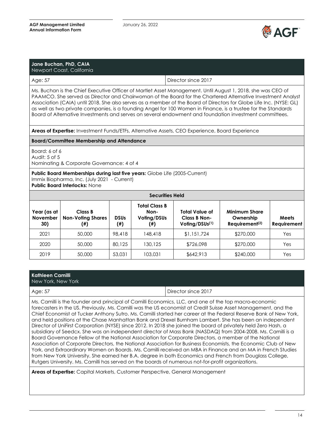

|                                                                                                                                                                                                                                                                                                                                                                                                                                                                                                                                                                               | Jane Buchan, PhD, CAIA<br>Newport Coast, California                                                                                                                      |                          |                                                          |                                                                                                 |                                                                 |                      |  |
|-------------------------------------------------------------------------------------------------------------------------------------------------------------------------------------------------------------------------------------------------------------------------------------------------------------------------------------------------------------------------------------------------------------------------------------------------------------------------------------------------------------------------------------------------------------------------------|--------------------------------------------------------------------------------------------------------------------------------------------------------------------------|--------------------------|----------------------------------------------------------|-------------------------------------------------------------------------------------------------|-----------------------------------------------------------------|----------------------|--|
| Age: 57                                                                                                                                                                                                                                                                                                                                                                                                                                                                                                                                                                       |                                                                                                                                                                          |                          |                                                          | Director since 2017                                                                             |                                                                 |                      |  |
| Ms. Buchan is the Chief Executive Officer of Martlet Asset Management. Until August 1, 2018, she was CEO of<br>PAAMCO. She served as Director and Chairwoman of the Board for the Chartered Alternative Investment Analyst<br>Association (CAIA) until 2018. She also serves as a member of the Board of Directors for Globe Life Inc. (NYSE: GL)<br>as well as two private companies, is a founding Angel for 100 Women in Finance, is a trustee for the Standards<br>Board of Alternative Investments and serves on several endowment and foundation investment committees. |                                                                                                                                                                          |                          |                                                          |                                                                                                 |                                                                 |                      |  |
|                                                                                                                                                                                                                                                                                                                                                                                                                                                                                                                                                                               |                                                                                                                                                                          |                          |                                                          | Areas of Expertise: Investment Funds/ETFs, Alternative Assets, CEO Experience, Board Experience |                                                                 |                      |  |
|                                                                                                                                                                                                                                                                                                                                                                                                                                                                                                                                                                               | <b>Board/Committee Membership and Attendance</b>                                                                                                                         |                          |                                                          |                                                                                                 |                                                                 |                      |  |
| Board: 6 of 6<br>Audit: 5 of 5                                                                                                                                                                                                                                                                                                                                                                                                                                                                                                                                                | Nominating & Corporate Governance: 4 of 4                                                                                                                                |                          |                                                          |                                                                                                 |                                                                 |                      |  |
|                                                                                                                                                                                                                                                                                                                                                                                                                                                                                                                                                                               | <b>Public Board Memberships during last five years:</b> Globe Life (2005-Current)<br>Immix Biopharma, Inc. (July 2021 - Current)<br><b>Public Board Interlocks: None</b> |                          |                                                          |                                                                                                 |                                                                 |                      |  |
|                                                                                                                                                                                                                                                                                                                                                                                                                                                                                                                                                                               |                                                                                                                                                                          |                          | <b>Securities Held</b>                                   |                                                                                                 |                                                                 |                      |  |
| Year (as at<br><b>November</b><br>30)                                                                                                                                                                                                                                                                                                                                                                                                                                                                                                                                         | <b>Class B</b><br><b>Non-Voting Shares</b><br>$($ #)                                                                                                                     | <b>DSUs</b><br>$($ # $)$ | <b>Total Class B</b><br>Non-<br>Voting/DSUs<br>$^{(\#)}$ | <b>Total Value of</b><br>Class B Non-<br>Voting/DSUs <sup>(1)</sup>                             | <b>Minimum Share</b><br>Ownership<br>Requirement <sup>(2)</sup> | Meets<br>Requirement |  |
| 2021                                                                                                                                                                                                                                                                                                                                                                                                                                                                                                                                                                          | 50,000                                                                                                                                                                   | 98,418                   | 148,418                                                  | \$1,151,724                                                                                     | \$270,000                                                       | Yes                  |  |
| 2020                                                                                                                                                                                                                                                                                                                                                                                                                                                                                                                                                                          | 50,000                                                                                                                                                                   | 80,125                   | 130,125                                                  | \$726,098                                                                                       | \$270,000                                                       | Yes                  |  |
| 2019                                                                                                                                                                                                                                                                                                                                                                                                                                                                                                                                                                          | 50,000                                                                                                                                                                   | 53,031                   | 103,031                                                  | \$642,913                                                                                       | \$240,000                                                       | Yes                  |  |

|  | Kathleen Camilli |  |
|--|------------------|--|
|  |                  |  |

New York, New York

| Director since 2017<br>Age: 57<br>Ms. Camilli is the founder and principal of Camilli Economics, LLC, and one of the top macro-economic<br>forecasters in the US. Previously, Ms. Camilli was the US economist at Credit Suisse Asset Management, and the<br>Chief Economist at Tucker Anthony Sutro. Ms. Camilli started her career at the Federal Reserve Bank of New York,                                                                                                                                                                                                                                                                                                                                                                                                                                                                                                                         | <b>NEW TOIR, NEW TOIR</b> |  |
|-------------------------------------------------------------------------------------------------------------------------------------------------------------------------------------------------------------------------------------------------------------------------------------------------------------------------------------------------------------------------------------------------------------------------------------------------------------------------------------------------------------------------------------------------------------------------------------------------------------------------------------------------------------------------------------------------------------------------------------------------------------------------------------------------------------------------------------------------------------------------------------------------------|---------------------------|--|
|                                                                                                                                                                                                                                                                                                                                                                                                                                                                                                                                                                                                                                                                                                                                                                                                                                                                                                       |                           |  |
| and held positions at the Chase Manhattan Bank and Drexel Burnham Lambert. She has been an independent<br>Director of UniFirst Corporation (NYSE) since 2012. In 2018 she joined the board of privately held Zero Hash, a<br>subsidiary of Seedcx. She was an independent director of Mass Bank (NASDAQ) from 2004-2008. Ms. Camilli is a<br>Board Governance Fellow of the National Association for Corporate Directors, a member of the National<br>Association of Corporate Directors, the National Association for Business Economists, the Economic Club of New<br>York, and Extraordinary Women on Boards. Ms. Camilli received an MBA in Finance and an MA in French Studies<br>from New York University. She earned her B.A. degree in both Economics and French from Douglass College,<br>Rutgers University. Ms. Camilli has served on the boards of numerous not-for-profit organizations. |                           |  |

**Areas of Expertise:** Capital Markets, Customer Perspective, General Management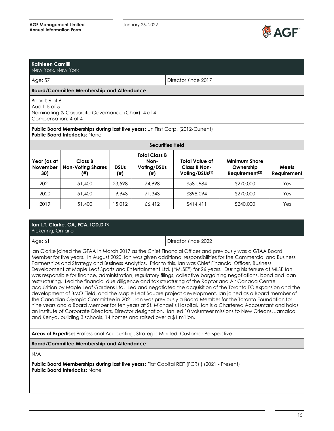

# **Kathleen Camilli**

New York, New York

Age: 57 Director since 2017

#### **Board/Committee Membership and Attendance**

Board: 6 of 6 Audit: 5 of 5 Nominating & Corporate Governance (Chair): 4 of 4 Compensation: 4 of 4

#### **Public Board Memberships during last five years:** UniFirst Corp. (2012-Current) **Public Board Interlocks:** None

| <b>Securities Held</b>                |                                            |                          |                                                    |                                                  |                                                                 |                      |  |
|---------------------------------------|--------------------------------------------|--------------------------|----------------------------------------------------|--------------------------------------------------|-----------------------------------------------------------------|----------------------|--|
| Year (as at<br><b>November</b><br>30) | Class B<br><b>Non-Voting Shares</b><br>(#) | <b>DSUs</b><br>$($ # $)$ | <b>Total Class B</b><br>Non-<br>Voting/DSUs<br>(#) | Total Value of<br>Class B Non-<br>Voling/DSUs(1) | <b>Minimum Share</b><br>Ownership<br>Requirement <sup>(2)</sup> | Meets<br>Requirement |  |
| 2021                                  | 51,400                                     | 23.598                   | 74.998                                             | \$581,984                                        | \$270,000                                                       | Yes                  |  |
| 2020                                  | 51,400                                     | 19.943                   | 71,343                                             | \$398,094                                        | \$270,000                                                       | Yes                  |  |
| 2019                                  | 51,400                                     | 15.012                   | 66.412                                             | \$414,411                                        | \$240,000                                                       | Yes                  |  |

#### **Ian L.T. Clarke, CA, FCA, ICD.D (5)** Pickering, Ontario

Age: 61 Director since 2022

Ian Clarke joined the GTAA in March 2017 as the Chief Financial Officer and previously was a GTAA Board Member for five years. In August 2020, Ian was given additional responsibilities for the Commercial and Business Partnerships and Strategy and Business Analytics. Prior to this, Ian was Chief Financial Officer, Business Development at Maple Leaf Sports and Entertainment Ltd. ("MLSE") for 26 years. During his tenure at MLSE Ian was responsible for finance, administration, regulatory filings, collective bargaining negotiations, bond and loan restructuring. Led the financial due diligence and tax structuring of the Raptor and Air Canada Centre acquisition by Maple Leaf Gardens Ltd. Led and negotiated the acquisition of the Toronto FC expansion and the development of BMO Field, and the Maple Leaf Square project development. Ian joined as a Board member of the Canadian Olympic Committee in 2021. Ian was previously a Board Member for the Toronto Foundation for nine years and a Board Member for ten years at St. Michael's Hospital. Ian is a Chartered Accountant and holds an Institute of Corporate Directors, Director designation. Ian led 10 volunteer missions to New Orleans, Jamaica and Kenya, building 3 schools, 14 homes and raised over a \$1 million.

**Areas of Expertise:** Professional Accounting, Strategic Minded, Customer Perspective

**Board/Committee Membership and Attendance**

N/A

**Public Board Memberships during last five years:** First Capital REIT (FCR) ) (2021 - Present) **Public Board Interlocks:** None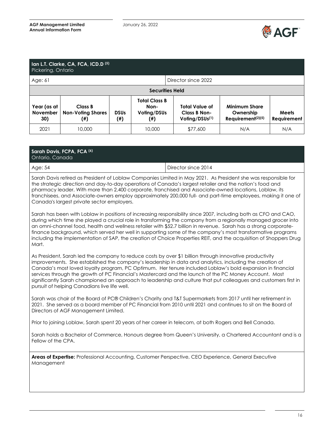

| Ian L.T. Clarke, CA, FCA, ICD.D <sup>(5)</sup><br>Pickering, Ontario |                                            |                    |                                                    |                                                                     |                                                                    |                             |
|----------------------------------------------------------------------|--------------------------------------------|--------------------|----------------------------------------------------|---------------------------------------------------------------------|--------------------------------------------------------------------|-----------------------------|
| Director since 2022<br>Age: $61$                                     |                                            |                    |                                                    |                                                                     |                                                                    |                             |
| <b>Securities Held</b>                                               |                                            |                    |                                                    |                                                                     |                                                                    |                             |
| Year (as at<br><b>November</b><br>30)                                | Class B<br><b>Non-Voting Shares</b><br>(#) | <b>DSUs</b><br>(#) | <b>Total Class B</b><br>Non-<br>Voting/DSUs<br>(#) | <b>Total Value of</b><br>Class B Non-<br>Voling/DSUs <sup>(1)</sup> | <b>Minimum Share</b><br>Ownership<br>Requirement <sup>(2)(5)</sup> | <b>Meets</b><br>Requirement |
| 2021                                                                 | 10,000                                     |                    | 10,000                                             | \$77,600                                                            | N/A                                                                | N/A                         |

| Sarah Davis, FCPA, FCA (6)<br>Ontario, Canada                                                                                                                                                                                                                                                                                                                                                                                                                                                                                                                                                               |                     |  |  |  |  |
|-------------------------------------------------------------------------------------------------------------------------------------------------------------------------------------------------------------------------------------------------------------------------------------------------------------------------------------------------------------------------------------------------------------------------------------------------------------------------------------------------------------------------------------------------------------------------------------------------------------|---------------------|--|--|--|--|
| Age: 54                                                                                                                                                                                                                                                                                                                                                                                                                                                                                                                                                                                                     | Director since 2014 |  |  |  |  |
| Sarah Davis retired as President of Loblaw Companies Limited in May 2021. As President she was responsible for<br>the strategic direction and day-to-day operations of Canada's largest retailer and the nation's food and<br>pharmacy leader. With more than 2,400 corporate, franchised and Associate-owned locations, Loblaw, its<br>franchisees, and Associate-owners employ approximately 200,000 full- and part-time employees, making it one of<br>Canada's largest private sector employers.                                                                                                        |                     |  |  |  |  |
| Sarah has been with Loblaw in positions of increasing responsibility since 2007, including both as CFO and CAO,<br>during which time she played a crucial role in transforming the company from a regionally managed grocer into<br>an omni-channel food, health and wellness retailer with \$52.7 billion in revenue. Sarah has a strong corporate-<br>finance background, which served her well in supporting some of the company's most transformative programs<br>including the implementation of SAP, the creation of Choice Properties REIT, and the acquisition of Shoppers Drug<br>Mart.            |                     |  |  |  |  |
| As President, Sarah led the company to reduce costs by over \$1 billion through innovative productivity<br>improvements. She established the company's leadership in data and analytics, including the creation of<br>Canada's most loved loyalty program, PC Optimum. Her tenure included Loblaw's bold expansion in financial<br>services through the growth of PC Financial's Mastercard and the launch of the PC Money Account. Most<br>significantly Sarah championed an approach to leadership and culture that put colleagues and customers first in<br>pursuit of helping Canadians live life well. |                     |  |  |  |  |

Sarah was chair of the Board of PC® Children's Charity and T&T Supermarkets from 2017 until her retirement in 2021. She served as a board member of PC Financial from 2010 until 2021 and continues to sit on the Board of Directors of AGF Management Limited.

Prior to joining Loblaw, Sarah spent 20 years of her career in telecom, at both Rogers and Bell Canada.

Sarah holds a Bachelor of Commerce, Honours degree from Queen's University, a Chartered Accountant and is a Fellow of the CPA.

**Areas of Expertise:** Professional Accounting, Customer Perspective, CEO Experience, General Executive Management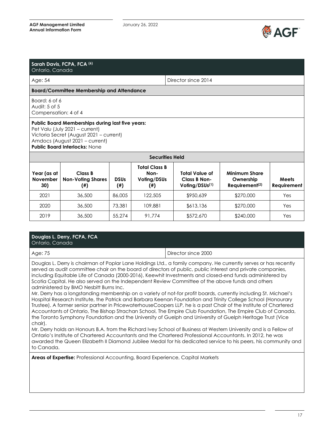

| Ontario, Canada                                        | Sarah Davis, FCPA, FCA (6)                                                                                                                                                                                     |                          |                                                                                    |                                                              |                                                                 |                             |
|--------------------------------------------------------|----------------------------------------------------------------------------------------------------------------------------------------------------------------------------------------------------------------|--------------------------|------------------------------------------------------------------------------------|--------------------------------------------------------------|-----------------------------------------------------------------|-----------------------------|
| Age: 54                                                |                                                                                                                                                                                                                |                          |                                                                                    | Director since 2014                                          |                                                                 |                             |
|                                                        | <b>Board/Committee Membership and Attendance</b>                                                                                                                                                               |                          |                                                                                    |                                                              |                                                                 |                             |
| Board: 6 of 6<br>Audit: 5 of 5<br>Compensation: 4 of 4 |                                                                                                                                                                                                                |                          |                                                                                    |                                                              |                                                                 |                             |
|                                                        | <b>Public Board Memberships during last five years:</b><br>Pet Valu (July 2021 - current)<br>Victoria Secret (August 2021 - current)<br>Amdocs (August 2021 - current)<br><b>Public Board Interlocks: None</b> |                          |                                                                                    |                                                              |                                                                 |                             |
| Year (as at<br><b>November</b><br>30)                  | Class B<br><b>Non-Voting Shares</b><br>$^{(+)}$                                                                                                                                                                | <b>DSUs</b><br>$($ # $)$ | <b>Securities Held</b><br><b>Total Class B</b><br>Non-<br>Voting/DSUs<br>$^{(\#)}$ | Total Value of<br>Class B Non-<br>Voting/DSUs <sup>(1)</sup> | <b>Minimum Share</b><br>Ownership<br>Requirement <sup>(2)</sup> | <b>Meets</b><br>Requirement |
| 2021                                                   | 36,500                                                                                                                                                                                                         | 86,005                   | 122,505                                                                            | \$950,639                                                    | \$270,000                                                       | Yes                         |
| 2020                                                   | 36,500                                                                                                                                                                                                         | 73,381                   | 109,881                                                                            | \$613,136                                                    | \$270,000                                                       | Yes                         |
| 2019                                                   | 36,500                                                                                                                                                                                                         | 55,274                   | 91,774                                                                             | \$572,670                                                    | \$240,000                                                       | Yes                         |

#### **Douglas L. Derry, FCPA, FCA**  Ontario, Canada

Age: 75 Director since 2000

Douglas L. Derry is chairman of Poplar Lane Holdings Ltd., a family company. He currently serves or has recently served as audit committee chair on the board of directors of public, public interest and private companies, including Equitable Life of Canada (2000-2016), Keewhit Investments and closed-end funds administered by Scotia Capital. He also served on the Independent Review Committee of the above funds and others administered by BMO Nesbitt Burns Inc.

Mr. Derry has a longstanding membership on a variety of not-for profit boards, currently including St. Michael's Hospital Research Institute, the Patrick and Barbara Keenan Foundation and Trinity College School (Honourary Trustee). A former senior partner in PricewaterhouseCoopers LLP, he is a past Chair of the Institute of Chartered Accountants of Ontario, The Bishop Strachan School, The Empire Club Foundation, The Empire Club of Canada, the Toronto Symphony Foundation and the University of Guelph and University of Guelph Heritage Trust (Vice chair).

Mr. Derry holds an Honours B.A. from the Richard Ivey School of Business at Western University and is a Fellow of Ontario's Institute of Chartered Accountants and the Chartered Professional Accountants. In 2012, he was awarded the Queen Elizabeth II Diamond Jubilee Medal for his dedicated service to his peers, his community and to Canada.

**Areas of Expertise:** Professional Accounting, Board Experience, Capital Markets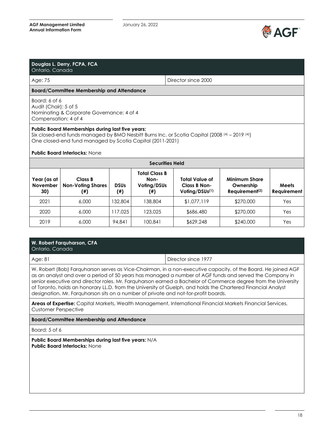

| Douglas L. Derry, FCPA, FCA<br>Ontario, Canada                 |                                                                                                                                                                                                                                                                     |                          |                                                          |                                                              |                                                                 |                             |
|----------------------------------------------------------------|---------------------------------------------------------------------------------------------------------------------------------------------------------------------------------------------------------------------------------------------------------------------|--------------------------|----------------------------------------------------------|--------------------------------------------------------------|-----------------------------------------------------------------|-----------------------------|
| Age: 75                                                        |                                                                                                                                                                                                                                                                     |                          |                                                          | Director since 2000                                          |                                                                 |                             |
|                                                                | <b>Board/Committee Membership and Attendance</b>                                                                                                                                                                                                                    |                          |                                                          |                                                              |                                                                 |                             |
| Board: 6 of 6<br>Audit (Chair): 5 of 5<br>Compensation: 4 of 4 | Nominating & Corporate Governance: 4 of 4                                                                                                                                                                                                                           |                          |                                                          |                                                              |                                                                 |                             |
|                                                                | <b>Public Board Memberships during last five years:</b><br>Six closed-end funds managed by BMO Nesbitt Burns Inc. or Scotia Capital (2008 $(4)$ – 2019 $(4)$ )<br>One closed-end fund managed by Scotia Capital (2011-2021)<br><b>Public Board Interlocks: None</b> |                          |                                                          |                                                              |                                                                 |                             |
|                                                                |                                                                                                                                                                                                                                                                     |                          |                                                          | <b>Securities Held</b>                                       |                                                                 |                             |
| Year (as at<br><b>November</b><br>30)                          | Class B<br><b>Non-Voting Shares</b><br>$^{(ii)}$                                                                                                                                                                                                                    | <b>DSUs</b><br>$($ # $)$ | <b>Total Class B</b><br>Non-<br>Voting/DSUs<br>$^{(ii)}$ | Total Value of<br>Class B Non-<br>Voting/DSUs <sup>(1)</sup> | <b>Minimum Share</b><br>Ownership<br>Requirement <sup>(2)</sup> | <b>Meets</b><br>Requirement |
| 2021                                                           | 6,000                                                                                                                                                                                                                                                               | 132,804                  | 138,804                                                  | \$1,077,119                                                  | \$270,000                                                       | Yes                         |
| 2020                                                           | 6,000                                                                                                                                                                                                                                                               | 117,025                  | 123,025                                                  | \$686,480                                                    | \$270,000                                                       | Yes                         |
| 2019                                                           | 6,000                                                                                                                                                                                                                                                               | 94.841                   | 100,841                                                  | \$629,248                                                    | \$240,000                                                       | Yes                         |

| W. Robert Farquharson, CFA<br>Ontario, Canada                                                                 |                     |
|---------------------------------------------------------------------------------------------------------------|---------------------|
| Age: 81                                                                                                       | Director since 1977 |
| W. Robert (Rob) Eargubarson serves as Vice-Chairman, in a non-executive capacity, of the Roard. He ioined AGE |                     |

W. Robert (Bob) Farquharson serves as Vice-Chairman, in a non-executive capacity, of the Board. He joined AGF as an analyst and over a period of 50 years has managed a number of AGF funds and served the Company in senior executive and director roles. Mr. Farquharson earned a Bachelor of Commerce degree from the University of Toronto, holds an honorary LL.D. from the University of Guelph, and holds the Chartered Financial Analyst designation. Mr. Farquharson sits on a number of private and not-for-profit boards.

**Areas of Expertise:** Capital Markets, Wealth Management, International Financial Markets Financial Services, Customer Perspective

**Board/Committee Membership and Attendance**

Board: 5 of 6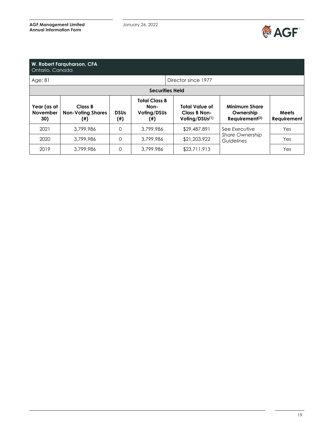

| Ontario, Canada                       | W. Robert Farguharson, CFA                 |                    |                                                    |                                                                     |                                                                                         |                      |
|---------------------------------------|--------------------------------------------|--------------------|----------------------------------------------------|---------------------------------------------------------------------|-----------------------------------------------------------------------------------------|----------------------|
| Age: 81                               |                                            |                    |                                                    | Director since 1977                                                 |                                                                                         |                      |
|                                       | <b>Securities Held</b>                     |                    |                                                    |                                                                     |                                                                                         |                      |
| Year (as at<br><b>November</b><br>30) | Class B<br><b>Non-Voting Shares</b><br>(#) | <b>DSUs</b><br>(#) | <b>Total Class B</b><br>Non-<br>Voting/DSUs<br>(#) | <b>Total Value of</b><br>Class B Non-<br>Voting/DSUs <sup>(1)</sup> | <b>Minimum Share</b><br>Ownership<br>$Required$ Requirement <sup><math>(2)</math></sup> | Meets<br>Requirement |
| 2021                                  | 3,799,986                                  | $\Omega$           | 3,799,986                                          | \$29,487,891                                                        | See Executive                                                                           | Yes                  |
| 2020                                  | 3,799,986                                  | $\Omega$           | 3,799,986                                          | \$21,203,922                                                        | <b>Share Ownership</b><br>Guidelines                                                    | Yes                  |
| 2019                                  | 3,799,986                                  | $\Omega$           | 3,799,986                                          | \$23,711,913                                                        |                                                                                         | Yes                  |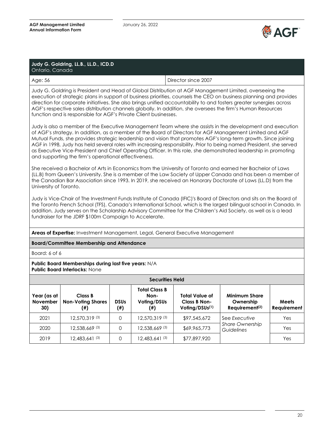

| Judy G. Goldring, LL.B., LL.D., ICD.D<br>Ontario, Canada |                     |
|----------------------------------------------------------|---------------------|
| Age: 56                                                  | Director since 2007 |

Judy G. Goldring is President and Head of Global Distribution at AGF Management Limited, overseeing the execution of strategic plans in support of business priorities, counsels the CEO on business planning and provides direction for corporate initiatives. She also brings unified accountability to and fosters greater synergies across AGF's respective sales distribution channels globally. In addition, she oversees the firm's Human Resources function and is responsible for AGF's Private Client businesses.

Judy is also a member of the Executive Management Team where she assists in the development and execution of AGF's strategy. In addition, as a member of the Board of Directors for AGF Management Limited and AGF Mutual Funds, she provides strategic leadership and vision that promotes AGF's long-term growth. Since joining AGF in 1998, Judy has held several roles with increasing responsibility. Prior to being named President, she served as Executive Vice-President and Chief Operating Officer. In this role, she demonstrated leadership in promoting and supporting the firm's operational effectiveness.

She received a Bachelor of Arts in Economics from the University of Toronto and earned her Bachelor of Laws (LL.B) from Queen's University. She is a member of the Law Society of Upper Canada and has been a member of the Canadian Bar Association since 1993. In 2019, she received an Honorary Doctorate of Laws (LL.D) from the University of Toronto.

Judy is Vice-Chair of The Investment Funds Institute of Canada (IFIC)'s Board of Directors and sits on the Board of the Toronto French School (TFS), Canada's International School, which is the largest bilingual school in Canada. In addition, Judy serves on the Scholarship Advisory Committee for the Children's Aid Society, as well as is a lead fundraiser for the JDRF \$100m Campaign to Accelerate.

**Areas of Expertise:** Investment Management, Legal, General Executive Management

#### **Board/Committee Membership and Attendance**

Board: 6 of 6

| <b>Securities Held</b>                |                                            |                    |                                             |                                                              |                                                                 |                      |
|---------------------------------------|--------------------------------------------|--------------------|---------------------------------------------|--------------------------------------------------------------|-----------------------------------------------------------------|----------------------|
| Year (as at<br><b>November</b><br>30) | Class B<br><b>Non-Voting Shares</b><br>(#) | <b>DSUs</b><br>(#) | Total Class B<br>Non-<br>Voting/DSUs<br>(#) | Total Value of<br>Class B Non-<br>Voting/DSUs <sup>(1)</sup> | <b>Minimum Share</b><br>Ownership<br>Requirement <sup>(2)</sup> | Meets<br>Requirement |
| 2021                                  | 12,570,319(3)                              | 0                  | 12,570,319 (3)                              | \$97,545,672                                                 | See Executive                                                   | Yes                  |
| 2020                                  | 12,538,669 (3)                             | 0                  | 12,538,669 (3)                              | \$69,965,773                                                 | <b>Share Ownership</b><br>Guidelines                            | Yes                  |
| 2019                                  | 12,483,641 (3)                             | 0                  | 12,483,641 <sup>(3)</sup>                   | \$77,897,920                                                 |                                                                 | Yes                  |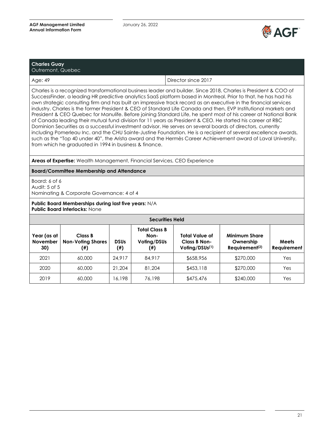

| <b>Charles Guay</b><br>Outremont, Quebec |                     |
|------------------------------------------|---------------------|
| Age: 49                                  | Director since 2017 |

Charles is a recognized transformational business leader and builder. Since 2018, Charles is President & COO of SuccessFinder, a leading HR predictive analytics SaaS platform based in Montreal. Prior to that, he has had his own strategic consulting firm and has built an impressive track record as an executive in the financial services industry. Charles is the former President & CEO of Standard Life Canada and then, EVP Institutional markets and President & CEO Quebec for Manulife. Before joining Standard Life, he spent most of his career at National Bank of Canada leading their mutual fund division for 11 years as President & CEO. He started his career at RBC Dominion Securities as a successful investment advisor. He serves on several boards of directors, currently including Pomerleau Inc. and the CHU Sainte-Justine Foundation. He is a recipient of several excellence awards, such as the "Top 40 under 40", the Arista award and the Hermès Career Achievement award of Laval University, from which he graduated in 1994 in business & finance.

#### **Areas of Expertise:** Wealth Management, Financial Services, CEO Experience

#### **Board/Committee Membership and Attendance**

Board: 6 of 6 Audit: 5 of 5 Nominating & Corporate Governance: 4 of 4

| <b>Securities Held</b>         |                                            |                    |                                                    |                                                              |                                                                                         |                             |
|--------------------------------|--------------------------------------------|--------------------|----------------------------------------------------|--------------------------------------------------------------|-----------------------------------------------------------------------------------------|-----------------------------|
| Year (as at<br>November<br>30) | Class B<br><b>Non-Voting Shares</b><br>(#) | <b>DSUs</b><br>(#) | <b>Total Class B</b><br>Non-<br>Voting/DSUs<br>(#) | Total Value of<br>Class B Non-<br>Voling/DSUs <sup>(1)</sup> | <b>Minimum Share</b><br>Ownership<br>$Required$ Requirement <sup><math>(2)</math></sup> | Meets<br><b>Requirement</b> |
| 2021                           | 60,000                                     | 24,917             | 84,917                                             | \$658,956                                                    | \$270,000                                                                               | Yes                         |
| 2020                           | 60,000                                     | 21.204             | 81.204                                             | \$453,118                                                    | \$270,000                                                                               | Yes                         |
| 2019                           | 60,000                                     | 16.198             | 76,198                                             | \$475,476                                                    | \$240,000                                                                               | Yes                         |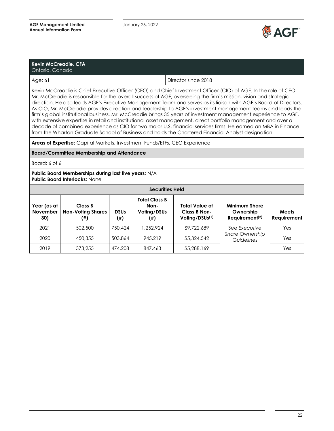

| <b>Kevin McCreadie, CFA</b><br>Ontario, Canada |                     |
|------------------------------------------------|---------------------|
| Age: 61                                        | Director since 2018 |

Kevin McCreadie is Chief Executive Officer (CEO) and Chief Investment Officer (CIO) of AGF. In the role of CEO, Mr. McCreadie is responsible for the overall success of AGF, overseeing the firm's mission, vision and strategic direction. He also leads AGF's Executive Management Team and serves as its liaison with AGF's Board of Directors. As CIO, Mr. McCreadie provides direction and leadership to AGF's investment management teams and leads the firm's global institutional business. Mr. McCreadie brings 35 years of investment management experience to AGF, with extensive expertise in retail and institutional asset management, direct portfolio management and over a decade of combined experience as CIO for two major U.S. financial services firms. He earned an MBA in Finance from the Wharton Graduate School of Business and holds the Chartered Financial Analyst designation.

**Areas of Expertise:** Capital Markets, Investment Funds/ETFs, CEO Experience

#### **Board/Committee Membership and Attendance**

Board: 6 of 6

| <b>Securities Held</b>                |                                            |                          |                                             |                                                                     |                                                                                         |                      |
|---------------------------------------|--------------------------------------------|--------------------------|---------------------------------------------|---------------------------------------------------------------------|-----------------------------------------------------------------------------------------|----------------------|
| Year (as at<br><b>November</b><br>30) | Class B<br><b>Non-Voting Shares</b><br>(#) | <b>DSUs</b><br>$^{(\#)}$ | Total Class B<br>Non-<br>Voting/DSUs<br>(#) | <b>Total Value of</b><br>Class B Non-<br>Voling/DSUs <sup>(1)</sup> | <b>Minimum Share</b><br>Ownership<br>$Required$ Requirement <sup><math>(2)</math></sup> | Meets<br>Requirement |
| 2021                                  | 502,500                                    | 750,424                  | 1,252,924                                   | \$9,722,689                                                         | See Executive                                                                           | Yes                  |
| 2020                                  | 450,355                                    | 503,864                  | 945,219                                     | \$5,324,542                                                         | <b>Share Ownership</b><br>Guidelines                                                    | Yes                  |
| 2019                                  | 373,255                                    | 474,208                  | 847,463                                     | \$5,288,169                                                         |                                                                                         | Yes                  |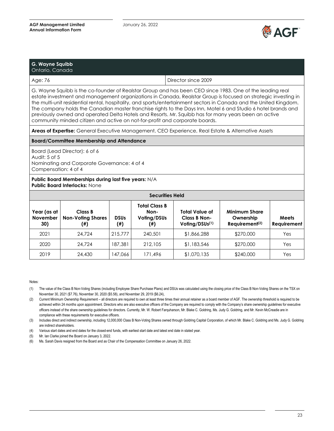

| G. Wayne Squibb<br>Ontario, Canada |                     |
|------------------------------------|---------------------|
| Age: 76                            | Director since 2009 |

G. Wayne Squibb is the co-founder of Realstar Group and has been CEO since 1983. One of the leading real estate investment and management organizations in Canada, Realstar Group is focused on strategic investing in the multi-unit residential rental, hospitality, and sports/entertainment sectors in Canada and the United Kingdom. The company holds the Canadian master franchise rights to the Days Inn, Motel 6 and Studio 6 hotel brands and previously owned and operated Delta Hotels and Resorts. Mr. Squibb has for many years been an active community minded citizen and active on not-for-profit and corporate boards.

**Areas of Expertise:** General Executive Management, CEO Experience, Real Estate & Alternative Assets

#### **Board/Committee Membership and Attendance**

Board (Lead Director): 6 of 6 Audit: 5 of 5 Nominating and Corporate Governance: 4 of 4 Compensation: 4 of 4

**Public Board Memberships during last five years:** N/A **Public Board Interlocks:** None

| <b>Securities Held</b>                |                                            |                          |                                             |                                                                      |                                                                 |                             |  |
|---------------------------------------|--------------------------------------------|--------------------------|---------------------------------------------|----------------------------------------------------------------------|-----------------------------------------------------------------|-----------------------------|--|
| Year (as at<br><b>November</b><br>30) | Class B<br><b>Non-Voting Shares</b><br>(#) | <b>DSUs</b><br>$($ # $)$ | Total Class B<br>Non-<br>Voling/DSUs<br>(#) | <b>Total Value of</b><br>Class B Non-<br>Voting/DSU <sub>s</sub> (1) | <b>Minimum Share</b><br>Ownership<br>Requirement <sup>(2)</sup> | <b>Meets</b><br>Requirement |  |
| 2021                                  | 24.724                                     | 215,777                  | 240,501                                     | \$1,866,288                                                          | \$270,000                                                       | Yes                         |  |
| 2020                                  | 24,724                                     | 187,381                  | 212,105                                     | \$1,183,546                                                          | \$270,000                                                       | Yes                         |  |
| 2019                                  | 24,430                                     | 147.066                  | 171,496                                     | \$1,070,135                                                          | \$240,000                                                       | Yes                         |  |

#### Notes:

(1) The value of the Class B Non-Voting Shares (including Employee Share Purchase Plans) and DSUs was calculated using the closing price of the Class B Non-Voting Shares on the TSX on November 30, 2021 (\$7.76), November 30, 2020 (\$5.58), and November 29, 2019 (\$6.24),

(2) Current Minimum Ownership Requirement – all directors are required to own at least three times their annual retainer as a board member of AGF. The ownership threshold is required to be achieved within 24 months upon appointment. Directors who are also executive officers of the Company are required to comply with the Company's share ownership guidelines for executive officers instead of the share ownership guidelines for directors. Currently, Mr. W. Robert Farquharson, Mr. Blake C. Goldring, Ms. Judy G. Goldring, and Mr. Kevin McCreadie are in compliance with these requirements for executive officers.

(3) Includes direct and indirect ownership, including 12,000,000 Class B Non-Voting Shares owned through Goldring Capital Corporation, of which Mr. Blake C. Goldring and Ms. Judy G. Goldring are indirect shareholders.

(4) Various start dates and end dates for the closed-end funds, with earliest start date and latest end date in stated year.

(5) Mr. Ian Clarke joined the Board on January 3, 2022.

(6) Ms. Sarah Davis resigned from the Board and as Chair of the Compensation Committee on January 26, 2022.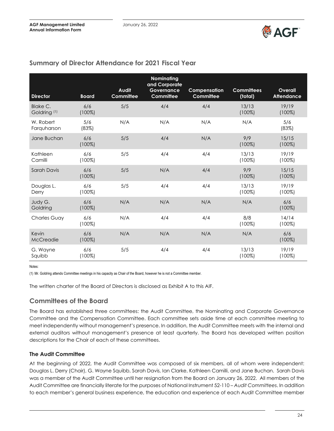

| <b>Director</b>                     | <b>Board</b>     | <b>Audit</b><br>Committee | <b>Nominating</b><br>and Corporate<br>Governance<br>Committee | Compensation<br>Committee | <b>Committees</b><br>(total) | Overall<br><b>Attendance</b> |
|-------------------------------------|------------------|---------------------------|---------------------------------------------------------------|---------------------------|------------------------------|------------------------------|
| Blake C.<br>Goldring <sup>(1)</sup> | 6/6<br>$(100\%)$ | 5/5                       | 4/4                                                           | 4/4                       | 13/13<br>$(100\%)$           | 19/19<br>$(100\%)$           |
| W. Robert<br>Farquharson            | 5/6<br>(83%)     | N/A                       | N/A                                                           | N/A                       | N/A                          | 5/6<br>(83%)                 |
| Jane Buchan                         | 6/6<br>$(100\%)$ | 5/5                       | 4/4                                                           | N/A                       | 9/9<br>$(100\%)$             | 15/15<br>$(100\%)$           |
| Kathleen<br>Camilli                 | 6/6<br>$(100\%)$ | 5/5                       | 4/4                                                           | 4/4                       | 13/13<br>$(100\%)$           | 19/19<br>$(100\%)$           |
| <b>Sarah Davis</b>                  | 6/6<br>$(100\%)$ | 5/5                       | N/A                                                           | 4/4                       | 9/9<br>$(100\%)$             | 15/15<br>$(100\%)$           |
| Douglas L.<br>Derry                 | 6/6<br>$(100\%)$ | 5/5                       | 4/4                                                           | 4/4                       | 13/13<br>$(100\%)$           | 19/19<br>$(100\%)$           |
| Judy G.<br>Goldring                 | 6/6<br>$(100\%)$ | N/A                       | N/A                                                           | N/A                       | N/A                          | 6/6<br>$(100\%)$             |
| <b>Charles Guay</b>                 | 6/6<br>$(100\%)$ | N/A                       | 4/4                                                           | 4/4                       | 8/8<br>$(100\%)$             | 14/14<br>$(100\%)$           |
| Kevin<br>McCreadie                  | 6/6<br>$(100\%)$ | N/A                       | N/A                                                           | N/A                       | N/A                          | 6/6<br>$(100\%)$             |
| G. Wayne<br>Squibb                  | 6/6<br>$(100\%)$ | 5/5                       | 4/4                                                           | 4/4                       | 13/13<br>$(100\%)$           | 19/19<br>$(100\%)$           |

# **Summary of Director Attendance for 2021 Fiscal Year**

Notes:

(1) Mr. Goldring attends Committee meetings in his capacity as Chair of the Board, however he is not a Committee member.

The written charter of the Board of Directors is disclosed as Exhibit A to this AIF.

# **Committees of the Board**

The Board has established three committees: the Audit Committee, the Nominating and Corporate Governance Committee and the Compensation Committee. Each committee sets aside time at each committee meeting to meet independently without management's presence. In addition, the Audit Committee meets with the internal and external auditors without management's presence at least quarterly. The Board has developed written position descriptions for the Chair of each of these committees.

#### **The Audit Committee**

At the beginning of 2022, the Audit Committee was composed of six members, all of whom were independent: Douglas L. Derry (Chair), G. Wayne Squibb, Sarah Davis, Ian Clarke, Kathleen Camilli, and Jane Buchan. Sarah Davis was a member of the Audit Committee until her resignation from the Board on January 26, 2022. All members of the Audit Committee are financially literate for the purposes of National Instrument 52-110 – *Audit Committees*. In addition to each member's general business experience, the education and experience of each Audit Committee member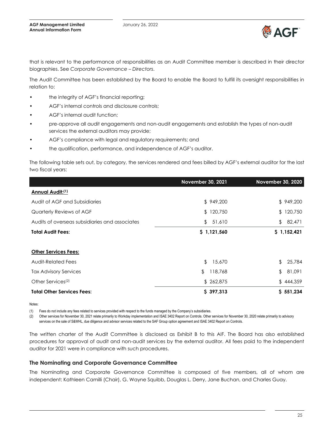

that is relevant to the performance of responsibilities as an Audit Committee member is described in their director biographies. See *Corporate Governance – Directors*.

The Audit Committee has been established by the Board to enable the Board to fulfill its oversight responsibilities in relation to:

- the integrity of AGF's financial reporting;
- AGF's internal controls and disclosure controls;
- AGF's internal audit function;
- pre-approve all audit engagements and non-audit engagements and establish the types of non-audit services the external auditors may provide;
- AGF's compliance with legal and regulatory requirements; and
- the qualification, performance, and independence of AGF's auditor.

The following table sets out, by category, the services rendered and fees billed by AGF's external auditor for the last two fiscal years:

|                                                | November 30, 2021       | <b>November 30, 2020</b> |
|------------------------------------------------|-------------------------|--------------------------|
| Annual Audit:(1)                               |                         |                          |
| Audit of AGF and Subsidiaries                  | \$949,200               | \$949,200                |
| Quarterly Reviews of AGF                       | \$120,750               | \$120,750                |
| Audits of overseas subsidiaries and associates | \$<br>51,610            | 82,471<br>\$             |
| <b>Total Audit Fees:</b>                       | \$1,121,560             | \$1,152,421              |
|                                                |                         |                          |
| <b>Other Services Fees:</b>                    |                         |                          |
| Audit-Related Fees                             | $\frac{1}{2}$<br>15,670 | \$<br>25,784             |
| <b>Tax Advisory Services</b>                   | \$<br>118,768           | \$<br>81,091             |
| Other Services <sup>(2)</sup>                  | \$262,875               | \$444,359                |
| <b>Total Other Services Fees:</b>              | \$397,313               | \$551,234                |

Notes:

(1) Fees do not include any fees related to services provided with respect to the funds managed by the Company's subsidiaries.

(2) Other services for November 30, 2021 relate primarily to Workday implementation and ISAE 3402 Report on Controls. Other services for November 30, 2020 relate primarily to advisory services on the sale of S&WHL, due diligence and advisor services related to the SAF Group option agreement and ISAE 3402 Report on Controls.

The written charter of the Audit Committee is disclosed as Exhibit B to this AIF. The Board has also established procedures for approval of audit and non-audit services by the external auditor. All fees paid to the independent auditor for 2021 were in compliance with such procedures.

#### **The Nominating and Corporate Governance Committee**

The Nominating and Corporate Governance Committee is composed of five members, all of whom are independent: Kathleen Camilli (Chair), G. Wayne Squibb, Douglas L. Derry, Jane Buchan, and Charles Guay.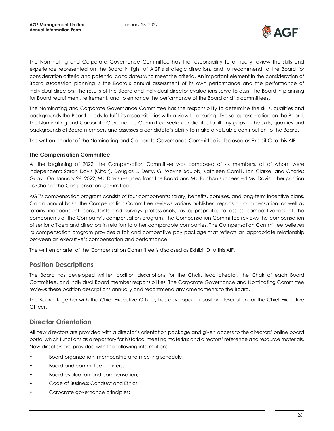

The Nominating and Corporate Governance Committee has the responsibility to annually review the skills and experience represented on the Board in light of AGF's strategic direction, and to recommend to the Board for consideration criteria and potential candidates who meet the criteria. An important element in the consideration of Board succession planning is the Board's annual assessment of its own performance and the performance of individual directors. The results of the Board and individual director evaluations serve to assist the Board in planning for Board recruitment, retirement, and to enhance the performance of the Board and its committees.

The Nominating and Corporate Governance Committee has the responsibility to determine the skills, qualities and backgrounds the Board needs to fulfill its responsibilities with a view to ensuring diverse representation on the Board. The Nominating and Corporate Governance Committee seeks candidates to fill any gaps in the skills, qualities and backgrounds of Board members and assesses a candidate's ability to make a valuable contribution to the Board.

The written charter of the Nominating and Corporate Governance Committee is disclosed as Exhibit C to this AIF.

#### **The Compensation Committee**

At the beginning of 2022, the Compensation Committee was composed of six members, all of whom were independent: Sarah Davis (Chair), Douglas L. Derry, G. Wayne Squibb, Kathleen Camilli, Ian Clarke, and Charles Guay. On January 26, 2022, Ms. Davis resigned from the Board and Ms. Buchan succeeded Ms. Davis in her position as Chair of the Compensation Committee.

AGF's compensation program consists of four components: salary, benefits, bonuses, and long-term incentive plans. On an annual basis, the Compensation Committee reviews various published reports on compensation, as well as retains independent consultants and surveys professionals, as appropriate, to assess competitiveness of the components of the Company's compensation program. The Compensation Committee reviews the compensation of senior officers and directors in relation to other comparable companies. The Compensation Committee believes its compensation program provides a fair and competitive pay package that reflects an appropriate relationship between an executive's compensation and performance.

The written charter of the Compensation Committee is disclosed as Exhibit D to this AIF.

# **Position Descriptions**

The Board has developed written position descriptions for the Chair, lead director, the Chair of each Board Committee, and individual Board member responsibilities. The Corporate Governance and Nominating Committee reviews these position descriptions annually and recommend any amendments to the Board.

The Board, together with the Chief Executive Officer, has developed a position description for the Chief Executive Officer.

### **Director Orientation**

All new directors are provided with a director's orientation package and given access to the directors' online board portal which functions as a repository for historical meeting materials and directors' reference and resource materials. New directors are provided with the following information:

- Board organization, membership and meeting schedule;
- Board and committee charters;
- Board evaluation and compensation;
- Code of Business Conduct and Ethics;
- Corporate governance principles;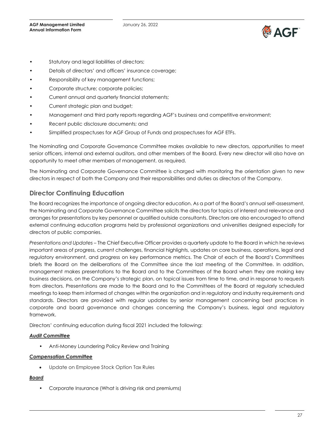

- Statutory and legal liabilities of directors;
- Details of directors' and officers' insurance coverage;
- Responsibility of key management functions;
- Corporate structure; corporate policies;
- Current annual and quarterly financial statements;
- Current strategic plan and budget;
- Management and third party reports regarding AGF's business and competitive environment;
- Recent public disclosure documents; and
- Simplified prospectuses for AGF Group of Funds and prospectuses for AGF ETFs.

The Nominating and Corporate Governance Committee makes available to new directors, opportunities to meet senior officers, internal and external auditors, and other members of the Board. Every new director will also have an opportunity to meet other members of management, as required.

The Nominating and Corporate Governance Committee is charged with monitoring the orientation given to new directors in respect of both the Company and their responsibilities and duties as directors of the Company.

# **Director Continuing Education**

The Board recognizes the importance of ongoing director education. As a part of the Board's annual self-assessment, the Nominating and Corporate Governance Committee solicits the directors for topics of interest and relevance and arranges for presentations by key personnel or qualified outside consultants. Directors are also encouraged to attend external continuing education programs held by professional organizations and universities designed especially for directors of public companies.

*Presentations and Updates* – The Chief Executive Officer provides a quarterly update to the Board in which he reviews important areas of progress, current challenges, financial highlights, updates on core business, operations, legal and regulatory environment, and progress on key performance metrics. The Chair of each of the Board's Committees briefs the Board on the deliberations of the Committee since the last meeting of the Committee. In addition, management makes presentations to the Board and to the Committees of the Board when they are making key business decisions, on the Company's strategic plan, on topical issues from time to time, and in response to requests from directors. Presentations are made to the Board and to the Committees of the Board at regularly scheduled meetings to keep them informed of changes within the organization and in regulatory and industry requirements and standards. Directors are provided with regular updates by senior management concerning best practices in corporate and board governance and changes concerning the Company's business, legal and regulatory framework.

Directors' continuing education during fiscal 2021 included the following:

#### *Audit Committee*

• Anti-Money Laundering Policy Review and Training

#### *Compensation Committee*

• Update on Employee Stock Option Tax Rules

#### *Board*

• Corporate Insurance (What is driving risk and premiums)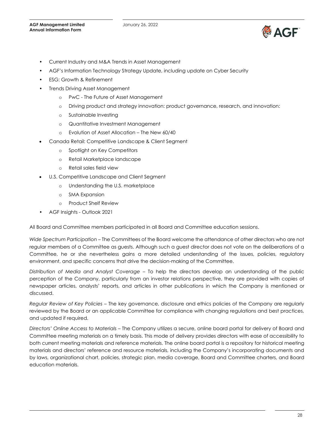

- Current Industry and M&A Trends in Asset Management
- AGF's Information Technology Strategy Update, including update on Cyber Security
- ESG: Growth & Refinement
- Trends Driving Asset Management
	- o PwC The Future of Asset Management
	- o Driving product and strategy innovation: product governance, research, and innovation:
	- o Sustainable Investing
	- o Quantitative Investment Management
	- o Evolution of Asset Allocation The New 60/40
- Canada Retail: Competitive Landscape & Client Segment
	- o Spotlight on Key Competitors
	- o Retail Marketplace landscape
	- o Retail sales field view
- U.S. Competitive Landscape and Client Segment
	- o Understanding the U.S. marketplace
	- o SMA Expansion
	- o Product Shelf Review
- AGF Insights Outlook 2021

All Board and Committee members participated in all Board and Committee education sessions.

*Wide Spectrum Participation* – The Committees of the Board welcome the attendance of other directors who are not regular members of a Committee as guests. Although such a guest director does not vote on the deliberations of a Committee, he or she nevertheless gains a more detailed understanding of the issues, policies, regulatory environment, and specific concerns that drive the decision-making of the Committee.

*Distribution of Media and Analyst Coverage* – To help the directors develop an understanding of the public perception of the Company, particularly from an investor relations perspective, they are provided with copies of newspaper articles, analysts' reports, and articles in other publications in which the Company is mentioned or discussed.

*Regular Review of Key Policies* – The key governance, disclosure and ethics policies of the Company are regularly reviewed by the Board or an applicable Committee for compliance with changing regulations and best practices, and updated if required.

*Directors' Online Access to Materials* – The Company utilizes a secure, online board portal for delivery of Board and Committee meeting materials on a timely basis. This mode of delivery provides directors with ease of accessibility to both current meeting materials and reference materials. The online board portal is a repository for historical meeting materials and directors' reference and resource materials, including the Company's incorporating documents and by laws, organizational chart, policies, strategic plan, media coverage, Board and Committee charters, and Board education materials.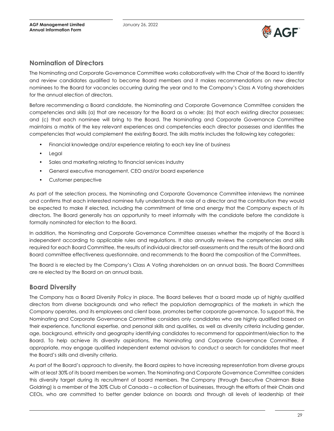

# **Nomination of Directors**

The Nominating and Corporate Governance Committee works collaboratively with the Chair of the Board to identify and review candidates qualified to become Board members and it makes recommendations on new director nominees to the Board for vacancies occurring during the year and to the Company's Class A Voting shareholders for the annual election of directors.

Before recommending a Board candidate, the Nominating and Corporate Governance Committee considers the competencies and skills (a) that are necessary for the Board as a whole; (b) that each existing director possesses; and (c) that each nominee will bring to the Board. The Nominating and Corporate Governance Committee maintains a matrix of the key relevant experiences and competencies each director possesses and identifies the competencies that would complement the existing Board. The skills matrix includes the following key categories:

- Financial knowledge and/or experience relating to each key line of business
- Legal
- Sales and marketing relating to financial services industry
- General executive management, CEO and/or board experience
- Customer perspective

As part of the selection process, the Nominating and Corporate Governance Committee interviews the nominee and confirms that each interested nominee fully understands the role of a director and the contribution they would be expected to make if elected, including the commitment of time and energy that the Company expects of its directors. The Board generally has an opportunity to meet informally with the candidate before the candidate is formally nominated for election to the Board.

In addition, the Nominating and Corporate Governance Committee assesses whether the majority of the Board is independent according to applicable rules and regulations. It also annually reviews the competencies and skills required for each Board Committee, the results of individual director self-assessments and the results of the Board and Board committee effectiveness questionnaire, and recommends to the Board the composition of the Committees.

The Board is re elected by the Company's Class A Voting shareholders on an annual basis. The Board Committees are re elected by the Board on an annual basis.

# **Board Diversity**

The Company has a Board Diversity Policy in place. The Board believes that a board made up of highly qualified directors from diverse backgrounds and who reflect the population demographics of the markets in which the Company operates, and its employees and client base, promotes better corporate governance. To support this, the Nominating and Corporate Governance Committee considers only candidates who are highly qualified based on their experience, functional expertise, and personal skills and qualities, as well as diversity criteria including gender, age, background, ethnicity and geography identifying candidates to recommend for appointment/election to the Board. To help achieve its diversity aspirations, the Nominating and Corporate Governance Committee, if appropriate, may engage qualified independent external advisors to conduct a search for candidates that meet the Board's skills and diversity criteria.

As part of the Board's approach to diversity, the Board aspires to have increasing representation from diverse groups with at least 30% of its board members be women. The Nominating and Corporate Governance Committee considers this diversity target during its recruitment of board members. The Company (through Executive Chairman Blake Goldring) is a member of the 30% Club of Canada – a collection of businesses, through the efforts of their Chairs and CEOs, who are committed to better gender balance on boards and through all levels of leadership at their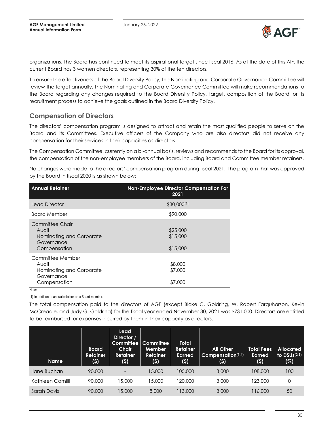

organizations. The Board has continued to meet its aspirational target since fiscal 2016. As at the date of this AIF, the current Board has 3 women directors, representing 30% of the ten directors.

To ensure the effectiveness of the Board Diversity Policy, the Nominating and Corporate Governance Committee will review the target annually. The Nominating and Corporate Governance Committee will make recommendations to the Board regarding any changes required to the Board Diversity Policy, target, composition of the Board, or its recruitment process to achieve the goals outlined in the Board Diversity Policy.

# **Compensation of Directors**

The directors' compensation program is designed to attract and retain the most qualified people to serve on the Board and its Committees. Executive officers of the Company who are also directors did not receive any compensation for their services in their capacities as directors.

The Compensation Committee, currently on a bi-annual basis, reviews and recommends to the Board for its approval, the compensation of the non-employee members of the Board, including Board and Committee member retainers.

No changes were made to the directors' compensation program during fiscal 2021. The program that was approved by the Board in fiscal 2020 is as shown below:

| <b>Annual Retainer</b>                                                              | Non-Employee Director Compensation For<br>2021 |
|-------------------------------------------------------------------------------------|------------------------------------------------|
| <b>Lead Director</b>                                                                | $$30,000^{(1)}$                                |
| <b>Board Member</b>                                                                 | \$90,000                                       |
| Committee Chair<br>Audit<br>Nominating and Corporate<br>Governance<br>Compensation  | \$25,000<br>\$15,000<br>\$15,000               |
| Committee Member<br>Audit<br>Nominating and Corporate<br>Governance<br>Compensation | \$8,000<br>\$7,000<br>\$7,000                  |

Note:

(1) In addition to annual retainer as a Board member.

The total compensation paid to the directors of AGF (except Blake C. Goldring, W. Robert Farquharson, Kevin McCreadie, and Judy G. Goldring) for the fiscal year ended November 30, 2021 was \$731,000. Directors are entitled to be reimbursed for expenses incurred by them in their capacity as directors.

| <b>Name</b>      | <b>Board</b><br><b>Retainer</b><br>(5) | Lead<br>Director /<br><b>Committee</b><br>Chair<br><b>Retainer</b><br>(5) | <b>Committee</b><br>Member<br><b>Retainer</b><br>(\$) | <b>Total</b><br><b>Retainer</b><br><b>Earned</b><br>(5) | <b>All Other</b><br>Compensation(1,4)<br>(5) | <b>Total Fees</b><br><b>Earned</b><br>(5) | <b>Allocated</b><br>to $\mathsf{DSUs}^{(2,3)}$<br>(%) |
|------------------|----------------------------------------|---------------------------------------------------------------------------|-------------------------------------------------------|---------------------------------------------------------|----------------------------------------------|-------------------------------------------|-------------------------------------------------------|
| Jane Buchan      | 90,000                                 | $\overline{\phantom{a}}$                                                  | 15,000                                                | 105,000                                                 | 3,000                                        | 108,000                                   | 100                                                   |
| Kathleen Camilli | 90,000                                 | 15,000                                                                    | 15,000                                                | 120,000                                                 | 3,000                                        | 123,000                                   | 0                                                     |
| Sarah Davis      | 90,000                                 | 15,000                                                                    | 8,000                                                 | 113,000                                                 | 3,000                                        | 116,000                                   | 50                                                    |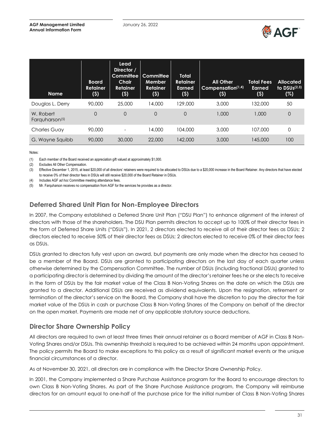

| <b>Name</b>                             | <b>Board</b><br><b>Retainer</b><br>(5) | Lead<br>Director /<br>Committee<br>Chair<br><b>Retainer</b><br>(5) | <b>Committee</b><br><b>Member</b><br><b>Retainer</b><br>(5) | Total<br><b>Retainer</b><br><b>Earned</b><br>(5) | <b>All Other</b><br>Compensation $(1,4)$<br>(5) | <b>Total Fees</b><br><b>Earned</b><br>(5) | <b>Allocated</b><br>to $DSUs(2,3)$<br>(%) |
|-----------------------------------------|----------------------------------------|--------------------------------------------------------------------|-------------------------------------------------------------|--------------------------------------------------|-------------------------------------------------|-------------------------------------------|-------------------------------------------|
| Douglas L. Derry                        | 90,000                                 | 25,000                                                             | 14,000                                                      | 129,000                                          | 3,000                                           | 132,000                                   | 50                                        |
| W. Robert<br>Farguharson <sup>(5)</sup> | $\Omega$                               | $\Omega$                                                           | $\mathbf 0$                                                 | 0                                                | 1,000                                           | 1,000                                     | 0                                         |
| <b>Charles Guay</b>                     | 90,000                                 |                                                                    | 14,000                                                      | 104,000                                          | 3,000                                           | 107.000                                   | $\Omega$                                  |
| G. Wayne Squibb                         | 90,000                                 | 30,000                                                             | 22,000                                                      | 142,000                                          | 3,000                                           | 145,000                                   | 100                                       |

Notes:

(1) Each member of the Board received an appreciation gift valued at approximately \$1,000.

(2) Excludes All Other Compensation.

(3) Effective December 1, 2015, at least \$20,000 of all directors' retainers were required to be allocated to DSUs due to a \$20,000 increase in the Board Retainer. Any directors that have elected to receive 0% of their director fees in DSUs will still receive \$20,000 of the Board Retainer in DSUs.

(4) Includes AGF *ad hoc* Committee meeting attendance fees.

(5) Mr. Farquharson receives no compensation from AGF for the services he provides as a director.

# **Deferred Shared Unit Plan for Non-Employee Directors**

In 2007, the Company established a Deferred Share Unit Plan ("DSU Plan") to enhance alignment of the interest of directors with those of the shareholders. The DSU Plan permits directors to accept up to 100% of their director fees in the form of Deferred Share Units ("DSUs"). In 2021, 2 directors elected to receive all of their director fees as DSUs; 2 directors elected to receive 50% of their director fees as DSUs; 2 directors elected to receive 0% of their director fees as DSUs.

DSUs granted to directors fully vest upon an award, but payments are only made when the director has ceased to be a member of the Board. DSUs are granted to participating directors on the last day of each quarter unless otherwise determined by the Compensation Committee. The number of DSUs (including fractional DSUs) granted to a participating director is determined by dividing the amount of the director's retainer fees he or she elects to receive in the form of DSUs by the fair market value of the Class B Non-Voting Shares on the date on which the DSUs are granted to a director. Additional DSUs are received as dividend equivalents. Upon the resignation, retirement or termination of the director's service on the Board, the Company shall have the discretion to pay the director the fair market value of the DSUs in cash or purchase Class B Non-Voting Shares of the Company on behalf of the director on the open market. Payments are made net of any applicable statutory source deductions.

# **Director Share Ownership Policy**

All directors are required to own at least three times their annual retainer as a Board member of AGF in Class B Non-Voting Shares and/or DSUs. This ownership threshold is required to be achieved within 24 months upon appointment. The policy permits the Board to make exceptions to this policy as a result of significant market events or the unique financial circumstances of a director.

As at November 30, 2021, all directors are in compliance with the Director Share Ownership Policy.

In 2001, the Company implemented a Share Purchase Assistance program for the Board to encourage directors to own Class B Non-Voting Shares. As part of the Share Purchase Assistance program, the Company will reimburse directors for an amount equal to one-half of the purchase price for the initial number of Class B Non-Voting Shares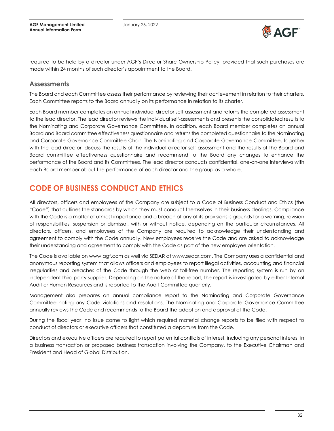**AGF Management Limited Annual Information Form**



required to be held by a director under AGF's Director Share Ownership Policy, provided that such purchases are made within 24 months of such director's appointment to the Board.

#### **Assessments**

The Board and each Committee assess their performance by reviewing their achievement in relation to their charters. Each Committee reports to the Board annually on its performance in relation to its charter.

Each Board member completes an annual individual director self-assessment and returns the completed assessment to the lead director. The lead director reviews the individual self-assessments and presents the consolidated results to the Nominating and Corporate Governance Committee. In addition, each Board member completes an annual Board and Board committee effectiveness questionnaire and returns the completed questionnaire to the Nominating and Corporate Governance Committee Chair. The Nominating and Corporate Governance Committee, together with the lead director, discuss the results of the individual director self-assessment and the results of the Board and Board committee effectiveness questionnaire and recommend to the Board any changes to enhance the performance of the Board and its Committees. The lead director conducts confidential, one-on-one interviews with each Board member about the performance of each director and the group as a whole.

# <span id="page-31-0"></span>**CODE OF BUSINESS CONDUCT AND ETHICS**

All directors, officers and employees of the Company are subject to a Code of Business Conduct and Ethics (the "Code") that outlines the standards by which they must conduct themselves in their business dealings. Compliance with the Code is a matter of utmost importance and a breach of any of its provisions is grounds for a warning, revision of responsibilities, suspension or dismissal, with or without notice, depending on the particular circumstances. All directors, officers, and employees of the Company are required to acknowledge their understanding and agreement to comply with the Code annually. New employees receive the Code and are asked to acknowledge their understanding and agreement to comply with the Code as part of the new employee orientation.

The Code is available on www.agf.com as well via SEDAR at www.sedar.com. The Company uses a confidential and anonymous reporting system that allows officers and employees to report illegal activities, accounting and financial irregularities and breaches of the Code through the web or toll-free number. The reporting system is run by an independent third party supplier. Depending on the nature of the report, the report is investigated by either Internal Audit or Human Resources and is reported to the Audit Committee quarterly.

Management also prepares an annual compliance report to the Nominating and Corporate Governance Committee noting any Code violations and resolutions. The Nominating and Corporate Governance Committee annually reviews the Code and recommends to the Board the adoption and approval of the Code.

During the fiscal year, no issue came to light which required material change reports to be filed with respect to conduct of directors or executive officers that constituted a departure from the Code.

Directors and executive officers are required to report potential conflicts of interest, including any personal interest in a business transaction or proposed business transaction involving the Company, to the Executive Chairman and President and Head of Global Distribution.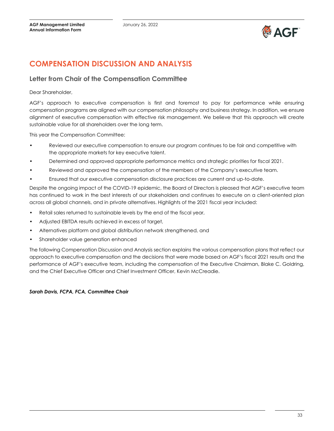

# <span id="page-32-0"></span>**COMPENSATION DISCUSSION AND ANALYSIS**

### **Letter from Chair of the Compensation Committee**

#### Dear Shareholder,

AGF's approach to executive compensation is first and foremost to pay for performance while ensuring compensation programs are aligned with our compensation philosophy and business strategy. In addition, we ensure alignment of executive compensation with effective risk management. We believe that this approach will create sustainable value for all shareholders over the long term.

This year the Compensation Committee:

- Reviewed our executive compensation to ensure our program continues to be fair and competitive with the appropriate markets for key executive talent.
- Determined and approved appropriate performance metrics and strategic priorities for fiscal 2021.
- Reviewed and approved the compensation of the members of the Company's executive team.
- Ensured that our executive compensation disclosure practices are current and up-to-date.

Despite the ongoing impact of the COVID-19 epidemic, the Board of Directors is pleased that AGF's executive team has continued to work in the best interests of our stakeholders and continues to execute on a client-oriented plan across all global channels, and in private alternatives. Highlights of the 2021 fiscal year included:

- Retail sales returned to sustainable levels by the end of the fiscal year,
- Adjusted EBITDA results achieved in excess of target,
- Alternatives platform and global distribution network strengthened, and
- Shareholder value generation enhanced

The following Compensation Discussion and Analysis section explains the various compensation plans that reflect our approach to executive compensation and the decisions that were made based on AGF's fiscal 2021 results and the performance of AGF's executive team, including the compensation of the Executive Chairman, Blake C. Goldring, and the Chief Executive Officer and Chief Investment Officer, Kevin McCreadie.

#### *Sarah Davis, FCPA, FCA, Committee Chair*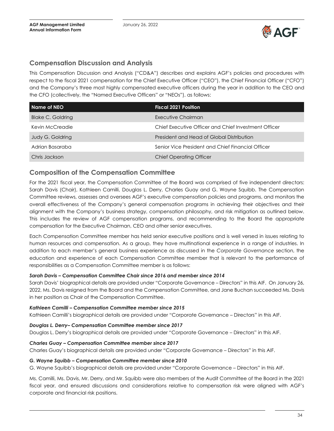

# **Compensation Discussion and Analysis**

This Compensation Discussion and Analysis ("CD&A") describes and explains AGF's policies and procedures with respect to the fiscal 2021 compensation for the Chief Executive Officer ("CEO"), the Chief Financial Officer ("CFO") and the Company's three most highly compensated executive officers during the year in addition to the CEO and the CFO (collectively, the "Named Executive Officers" or "NEOs"), as follows:

| Name of NEO              | <b>Fiscal 2021 Position</b>                          |
|--------------------------|------------------------------------------------------|
| <b>Blake C. Goldring</b> | Executive Chairman                                   |
| Kevin McCreadie          | Chief Executive Officer and Chief Investment Officer |
| <b>Judy G. Goldring</b>  | President and Head of Global Distribution            |
| Adrian Basaraba          | Senior Vice President and Chief Financial Officer    |
| Chris Jackson            | <b>Chief Operating Officer</b>                       |

# **Composition of the Compensation Committee**

For the 2021 fiscal year, the Compensation Committee of the Board was comprised of five independent directors: Sarah Davis (Chair), Kathleen Camilli, Douglas L. Derry, Charles Guay and G. Wayne Squibb. The Compensation Committee reviews, assesses and oversees AGF's executive compensation policies and programs, and monitors the overall effectiveness of the Company's general compensation programs in achieving their objectives and their alignment with the Company's business strategy, compensation philosophy, and risk mitigation as outlined below. This includes the review of AGF compensation programs, and recommending to the Board the appropriate compensation for the Executive Chairman, CEO and other senior executives.

Each Compensation Committee member has held senior executive positions and is well versed in issues relating to human resources and compensation. As a group, they have multinational experience in a range of industries. In addition to each member's general business experience as discussed in the *Corporate Governance* section, the education and experience of each Compensation Committee member that is relevant to the performance of responsibilities as a Compensation Committee member is as follows:

#### *Sarah Davis – Compensation Committee Chair since 2016 and member since 2014*

Sarah Davis' biographical details are provided under "Corporate Governance – Directors" in this AIF. On January 26, 2022, Ms. Davis resigned from the Board and the Compensation Committee, and Jane Buchan succeeded Ms. Davis in her position as Chair of the Compensation Committee.

#### *Kathleen Camilli – Compensation Committee member since 2015*

Kathleen Camilli's biographical details are provided under "Corporate Governance – Directors" in this AIF.

#### *Douglas L. Derry– Compensation Committee member since 2017*

Douglas L. Derry's biographical details are provided under "Corporate Governance – Directors" in this AIF.

#### *Charles Guay – Compensation Committee member since 2017*

Charles Guay's biographical details are provided under "Corporate Governance – Directors" in this AIF.

#### *G. Wayne Squibb – Compensation Committee member since 2010*

G. Wayne Squibb's biographical details are provided under "Corporate Governance – Directors" in this AIF.

Ms. Camilli, Ms. Davis, Mr. Derry, and Mr. Squibb were also members of the Audit Committee of the Board in the 2021 fiscal year, and ensured discussions and considerations relative to compensation risk were aligned with AGF's corporate and financial risk positions.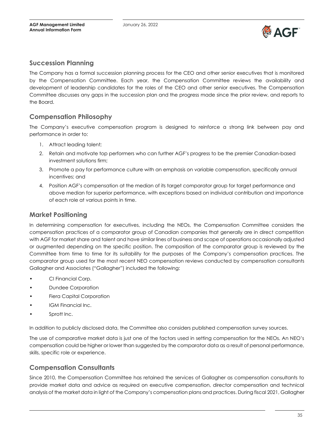

# **Succession Planning**

The Company has a formal succession planning process for the CEO and other senior executives that is monitored by the Compensation Committee. Each year, the Compensation Committee reviews the availability and development of leadership candidates for the roles of the CEO and other senior executives. The Compensation Committee discusses any gaps in the succession plan and the progress made since the prior review, and reports to the Board.

# **Compensation Philosophy**

The Company's executive compensation program is designed to reinforce a strong link between pay and performance in order to:

- 1. Attract leading talent;
- 2. Retain and motivate top performers who can further AGF's progress to be the premier Canadian-based investment solutions firm;
- 3. Promote a pay for performance culture with an emphasis on variable compensation, specifically annual incentives; and
- 4. Position AGF's compensation at the median of its target comparator group for target performance and above median for superior performance, with exceptions based on individual contribution and importance of each role at various points in time.

### **Market Positioning**

In determining compensation for executives, including the NEOs, the Compensation Committee considers the compensation practices of a comparator group of Canadian companies that generally are in direct competition with AGF for market share and talent and have similar lines of business and scope of operations occasionally adjusted or augmented depending on the specific position. The composition of the comparator group is reviewed by the Committee from time to time for its suitability for the purposes of the Company's compensation practices. The comparator group used for the most recent NEO compensation reviews conducted by compensation consultants Gallagher and Associates ("Gallagher") included the following:

- CI Financial Corp.
- Dundee Corporation
- Fiera Capital Corporation
- IGM Financial Inc.
- Sprott Inc.

In addition to publicly disclosed data, the Committee also considers published compensation survey sources.

The use of comparative market data is just one of the factors used in setting compensation for the NEOs. An NEO's compensation could be higher or lower than suggested by the comparator data as a result of personal performance, skills, specific role or experience.

# **Compensation Consultants**

Since 2010, the Compensation Committee has retained the services of Gallagher as compensation consultants to provide market data and advice as required on executive compensation, director compensation and technical analysis of the market data in light of the Company's compensation plans and practices. During fiscal 2021, Gallagher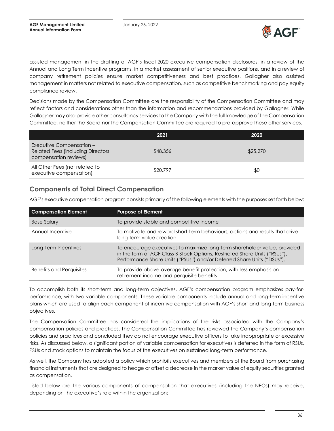

assisted management in the drafting of AGF's fiscal 2020 executive compensation disclosures, in a review of the Annual and Long Term Incentive programs, in a market assessment of senior executive positions, and in a review of company retirement policies ensure market competitiveness and best practices. Gallagher also assisted management in matters not related to executive compensation, such as competitive benchmarking and pay equity compliance review.

Decisions made by the Compensation Committee are the responsibility of the Compensation Committee and may reflect factors and considerations other than the information and recommendations provided by Gallagher. While Gallagher may also provide other consultancy services to the Company with the full knowledge of the Compensation Committee, neither the Board nor the Compensation Committee are required to pre-approve these other services.

|                                                                                               | 2021     | 2020     |
|-----------------------------------------------------------------------------------------------|----------|----------|
| Executive Compensation -<br><b>Related Fees (including Directors</b><br>compensation reviews) | \$48,356 | \$25,270 |
| All Other Fees (not related to<br>executive compensation)                                     | \$20,797 | \$0      |

# **Components of Total Direct Compensation**

AGF's executive compensation program consists primarily of the following elements with the purposes set forth below:

| <b>Compensation Element</b>     | <b>Purpose of Element</b>                                                                                                                                                                                                         |
|---------------------------------|-----------------------------------------------------------------------------------------------------------------------------------------------------------------------------------------------------------------------------------|
| <b>Base Salary</b>              | To provide stable and competitive income                                                                                                                                                                                          |
| Annual Incentive                | To motivate and reward short-term behaviours, actions and results that drive<br>long-term value creation                                                                                                                          |
| Long-Term Incentives            | To encourage executives to maximize long-term shareholder value, provided<br>in the form of AGF Class B Stock Options, Restricted Share Units ("RSUs"),<br>Performance Share Units ("PSUs") and/or Deferred Share Units ("DSUs"). |
| <b>Benefits and Perquisites</b> | To provide above average benefit protection, with less emphasis on<br>retirement income and perquisite benefits                                                                                                                   |

To accomplish both its short-term and long-term objectives, AGF's compensation program emphasizes pay-forperformance, with two variable components. These variable components include annual and long-term incentive plans which are used to align each component of incentive compensation with AGF's short and long-term business objectives.

The Compensation Committee has considered the implications of the risks associated with the Company's compensation policies and practices. The Compensation Committee has reviewed the Company's compensation policies and practices and concluded they do not encourage executive officers to take inappropriate or excessive risks. As discussed below, a significant portion of variable compensation for executives is deferred in the form of RSUs, PSUs and stock options to maintain the focus of the executives on sustained long-term performance.

As well, the Company has adopted a policy which prohibits executives and members of the Board from purchasing financial instruments that are designed to hedge or offset a decrease in the market value of equity securities granted as compensation.

Listed below are the various components of compensation that executives (including the NEOs) may receive, depending on the executive's role within the organization: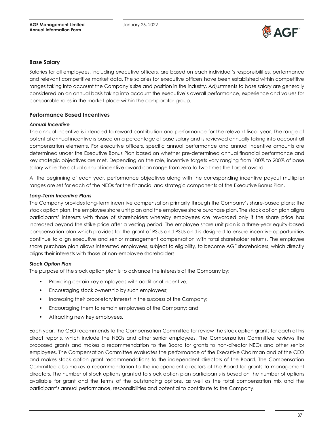

#### **Base Salary**

Salaries for all employees, including executive officers, are based on each individual's responsibilities, performance and relevant competitive market data. The salaries for executive officers have been established within competitive ranges taking into account the Company's size and position in the industry. Adjustments to base salary are generally considered on an annual basis taking into account the executive's overall performance, experience and values for comparable roles in the market place within the comparator group.

#### **Performance Based Incentives**

#### *Annual Incentive*

The annual incentive is intended to reward contribution and performance for the relevant fiscal year. The range of potential annual incentive is based on a percentage of base salary and is reviewed annually taking into account all compensation elements. For executive officers, specific annual performance and annual incentive amounts are determined under the Executive Bonus Plan based on whether pre-determined annual financial performance and key strategic objectives are met. Depending on the role, incentive targets vary ranging from 100% to 200% of base salary while the actual annual incentive award can range from zero to two times the target award.

At the beginning of each year, performance objectives along with the corresponding incentive payout multiplier ranges are set for each of the NEOs for the financial and strategic components of the Executive Bonus Plan.

#### *Long-Term Incentive Plans*

The Company provides long-term incentive compensation primarily through the Company's share-based plans: the stock option plan, the employee share unit plan and the employee share purchase plan. The stock option plan aligns participants' interests with those of shareholders whereby employees are rewarded only if the share price has increased beyond the strike price after a vesting period. The employee share unit plan is a three-year equity-based compensation plan which provides for the grant of RSUs and PSUs and is designed to ensure incentive opportunities continue to align executive and senior management compensation with total shareholder returns. The employee share purchase plan allows interested employees, subject to eligibility, to become AGF shareholders, which directly aligns their interests with those of non-employee shareholders.

#### *Stock Option Plan*

The purpose of the stock option plan is to advance the interests of the Company by:

- Providing certain key employees with additional incentive;
- Encouraging stock ownership by such employees;
- Increasing their proprietary interest in the success of the Company;
- Encouraging them to remain employees of the Company; and
- Attracting new key employees.

Each year, the CEO recommends to the Compensation Committee for review the stock option grants for each of his direct reports, which include the NEOs and other senior employees. The Compensation Committee reviews the proposed grants and makes a recommendation to the Board for grants to non-director NEOs and other senior employees. The Compensation Committee evaluates the performance of the Executive Chairman and of the CEO and makes stock option grant recommendations to the independent directors of the Board. The Compensation Committee also makes a recommendation to the independent directors of the Board for grants to management directors. The number of stock options granted to stock option plan participants is based on the number of options available for grant and the terms of the outstanding options, as well as the total compensation mix and the participant's annual performance, responsibilities and potential to contribute to the Company.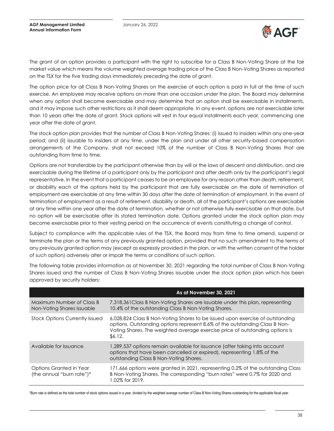

The grant of an option provides a participant with the right to subscribe for a Class B Non-Voting Share at the fair market value which means the volume weighted average trading price of the Class B Non-Voting Shares as reported on the TSX for the five trading days immediately preceding the date of grant.

The option price for all Class B Non-Voting Shares on the exercise of each option is paid in full at the time of such exercise. An employee may receive options on more than one occasion under the plan. The Board may determine when any option shall become exercisable and may determine that an option shall be exercisable in installments, and it may impose such other restrictions as it shall deem appropriate. In any event, options are not exercisable later than 10 years after the date of grant. Stock options will vest in four equal installments each year, commencing one year after the date of grant.

The stock option plan provides that the number of Class B Non-Voting Shares: (i) issued to insiders within any one-year period; and (ii) issuable to insiders at any time, under the plan and under all other security-based compensation arrangements of the Company, shall not exceed 10% of the number of Class B Non-Voting Shares that are outstanding from time to time.

Options are not transferable by the participant otherwise than by will or the laws of descent and distribution, and are exercisable during the lifetime of a participant only by the participant and after death only by the participant's legal representative. In the event that a participant ceases to be an employee for any reason other than death, retirement, or disability each of the options held by the participant that are fully exercisable on the date of termination of employment are exercisable at any time within 30 days after the date of termination of employment. In the event of termination of employment as a result of retirement, disability or death, all of the participant's options are exercisable at any time within one year after the date of termination, whether or not otherwise fully exercisable on that date, but no option will be exercisable after its stated termination date. Options granted under the stock option plan may become exercisable prior to their vesting period on the occurrence of events constituting a change of control.

Subject to compliance with the applicable rules of the TSX, the Board may from time to time amend, suspend or terminate the plan or the terms of any previously granted option, provided that no such amendment to the terms of any previously granted option may (except as expressly provided in the plan, or with the written consent of the holder of such option) adversely alter or impair the terms or conditions of such option.

The following table provides information as at November 30, 2021 regarding the total number of Class B Non-Voting Shares issued and the number of Class B Non-Voting Shares issuable under the stock option plan which has been approved by security holders:

|                                                         | As at November 30, 2021                                                                                                                                                                                                                                 |
|---------------------------------------------------------|---------------------------------------------------------------------------------------------------------------------------------------------------------------------------------------------------------------------------------------------------------|
| Maximum Number of Class B<br>Non-Voting Shares issuable | 7,318,361 Class B Non-Voting Shares are issuable under this plan, representing<br>10.4% of the outstanding Class B Non-Voting Shares.                                                                                                                   |
| <b>Stock Options Currently Issued</b>                   | 6,028,824 Class B Non-Voting Shares to be issued upon exercise of outstanding<br>options. Outstanding options represent 8.6% of the outstanding Class B Non-<br>Voting Shares. The weighted average exercise price of outstanding options is<br>\$6.12. |
| Available for Issuance                                  | 1,289,537 options remain available for issuance (after taking into account<br>options that have been cancelled or expired), representing 1.8% of the<br>outstanding Class B Non-Voting Shares.                                                          |
| Options Granted in Year<br>(the annual "burn rate")*    | 171,666 options were granted in 2021, representing 0.2% of the outstanding Class<br>B Non-Voting Shares. The corresponding "burn rates" were 0.7% for 2020 and<br>1.02% for 2019.                                                                       |

\*Burn rate is defined as the total number of stock options issued in a year, divided by the weighted average number of Class B Non-Voting Shares outstanding for the applicable fiscal year.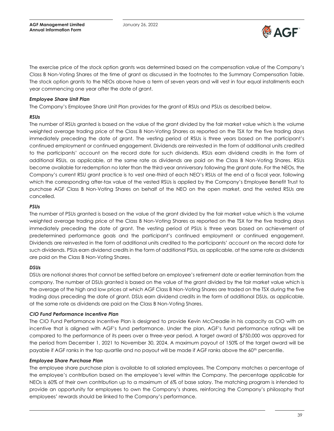

The exercise price of the stock option grants was determined based on the compensation value of the Company's Class B Non-Voting Shares at the time of grant as discussed in the footnotes to the Summary Compensation Table. The stock option grants to the NEOs above have a term of seven years and will vest in four equal installments each year commencing one year after the date of grant.

#### *Employee Share Unit Plan*

The Company's Employee Share Unit Plan provides for the grant of RSUs and PSUs as described below.

#### *RSUs*

The number of RSUs granted is based on the value of the grant divided by the fair market value which is the volume weighted average trading price of the Class B Non-Voting Shares as reported on the TSX for the five trading days immediately preceding the date of grant. The vesting period of RSUs is three years based on the participant's continued employment or continued engagement. Dividends are reinvested in the form of additional units credited to the participants' account on the record date for such dividends. RSUs earn dividend credits in the form of additional RSUs, as applicable, at the same rate as dividends are paid on the Class B Non-Voting Shares. RSUs become available for redemption no later than the third-year anniversary following the grant date. For the NEOs, the Company's current RSU grant practice is to vest one-third of each NEO's RSUs at the end of a fiscal year, following which the corresponding after-tax value of the vested RSUs is applied by the Company's Employee Benefit Trust to purchase AGF Class B Non-Voting Shares on behalf of the NEO on the open market, and the vested RSUs are cancelled.

#### *PSUs*

The number of PSUs granted is based on the value of the grant divided by the fair market value which is the volume weighted average trading price of the Class B Non-Voting Shares as reported on the TSX for the five trading days immediately preceding the date of grant. The vesting period of PSUs is three years based on achievement of predetermined performance goals and the participant's continued employment or continued engagement. Dividends are reinvested in the form of additional units credited to the participants' account on the record date for such dividends. PSUs earn dividend credits in the form of additional PSUs, as applicable, at the same rate as dividends are paid on the Class B Non-Voting Shares.

#### *DSUs*

DSUs are notional shares that cannot be settled before an employee's retirement date or earlier termination from the company. The number of DSUs granted is based on the value of the grant divided by the fair market value which is the average of the high and low prices at which AGF Class B Non-Voting Shares are traded on the TSX during the five trading days preceding the date of grant. DSUs earn dividend credits in the form of additional DSUs, as applicable, at the same rate as dividends are paid on the Class B Non-Voting Shares.

#### *CIO Fund Performance Incentive Plan*

The CIO Fund Performance Incentive Plan is designed to provide Kevin McCreadie in his capacity as CIO with an incentive that is aligned with AGF's fund performance. Under the plan, AGF's fund performance ratings will be compared to the performance of its peers over a three-year period. A target award of \$750,000 was approved for the period from December 1, 2021 to November 30, 2024. A maximum payout of 150% of the target award will be payable if AGF ranks in the top quartile and no payout will be made if AGF ranks above the 60<sup>th</sup> percentile.

#### *Employee Share Purchase Plan*

The employee share purchase plan is available to all salaried employees. The Company matches a percentage of the employee's contribution based on the employee's level within the Company. The percentage applicable for NEOs is 60% of their own contribution up to a maximum of 6% of base salary. The matching program is intended to provide an opportunity for employees to own the Company's shares, reinforcing the Company's philosophy that employees' rewards should be linked to the Company's performance.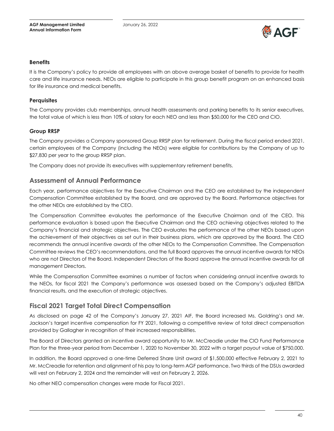

#### **Benefits**

It is the Company's policy to provide all employees with an above average basket of benefits to provide for health care and life insurance needs. NEOs are eligible to participate in this group benefit program on an enhanced basis for life insurance and medical benefits.

#### **Perquisites**

The Company provides club memberships, annual health assessments and parking benefits to its senior executives, the total value of which is less than 10% of salary for each NEO and less than \$50,000 for the CEO and CIO.

#### **Group RRSP**

The Company provides a Company sponsored Group RRSP plan for retirement. During the fiscal period ended 2021, certain employees of the Company (including the NEOs) were eligible for contributions by the Company of up to \$27,830 per year to the group RRSP plan.

The Company does not provide its executives with supplementary retirement benefits.

#### **Assessment of Annual Performance**

Each year, performance objectives for the Executive Chairman and the CEO are established by the independent Compensation Committee established by the Board, and are approved by the Board. Performance objectives for the other NEOs are established by the CEO.

The Compensation Committee evaluates the performance of the Executive Chairman and of the CEO. This performance evaluation is based upon the Executive Chairman and the CEO achieving objectives related to the Company's financial and strategic objectives. The CEO evaluates the performance of the other NEOs based upon the achievement of their objectives as set out in their business plans, which are approved by the Board. The CEO recommends the annual incentive awards of the other NEOs to the Compensation Committee. The Compensation Committee reviews the CEO's recommendations, and the full Board approves the annual incentive awards for NEOs who are not Directors of the Board. Independent Directors of the Board approve the annual incentive awards for all management Directors.

While the Compensation Committee examines a number of factors when considering annual incentive awards to the NEOs, for fiscal 2021 the Company's performance was assessed based on the Company's adjusted EBITDA financial results, and the execution of strategic objectives.

### **Fiscal 2021 Target Total Direct Compensation**

As disclosed on page 42 of the Company's January 27, 2021 AIF, the Board increased Ms. Goldring's and Mr. Jackson's target incentive compensation for FY 2021, following a competitive review of total direct compensation provided by Gallagher in recognition of their increased responsibilities.

The Board of Directors granted an incentive award opportunity to Mr. McCreadie under the CIO Fund Performance Plan for the three-year period from December 1, 2020 to November 30, 2022 with a target payout value of \$750,000.

In addition, the Board approved a one-time Deferred Share Unit award of \$1,500,000 effective February 2, 2021 to Mr. McCreadie for retention and alignment of his pay to long-term AGF performance. Two thirds of the DSUs awarded will vest on February 2, 2024 and the remainder will vest on February 2, 2026.

No other NEO compensation changes were made for Fiscal 2021.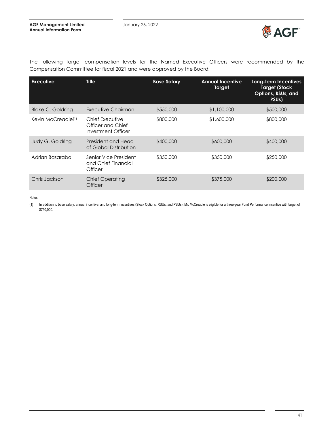

| <b>Executive</b>               | <b>Title</b>                                               | <b>Base Salary</b> | <b>Annual Incentive</b><br><b>Target</b> | Long-term Incentives<br><b>Target (Stock</b><br>Options, RSUs, and<br>PSU <sub>s</sub> ) |
|--------------------------------|------------------------------------------------------------|--------------------|------------------------------------------|------------------------------------------------------------------------------------------|
| <b>Blake C. Goldring</b>       | Executive Chairman                                         | \$550,000          | \$1,100,000                              | \$500,000                                                                                |
| Kevin McCreadie <sup>(1)</sup> | Chief Executive<br>Officer and Chief<br>Investment Officer | \$800,000          | \$1,600,000                              | \$800,000                                                                                |
| <b>Judy G. Goldring</b>        | President and Head<br>of Global Distribution               | \$400,000          | \$600,000                                | \$400,000                                                                                |
| Adrian Basaraba                | Senior Vice President<br>and Chief Financial<br>Officer    | \$350,000          | \$350,000                                | \$250,000                                                                                |
| Chris Jackson                  | <b>Chief Operating</b><br><b>Officer</b>                   | \$325,000          | \$375,000                                | \$200,000                                                                                |

The following target compensation levels for the Named Executive Officers were recommended by the Compensation Committee for fiscal 2021 and were approved by the Board:

Notes:

(1) In addition to base salary, annual incentive, and long-term Incentives (Stock Options, RSUs, and PSUs), Mr. McCreadie is eligible for a three-year Fund Performance Incentive with target of \$750,000.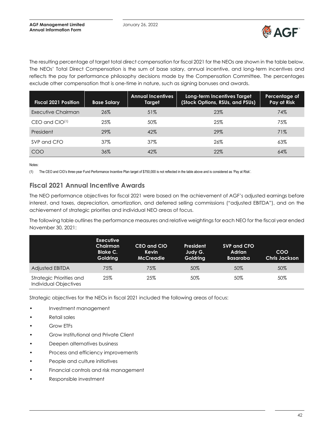

The resulting percentage of target total direct compensation for fiscal 2021 for the NEOs are shown in the table below. The NEOs' Total Direct Compensation is the sum of base salary, annual incentive, and long-term incentives and reflects the pay for performance philosophy decisions made by the Compensation Committee. The percentages exclude other compensation that is one-time in nature, such as signing bonuses and awards.

| <b>Fiscal 2021 Position</b> | <b>Base Salary</b> | <b>Annual Incentives</b><br>Target | Long-term Incentives Target<br>(Stock Options, RSUs, and PSUs) | Percentage of<br>Pay at Risk |
|-----------------------------|--------------------|------------------------------------|----------------------------------------------------------------|------------------------------|
| Executive Chairman          | 26%                | 51%                                | 23%                                                            | 74%                          |
| $CEO$ and $CIO^{(1)}$       | 25%                | 50%                                | 25%                                                            | 75%                          |
| President                   | 29%                | 42%                                | 29%                                                            | 71%                          |
| SVP and CFO                 | 37%                | 37%                                | 26%                                                            | 63%                          |
| COO                         | 36%                | 42%                                | 22%                                                            | 64%                          |

Notes:

(1) The CEO and CIO's three-year Fund Performance Incentive Plan target of \$750,000 is not reflected in the table above and is considered as 'Pay at Risk'.

# **Fiscal 2021 Annual Incentive Awards**

The NEO performance objectives for fiscal 2021 were based on the achievement of AGF's adjusted earnings before interest, and taxes, depreciation, amortization, and deferred selling commissions ("adjusted EBITDA"), and on the achievement of strategic priorities and individual NEO areas of focus.

The following table outlines the performance measures and relative weightings for each NEO for the fiscal year ended November 30, 2021:

|                                                   | <b>Executive</b><br>Chairman<br><b>Blake C.</b><br><b>Goldring</b> | CEO and CIO<br><b>Kevin</b><br><b>McCreadie</b> | President<br>Judy G.<br><b>Goldring</b> | SVP and CFO<br><b>Adrian</b><br><b>Basaraba</b> | COO<br><b>Chris Jackson</b> |
|---------------------------------------------------|--------------------------------------------------------------------|-------------------------------------------------|-----------------------------------------|-------------------------------------------------|-----------------------------|
| Adjusted EBITDA                                   | 75%                                                                | 75%                                             | 50%                                     | 50%                                             | 50%                         |
| Strategic Priorities and<br>Individual Objectives | 25%                                                                | 25%                                             | 50%                                     | 50%                                             | 50%                         |

Strategic objectives for the NEOs in fiscal 2021 included the following areas of focus:

- Investment management
- Retail sales
- Grow ETFs
- Grow Institutional and Private Client
- Deepen alternatives business
- Process and efficiency improvements
- People and culture initiatives
- Financial controls and risk management
- Responsible investment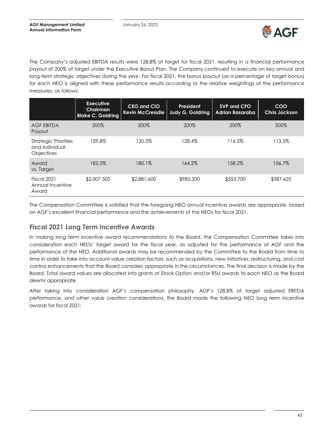

The Company's adjusted EBITDA results were 128.8% of target for fiscal 2021, resulting in a financial performance payout of 200% of target under the Executive Bonus Plan. The Company continued to execute on key annual and long-term strategic objectives during the year. For fiscal 2021, the bonus payout (as a percentage of target bonus) for each NEO is aligned with these performance results according to the relative weightings of the performance measures, as follows:

|                                                                    | <b>Executive</b><br>Chairman<br><b>Blake C. Goldring</b> | CEO and CIO<br><b>Kevin McCreadie</b> | President<br><b>Judy G. Goldring</b> | <b>SVP and CFO</b><br>Adrian Basaraba | <b>COO</b><br><b>Chris Jackson</b> |
|--------------------------------------------------------------------|----------------------------------------------------------|---------------------------------------|--------------------------------------|---------------------------------------|------------------------------------|
| <b>AGF EBITDA</b><br>Payout                                        | 200%                                                     | 200%                                  | 200%                                 | 200%                                  | 200%                               |
| <b>Strategic Priorities</b><br>and Individual<br><b>Objectives</b> | 129.8%                                                   | 120.5%                                | 128.4%                               | 116.5%                                | 113.5%                             |
| Award<br>vs. Target                                                | 182.5%                                                   | 180.1%                                | 164.2%                               | 158.2%                                | 156.7%                             |
| Fiscal 2021<br>Annual Incentive<br>Award                           | \$2,007,500                                              | \$2,881,600                           | \$985,200                            | \$553,700                             | \$587,625                          |

The Compensation Committee is satisfied that the foregoing NEO annual incentive awards are appropriate, based on AGF's excellent financial performance and the achievements of the NEOs for fiscal 2021.

# **Fiscal 2021 Long Term Incentive Awards**

In making long term incentive award recommendations to the Board, the Compensation Committee takes into consideration each NEOs' target award for the fiscal year, as adjusted for the performance of AGF and the performance of the NEO. Additional awards may be recommended by the Committee to the Board from time to time in order to take into account value creation factors, such as acquisitions, new initiatives, restructuring, and cost control enhancements that the Board considers appropriate in the circumstances. The final decision is made by the Board. Total award values are allocated into grants of Stock Option and/or RSU awards to each NEO as the Board deems appropriate.

After taking into consideration AGF's compensation philosophy, AGF's 128.8% of target adjusted EBITDA performance, and other value creation considerations, the Board made the following NEO long term incentive awards for fiscal 2021: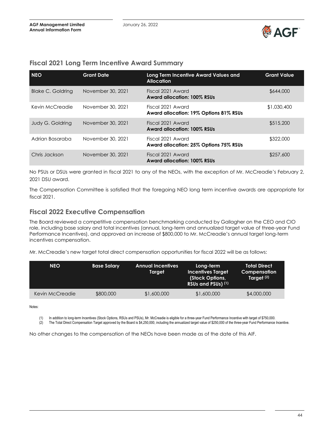

### **Fiscal 2021 Long Term Incentive Award Summary**

| <b>NEO</b>               | <b>Grant Date</b> | Long Term Incentive Award Values and<br><b>Allocation</b>   | <b>Grant Value</b> |
|--------------------------|-------------------|-------------------------------------------------------------|--------------------|
| <b>Blake C. Goldring</b> | November 30, 2021 | Fiscal 2021 Award<br><b>Award allocation: 100% RSUs</b>     | \$644,000          |
| Kevin McCreadie          | November 30, 2021 | Fiscal 2021 Award<br>Award allocation: 19% Options 81% RSUs | \$1,030,400        |
| Judy G. Goldring         | November 30, 2021 | Fiscal 2021 Award<br>Award allocation: 100% RSUs            | \$515,200          |
| Adrian Basaraba          | November 30, 2021 | Fiscal 2021 Award<br>Award allocation: 25% Options 75% RSUs | \$322,000          |
| Chris Jackson            | November 30, 2021 | Fiscal 2021 Award<br>Award allocation: 100% RSUs            | \$257,600          |

No PSUs or DSUs were granted in fiscal 2021 to any of the NEOs, with the exception of Mr. McCreadie's February 2, 2021 DSU award.

The Compensation Committee is satisfied that the foregoing NEO long term incentive awards are appropriate for fiscal 2021.

### **Fiscal 2022 Executive Compensation**

The Board reviewed a competitive compensation benchmarking conducted by Gallagher on the CEO and CIO role, including base salary and total incentives (annual, long-term and annualized target value of three-year Fund Performance Incentives), and approved an increase of \$800,000 to Mr. McCreadie's annual target long-term incentives compensation.

Mr. McCreadie's new target total direct compensation opportunities for fiscal 2022 will be as follows:

| <b>NEO</b>      | <b>Base Salary</b> | <b>Annual Incentives</b><br>Target | Long-term<br><b>Incentives Target</b><br>(Stock Options,<br>RSUs and PSUs) (1) | <b>Total Direct</b><br>Compensation<br>Target <sup>(2)</sup> |
|-----------------|--------------------|------------------------------------|--------------------------------------------------------------------------------|--------------------------------------------------------------|
| Kevin McCreadie | \$800,000          | \$1,600,000                        | \$1,600,000                                                                    | \$4,000,000                                                  |

Notes:

(1) In addition to long-term Incentives (Stock Options, RSUs and PSUs), Mr. McCreadie is eligible for a three-year Fund Performance Incentive with target of \$750,000.<br>(2) The Total Direct Compensation Target approved by th The Total Direct Compensation Target approved by the Board is \$4,250,000, including the annualized target value of \$250,000 of the three-year Fund Performance Incentive.

No other changes to the compensation of the NEOs have been made as of the date of this AIF.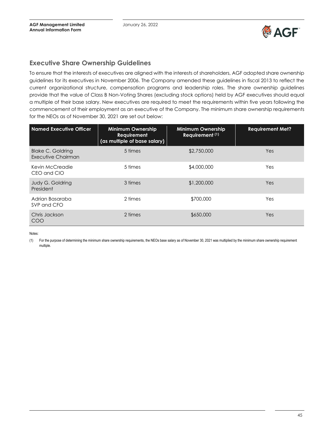

# **Executive Share Ownership Guidelines**

To ensure that the interests of executives are aligned with the interests of shareholders, AGF adopted share ownership guidelines for its executives in November 2006. The Company amended these guidelines in fiscal 2013 to reflect the current organizational structure, compensation programs and leadership roles. The share ownership guidelines provide that the value of Class B Non-Voting Shares (excluding stock options) held by AGF executives should equal a multiple of their base salary. New executives are required to meet the requirements within five years following the commencement of their employment as an executive of the Company. The minimum share ownership requirements for the NEOs as of November 30, 2021 are set out below:

| <b>Named Executive Officer</b>                 | <b>Minimum Ownership</b><br>Requirement<br>(as multiple of base salary) | <b>Minimum Ownership</b><br>Requirement (1) | <b>Requirement Met?</b> |
|------------------------------------------------|-------------------------------------------------------------------------|---------------------------------------------|-------------------------|
| <b>Blake C. Goldring</b><br>Executive Chairman | 5 times                                                                 | \$2,750,000                                 | Yes                     |
| Kevin McCreadie<br>CEO and CIO                 | 5 times                                                                 | \$4,000,000                                 | Yes                     |
| Judy G. Goldring<br>President                  | 3 times                                                                 | \$1,200,000                                 | Yes                     |
| Adrian Basaraba<br>SVP and CFO                 | 2 times                                                                 | \$700,000                                   | Yes                     |
| Chris Jackson<br>COO                           | 2 times                                                                 | \$650,000                                   | Yes                     |

Notes:

(1) For the purpose of determining the minimum share ownership requirements, the NEOs base salary as of November 30, 2021 was multiplied by the minimum share ownership requirement multiple.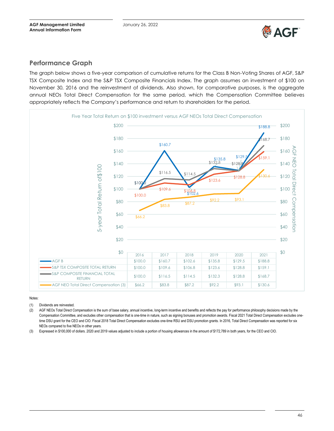

# **Performance Graph**

The graph below shows a five-year comparison of cumulative returns for the Class B Non-Voting Shares of AGF, S&P TSX Composite Index and the S&P TSX Composite Financials Index. The graph assumes an investment of \$100 on November 30, 2016 and the reinvestment of dividends. Also shown, for comparative purposes, is the aggregate annual NEOs Total Direct Compensation for the same period, which the Compensation Committee believes appropriately reflects the Company's performance and return to shareholders for the period.



#### Notes:

(1) Dividends are reinvested.

(2) AGF NEOs Total Direct Compensation is the sum of base salary, annual incentive, long-term incentive and benefits and reflects the pay for performance philosophy decisions made by the Compensation Committee, and excludes other compensation that is one-time in nature, such as signing bonuses and promotion awards. Fiscal 2021 Total Direct Compensation excludes onetime DSU grant for the CEO and CIO. Fiscal 2018 Total Direct Compensation excludes one-time RSU and DSU promotion grants. In 2016, Total Direct Compensation was reported for six NEOs compared to five NEOs in other years.

(3) Expressed in \$100,000 of dollars. 2020 and 2019 values adjusted to include a portion of housing allowances in the amount of \$172,789 in both years, for the CEO and CIO.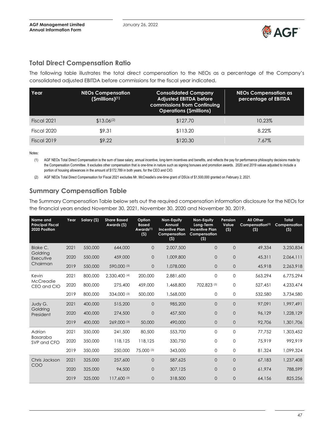

# **Total Direct Compensation Ratio**

The following table illustrates the total direct compensation to the NEOs as a percentage of the Company's consolidated adjusted EBITDA before commissions for the fiscal year indicated.

| Year        | <b>NEOs Compensation</b><br>$(Smillions)^{(1)}$ | <b>Consolidated Company</b><br><b>Adjusted EBITDA before</b><br>commissions from Continuing<br><b>Operations (\$millions)</b> | <b>NEOs Compensation as</b><br>percentage of EBITDA |
|-------------|-------------------------------------------------|-------------------------------------------------------------------------------------------------------------------------------|-----------------------------------------------------|
| Fiscal 2021 | $$13.06^{(2)}$                                  | \$127.70                                                                                                                      | 10.23%                                              |
| Fiscal 2020 | \$9.31                                          | \$113.20                                                                                                                      | 8.22%                                               |
| Fiscal 2019 | \$9.22                                          | \$120.30                                                                                                                      | 7.67%                                               |

Notes:

(1) AGF NEOs Total Direct Compensation is the sum of base salary, annual incentive, long-term incentives and benefits, and reflects the pay for performance philosophy decisions made by the Compensation Committee. It excludes other compensation that is one-time in nature such as signing bonuses and promotion awards. 2020 and 2019 values adjusted to include a portion of housing allowances in the amount of \$172,789 in both years, for the CEO and CIO.

(2) AGF NEOs Total Direct Compensation for Fiscal 2021 excludes Mr. McCreadie's one-time grant of DSUs of \$1,500,000 granted on February 2, 2021.

# **Summary Compensation Table**

The Summary Compensation Table below sets out the required compensation information disclosure for the NEOs for the financial years ended November 30, 2021, November 30, 2020 and November 30, 2019.

| Name and<br><b>Principal Fiscal</b><br>2020 Position | Year | Salary (\$) | <b>Share Based</b><br>Awards (\$) | Option<br><b>Based</b><br>Awards <sup>(1)</sup><br>(5) | Non-Equity<br>Annual<br><b>Incentive Plan</b><br>Compensation<br>(5) | Non-Equity<br>Long-Term<br><b>Incentive Plan</b><br>Compensation<br>(5) | Pension<br>Value<br>(5) | <b>All Other</b><br>Compensation <sup>(2)</sup><br>(5) | <b>Total</b><br>Compensation<br>(5) |
|------------------------------------------------------|------|-------------|-----------------------------------|--------------------------------------------------------|----------------------------------------------------------------------|-------------------------------------------------------------------------|-------------------------|--------------------------------------------------------|-------------------------------------|
| <b>Blake C.</b>                                      | 2021 | 550,000     | 644,000                           | $\Omega$                                               | 2.007.500                                                            | $\Omega$                                                                | $\Omega$                | 49,334                                                 | 3,250,834                           |
| Goldring<br>Executive                                | 2020 | 550,000     | 459,000                           | $\mathbf{0}$                                           | 1,009,800                                                            | $\Omega$                                                                | $\overline{0}$          | 45,311                                                 | 2,064,111                           |
| Chairman                                             | 2019 | 550,000     | 590,000 (3)                       | $\overline{0}$                                         | 1,078,000                                                            | $\Omega$                                                                | $\overline{0}$          | 45,918                                                 | 2,263,918                           |
| Kevin                                                | 2021 | 800,000     | 2,330,400 (4)                     | 200,000                                                | 2.881.600                                                            | $\Omega$                                                                | $\mathbf 0$             | 563,294                                                | 6,775,294                           |
| McCreadie<br>CEO and CIO                             | 2020 | 800,000     | 275,400                           | 459,000                                                | 1,468,800                                                            | 702,823 (5)                                                             | $\Omega$                | 527,451                                                | 4,233,474                           |
|                                                      | 2019 | 800,000     | 334,000 (3)                       | 500,000                                                | 1,568,000                                                            | $\mathbf{O}$                                                            | $\mathbf{O}$            | 532,580                                                | 3,734,580                           |
| Judy G.                                              | 2021 | 400,000     | 515,200                           | $\overline{0}$                                         | 985,200                                                              | $\Omega$                                                                | $\overline{0}$          | 97,091                                                 | 1,997,491                           |
| Goldring<br>President                                | 2020 | 400,000     | 274,500                           | 0                                                      | 457,500                                                              | $\mathbf 0$                                                             | $\mathbf 0$             | 96,129                                                 | 1,228,129                           |
|                                                      | 2019 | 400,000     | 269,000 (3)                       | 50,000                                                 | 490,000                                                              | $\mathbf 0$                                                             | $\mathbf 0$             | 92,706                                                 | 1,301,706                           |
| Adrian                                               | 2021 | 350,000     | 241,500                           | 80,500                                                 | 553,700                                                              | $\Omega$                                                                | $\mathbf 0$             | 77,752                                                 | 1,303,452                           |
| Basaraba<br>SVP and CFO                              | 2020 | 350,000     | 118,125                           | 118,125                                                | 330,750                                                              | $\Omega$                                                                | $\mathbf 0$             | 75,919                                                 | 992,919                             |
|                                                      | 2019 | 350,000     | 250,000                           | 75,000 (3)                                             | 343,000                                                              | 0                                                                       | $\mathbf 0$             | 81,324                                                 | 1.099.324                           |
| Chris Jackson                                        | 2021 | 325,000     | 257,600                           | $\overline{0}$                                         | 587,625                                                              | $\Omega$                                                                | $\Omega$                | 67,183                                                 | 1,237,408                           |
| COO                                                  | 2020 | 325,000     | 94,500                            | $\Omega$                                               | 307,125                                                              | $\Omega$                                                                | $\overline{0}$          | 61.974                                                 | 788,599                             |
|                                                      | 2019 | 325,000     | 117,600 (3)                       | $\overline{0}$                                         | 318,500                                                              | $\overline{0}$                                                          | $\overline{0}$          | 64,156                                                 | 825,256                             |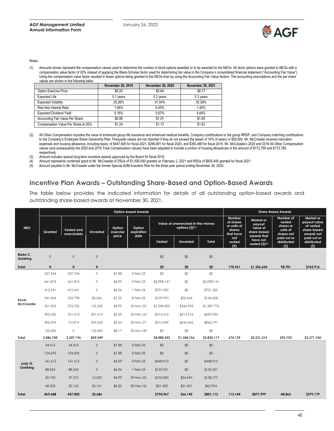

#### Notes:

(1) Amounts shown represent the compensation values used to determine the number of stock options awarded or to be awarded to the NEOs. All stock options were granted to NEOs with a compensation value factor of 20% instead of applying the Black-Scholes factor used for determining fair value in the Company's consolidated financial statement ("Accounting Fair Value"). Using the compensation value factor resulted in fewer options being granted to the NEOs than by using the Accounting Fair Value factors. The accounting assumptions and the per share values are shown in the following table:

|                                     | November 26, 2019 | <b>November 26, 2020</b> | November 30, 2021 |
|-------------------------------------|-------------------|--------------------------|-------------------|
| Option Exercise Price               | \$6.20            | \$5.64                   | \$8.17            |
| <b>Expected Life</b>                | 5.1 years         | 5.2 years                | 5.3 years         |
| <b>Expected Volatility</b>          | 30.26%            | 37.04%                   | 35.36%            |
| Risk-free Interest Rate             | 1.46%             | 0.45%                    | 1.40%             |
| <b>Expected Dividend Yield</b>      | 5.16%             | 5.67%                    | 4.64%             |
| Accounting Fair Value Per Share     | \$0.96            | \$1.01                   | \$1.65            |
| Compensation Value Per Share at 20% | \$1.24            | \$1.13                   | \$1.63            |

- (2) All Other Compensation includes the value of enhanced group life insurance and enhanced medical benefits, Company contributions to the group RRSP, and Company matching contributions to the Company's Employee Share Ownership Plan. Perquisite values are not reported if they do not exceed the lesser of 10% of salary or \$50,000. Mr. McCreadie received relocation expenses and housing allowance, including taxes, of \$447,600 for fiscal 2021, \$396,891 for fiscal 2020, and \$393,480 for fiscal 2019. Mr. McCreadie's 2020 and 2019 All Other Compensation values (and subsequently the 2020 and 2019 Total Compensation values) have been adjusted to include a portion of housing allowances in the amount of \$172,789 and \$172,789, respectively.
- (3) Amount includes special long-term incentive awards approved by the Board for fiscal 2019.
- (4) Amount represents combined grant to Mr. McCreadie of DSUs of \$1,500,000 granted on February 2, 2021 and RSUs of \$830,400 granted for fiscal 2021.
- (5) Amount payable to Mr. McCreadie under the former Special AUM Incentive Plan for the three-year period ending November 30, 2020.

#### **Incentive Plan Awards – Outstanding Share-Based and Option-Based Awards**

The table below provides the indicated information for details of all outstanding option-based awards and outstanding share-based awards at November 30, 2021.

|                             | <b>Option-based Awards</b>           |              |                     |                             |                              |             |                                                      |             |                                                           | <b>Share-Based Awards</b>                                     |                                                            |                                                                     |
|-----------------------------|--------------------------------------|--------------|---------------------|-----------------------------|------------------------------|-------------|------------------------------------------------------|-------------|-----------------------------------------------------------|---------------------------------------------------------------|------------------------------------------------------------|---------------------------------------------------------------------|
| <b>NEO</b>                  | Vested and<br>Granted<br>exercisable |              | <b>Unvested</b>     | Option<br>exercise<br>price | Option<br>expiration<br>date |             | Value of unexercised in-the-money<br>options (\$)(1) |             | Number<br>of shares<br>or units of<br>shares<br>that have | Market or<br>payout<br>value of<br>share-based<br>awards that | Number of<br>vested<br>shares or<br>units of<br>shares not | Market or<br>payout value<br>of vested<br>share-based<br>awards not |
|                             |                                      |              |                     |                             |                              | Vested      | <b>Unvested</b>                                      | Total       | not<br>vested<br>(#)                                      | have not<br>vested (\$)(1)                                    | paid out or<br>distributed<br>(5)                          | paid out or<br>distributed<br>(5)                                   |
| <b>Blake C.</b><br>Goldring | $\mathsf{O}\xspace$                  | $\mathbf 0$  | $\circ$             |                             |                              | \$0         | \$0                                                  | \$0         |                                                           |                                                               |                                                            |                                                                     |
| Total                       | $\pmb{0}$                            | $\mathbf{0}$ | $\mathbf{0}$        |                             |                              | \$0         | \$0                                                  | \$0         | 170,961                                                   | \$1,326,654                                                   | 98,701                                                     | \$765,916                                                           |
|                             | 237,944                              | 237,944      | $\circ$             | \$7.88                      | 5-Feb-22                     | \$0         | \$0                                                  | \$0         |                                                           |                                                               |                                                            |                                                                     |
|                             | 661,874                              | 661,874      | $\circ$             | \$4.59                      | 3-Feb-23                     | \$2,098,141 | \$0                                                  | \$2,098,141 |                                                           |                                                               |                                                            |                                                                     |
|                             | 412,541                              | 412,541      | $\circ$             | \$6.06                      | $1-Feb-24$                   | \$701,320   | \$0                                                  | \$701,320   |                                                           |                                                               |                                                            |                                                                     |
| Kevin                       | 341,064                              | 255,798      | 85,266              | \$7.33                      | 8-Feb-25                     | \$109,993   | \$36,664                                             | \$146,658   |                                                           |                                                               |                                                            |                                                                     |
| <b>McCreadie</b>            | 501,002                              | 375,752      | 125,250             | \$4.99                      | 29-Nov-25                    | \$1,040,833 | \$346,943                                            | \$1,387,776 |                                                           |                                                               |                                                            |                                                                     |
|                             | 403,226                              | 201,613      | 201,613             | \$6.20                      | 30-Dec-26                    | \$314,516   | \$314,516                                            | \$629,033   |                                                           |                                                               |                                                            |                                                                     |
|                             | 406,694                              | 101674       | 305,020             | \$5.64                      | 30-Nov-27                    | \$215,549   | \$646,642                                            | \$862,191   |                                                           |                                                               |                                                            |                                                                     |
|                             | 122,400                              | $\circ$      | 122,400             | \$8.17                      | 30-Nov-28                    | \$0         | \$0                                                  | \$0         |                                                           |                                                               |                                                            |                                                                     |
| Total                       | 3,086,745                            | 2,247,196    | 839,549             |                             |                              | \$4,480,352 | \$1,344,766                                          | \$5,825,117 | 674,139                                                   | \$5,231,315                                                   | 292,753                                                    | \$2,271,760                                                         |
|                             | 44,416                               | 44,416       | $\mathsf{O}$        | \$7.88                      | 5-Feb-22                     | \$0         | \$0                                                  | \$0         |                                                           |                                                               |                                                            |                                                                     |
|                             | 104,695                              | 104,695      | $\mathsf{O}\xspace$ | \$7.88                      | 5-Feb-22                     | \$0         | \$0                                                  | \$0         |                                                           |                                                               |                                                            |                                                                     |
| Judy G.                     | 141,612                              | 141,612      | $\mathbf 0$         | \$4.59                      | 3-Feb-23                     | \$448,910   | \$0                                                  | \$448,910   |                                                           |                                                               |                                                            |                                                                     |
| Goldring                    | 88,542                               | 88,542       | $\mathbf 0$         | \$6.06                      | $1-Feb-24$                   | \$150,521   | \$0                                                  | \$150,521   |                                                           |                                                               |                                                            |                                                                     |
|                             | 50,100                               | 37,575       | 12,525              | \$4.99                      | 29-Nov-25                    | \$104,083   | \$34,694                                             | \$138,777   |                                                           |                                                               |                                                            |                                                                     |
|                             | 40,323                               | 20,162       | 20,161              | \$6.20                      | 30-Dec-26                    | \$31,453    | \$31,451                                             | \$62,904    |                                                           |                                                               |                                                            |                                                                     |
| Total                       | 469,688                              | 437,002      | 32,686              |                             |                              | \$734,967   | \$66,145                                             | \$801,112   | 113,144                                                   | \$877,999                                                     | 48,863                                                     | \$379,179                                                           |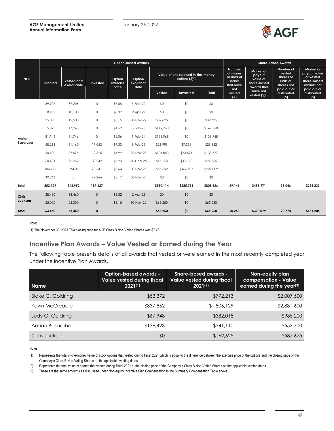#### **AGF Management Limited Annual Information Form**



|              | <b>Option-based Awards</b> |                                  |                 |                    |                              |           |                                                                   |           |                                                           | <b>Share-Based Awards</b>                                     |                                                            |                                                                     |
|--------------|----------------------------|----------------------------------|-----------------|--------------------|------------------------------|-----------|-------------------------------------------------------------------|-----------|-----------------------------------------------------------|---------------------------------------------------------------|------------------------------------------------------------|---------------------------------------------------------------------|
| <b>NEO</b>   | <b>Granted</b>             | <b>Vested and</b><br>exercisable | <b>Unvested</b> | Option<br>exercise | Option<br>expiration<br>date |           | Value of unexercised in-the-money<br>options $(S)$ <sup>(1)</sup> |           | Number<br>of shares<br>or units of<br>shares<br>that have | Market or<br>payout<br>value of<br>share-based<br>awards that | Number of<br>vested<br>shares or<br>units of<br>shares not | Market or<br>payout value<br>of vested<br>share-based<br>awards not |
|              |                            |                                  |                 | price              |                              | Vested    | <b>Unvested</b>                                                   | Total     | not<br>vested<br>$($ # $)$                                | have not<br>vested $(5)^{(1)}$                                | paid out or<br>distributed<br>(5)                          | paid out or<br>distributed<br>(5)                                   |
|              | 39,206                     | 39,206                           | 0               | \$7.88             | 5-Feb-22                     | \$0       | \$0                                                               | \$0       |                                                           |                                                               |                                                            |                                                                     |
|              | 18,100                     | 18,100                           | 0               | \$8.32             | $2-Apr-22$                   | \$0       | \$0                                                               | \$0       |                                                           |                                                               |                                                            |                                                                     |
|              | 25,000                     | 12,500                           | $\circ$         | \$5.15             | 30-Nov-22                    | \$32,625  | \$0                                                               | \$32,625  |                                                           |                                                               |                                                            |                                                                     |
|              | 55,893                     | 47,243                           | $\circ$         | \$4.59             | 3-Feb-23                     | \$149,760 | \$0                                                               | \$149,760 |                                                           |                                                               |                                                            |                                                                     |
| Adrian       | 81.746                     | 81,746                           | $\circ$         | \$6.06             | $1-Feb-24$                   | \$138,968 | \$0                                                               | \$138,968 |                                                           |                                                               |                                                            |                                                                     |
| Basaraba     | 68,213                     | 51,160                           | 17,053          | \$7.33             | 8-Feb-25                     | \$21,999  | \$7,333                                                           | \$29,332  |                                                           |                                                               |                                                            |                                                                     |
|              | 50,100                     | 37,575                           | 12,525          | \$4.99             | 29-Nov-25                    | \$104,083 | \$34,694                                                          | \$138,777 |                                                           |                                                               |                                                            |                                                                     |
|              | 60,484                     | 30,242                           | 30,242          | \$6.20             | 30-Dec-26                    | \$47,178  | \$47,178                                                          | \$94,355  |                                                           |                                                               |                                                            |                                                                     |
|              | 104,721                    | 26180                            | 78,541          | \$5.64             | 30-Nov-27                    | \$55,502  | \$166,507                                                         | \$222,009 |                                                           |                                                               |                                                            |                                                                     |
|              | 49,266                     | 0                                | 49,266          | \$8.17             | 30-Nov-28                    | \$0       | \$0                                                               | \$0       |                                                           |                                                               |                                                            |                                                                     |
| Total        | 552,729                    | 343,952                          | 187,627         |                    |                              | \$550,114 | \$255,711                                                         | \$805,826 | 59,146                                                    | \$458,971                                                     | 38,046                                                     | \$295,233                                                           |
| Chris        | 38,460                     | 38,460                           | $\mathsf{O}$    | \$8.32             | $2-Apr-22$                   | \$0       | \$0                                                               | \$0       |                                                           |                                                               |                                                            |                                                                     |
| Jackson      | 25,000                     | 25,000                           | $\mathbf{0}$    | \$5.15             | 30-Nov-22                    | \$65,250  | \$0                                                               | \$65,250  |                                                           |                                                               |                                                            |                                                                     |
| <b>Total</b> | 63,460                     | 63,460                           | 0               |                    |                              | \$65,250  | \$0                                                               | \$65,250  | 50,268                                                    | \$390,079                                                     | 20,774                                                     | \$161,206                                                           |

#### Note:

(1) The November 30, 2021 TSX closing price for AGF Class B Non-Voting Shares was \$7.76.

# **Incentive Plan Awards – Value Vested or Earned during the Year**

The following table presents details of all awards that vested or were earned in the most recently completed year under the Incentive Plan Awards.

| <b>Name</b>              | <b>Option-based awards -</b><br><b>Value vested during fiscal</b><br>$2021^{(1)}$ | <b>Share-based awards -</b><br>Value vested during fiscal<br>$2021^{(2)}$ | Non-equity plan<br>compensation - Value<br>earned during the year <sup>(3)</sup> |
|--------------------------|-----------------------------------------------------------------------------------|---------------------------------------------------------------------------|----------------------------------------------------------------------------------|
| <b>Blake C. Goldring</b> | \$53,372                                                                          | \$772,213                                                                 | \$2,007,500                                                                      |
| Kevin McCreadie          | \$837,862                                                                         | \$1,806,129                                                               | \$2,881,600                                                                      |
| Judy G. Goldring         | \$67,948                                                                          | \$382,018                                                                 | \$985,200                                                                        |
| Adrian Basaraba          | \$136,423                                                                         | \$341,110                                                                 | \$553,700                                                                        |
| Chris Jackson            | \$0                                                                               | \$162,625                                                                 | \$587,625                                                                        |

Notes:

(1) Represents the total in-the-money value of stock options that vested during fiscal 2021 which is equal to the difference between the exercise price of the options and the closing price of the Company's Class B Non-Voting Shares on the applicable vesting dates.

(2) Represents the total value of shares that vested during fiscal 2021 at the closing price of the Company's Class B Non-Voting Shares on the applicable vesting dates.

(3) These are the same amounts as discussed under Non-equity Incentive Plan Compensation in the Summary Compensation Table above.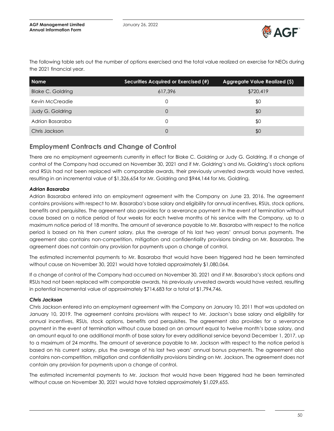

| <b>Name</b>              | Securities Acquired or Exercised (#) | Aggregate Value Realized (\$) |
|--------------------------|--------------------------------------|-------------------------------|
| <b>Blake C. Goldring</b> | 617.396                              | \$720,419                     |
| Kevin McCreadie          |                                      | \$0                           |
| <b>Judy G. Goldring</b>  | 0                                    | \$0                           |
| Adrian Basaraba          | $\Omega$                             | \$0                           |
| Chris Jackson            | 0                                    | \$0                           |

The following table sets out the number of options exercised and the total value realized on exercise for NEOs during the 2021 financial year.

# **Employment Contracts and Change of Control**

There are no employment agreements currently in effect for Blake C. Goldring or Judy G. Goldring. If a change of control of the Company had occurred on November 30, 2021 and if Mr. Goldring's and Ms. Goldring's stock options and RSUs had not been replaced with comparable awards, their previously unvested awards would have vested, resulting in an incremental value of \$1,326,654 for Mr. Goldring and \$944,144 for Ms. Goldring.

#### *Adrian Basaraba*

Adrian Basaraba entered into an employment agreement with the Company on June 23, 2016. The agreement contains provisions with respect to Mr. Basaraba's base salary and eligibility for annual incentives, RSUs, stock options, benefits and perquisites. The agreement also provides for a severance payment in the event of termination without cause based on a notice period of four weeks for each twelve months of his service with the Company, up to a maximum notice period of 18 months. The amount of severance payable to Mr. Basaraba with respect to the notice period is based on his then current salary, plus the average of his last two years' annual bonus payments. The agreement also contains non-competition, mitigation and confidentiality provisions binding on Mr. Basaraba. The agreement does not contain any provision for payments upon a change of control.

The estimated incremental payments to Mr. Basaraba that would have been triggered had he been terminated without cause on November 30, 2021 would have totaled approximately \$1,080,064.

If a change of control of the Company had occurred on November 30, 2021 and if Mr. Basaraba's stock options and RSUs had not been replaced with comparable awards, his previously unvested awards would have vested, resulting in potential incremental value of approximately \$714,683 for a total of \$1,794,746.

#### *Chris Jackson*

Chris Jackson entered into an employment agreement with the Company on January 10, 2011 that was updated on January 10, 2019. The agreement contains provisions with respect to Mr. Jackson's base salary and eligibility for annual incentives, RSUs, stock options, benefits and perquisites. The agreement also provides for a severance payment in the event of termination without cause based on an amount equal to twelve month's base salary, and an amount equal to one additional month of base salary for every additional service beyond December 1, 2017, up to a maximum of 24 months. The amount of severance payable to Mr. Jackson with respect to the notice period is based on his current salary, plus the average of his last two years' annual bonus payments. The agreement also contains non-competition, mitigation and confidentiality provisions binding on Mr. Jackson. The agreement does not contain any provision for payments upon a change of control.

The estimated incremental payments to Mr. Jackson that would have been triggered had he been terminated without cause on November 30, 2021 would have totaled approximately \$1,029,655.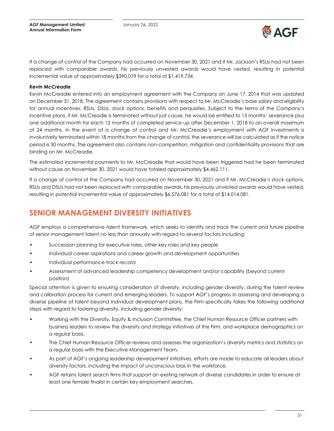

If a change of control of the Company had occurred on November 30, 2021 and if Mr. Jackson's RSUs had not been replaced with comparable awards, his previously unvested awards would have vested, resulting in potential incremental value of approximately \$390,079 for a total of \$1,419,734.

#### *Kevin McCreadie*

Kevin McCreadie entered into an employment agreement with the Company on June 17, 2014 that was updated on December 31, 2018. The agreement contains provisions with respect to Mr. McCreadie's base salary and eligibility for annual incentives, RSUs, DSUs, stock options, benefits and perquisites. Subject to the terms of the Company's incentive plans, if Mr. McCreadie is terminated without just cause, he would be entitled to 15 months' severance plus one additional month for each 12 months of completed service up after December 1, 2018 to an overall maximum of 24 months. In the event of a change of control and Mr. McCreadie's employment with AGF Investments is involuntarily terminated within 18 months from the change of control, the severance will be calculated as if the notice period is 30 months. The agreement also contains non-competition, mitigation and confidentiality provisions that are binding on Mr. McCreadie.

The estimated incremental payments to Mr. McCreadie that would have been triggered had he been terminated without cause on November 30, 2021 would have totaled approximately \$4,462,111.

If a change of control of the Company had occurred on November 30, 2021 and if Mr. McCreadie's stock options, RSUs and DSUs had not been replaced with comparable awards, his previously unvested awards would have vested, resulting in potential incremental value of approximately \$6,576,081 for a total of \$14,014,081.

# <span id="page-50-0"></span>**SENIOR MANAGEMENT DIVERSITY INITIATIVES**

AGF employs a comprehensive talent framework, which seeks to identify and track the current and future pipeline of senior management talent no less than annually with regard to several factors including:

- Succession planning for executive roles, other key roles and key people
- Individual career aspirations and career growth and development opportunities
- Individual performance track record
- Assessment of advanced leadership competency development and/or capability (beyond current position)

Special attention is given to ensuring consideration of diversity, including gender diversity, during the talent review and calibration process for current and emerging leaders. To support AGF's progress in assessing and developing a diverse pipeline of talent beyond individual development plans, the Firm specifically takes the following additional steps with regard to fostering diversity, including gender diversity:

- Working with the Diversity, Equity & Inclusion Committee, the Chief Human Resource Officer partners with business leaders to review the diversity and strategy initiatives of the Firm, and workplace demographics on a regular basis.
- The Chief Human Resource Officer reviews and assesses the organization's diversity metrics and statistics on a regular basis with the Executive Management Team.
- As part of AGF's ongoing leadership development initiatives, efforts are made to educate all leaders about diversity factors, including the impact of unconscious bias in the workforce.
- AGF retains talent search firms that support an existing network of diverse candidates in order to ensure at least one female finalist in certain key employment searches.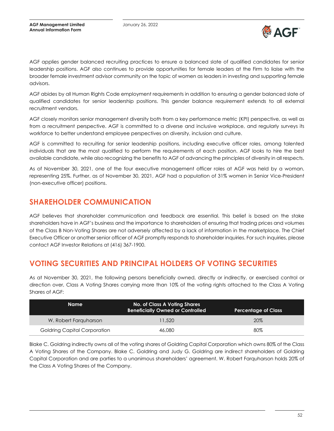

AGF applies gender balanced recruiting practices to ensure a balanced slate of qualified candidates for senior leadership positions. AGF also continues to provide opportunities for female leaders at the Firm to liaise with the broader female investment advisor community on the topic of women as leaders in investing and supporting female advisors.

AGF abides by all Human Rights Code employment requirements in addition to ensuring a gender balanced slate of qualified candidates for senior leadership positions. This gender balance requirement extends to all external recruitment vendors.

AGF closely monitors senior management diversity both from a key performance metric (KPI) perspective, as well as from a recruitment perspective. AGF is committed to a diverse and inclusive workplace, and regularly surveys its workforce to better understand employee perspectives on diversity, inclusion and culture.

AGF is committed to recruiting for senior leadership positions, including executive officer roles, among talented individuals that are the most qualified to perform the requirements of each position. AGF looks to hire the best available candidate, while also recognizing the benefits to AGF of advancing the principles of diversity in all respects.

As of November 30, 2021, one of the four executive management officer roles at AGF was held by a woman, representing 25%. Further, as of November 30, 2021, AGF had a population of 31% women in Senior Vice-President (non-executive officer) positions.

# <span id="page-51-0"></span>**SHAREHOLDER COMMUNICATION**

AGF believes that shareholder communication and feedback are essential. This belief is based on the stake shareholders have in AGF's business and the importance to shareholders of ensuring that trading prices and volumes of the Class B Non-Voting Shares are not adversely affected by a lack of information in the marketplace. The Chief Executive Officer or another senior officer of AGF promptly responds to shareholder inquiries. For such inquiries, please contact AGF Investor Relations at (416) 367-1900.

# <span id="page-51-1"></span>**VOTING SECURITIES AND PRINCIPAL HOLDERS OF VOTING SECURITIES**

As at November 30, 2021, the following persons beneficially owned, directly or indirectly, or exercised control or direction over, Class A Voting Shares carrying more than 10% of the voting rights attached to the Class A Voting Shares of AGF:

| Name                         | No. of Class A Voting Shares<br><b>Beneficially Owned or Controlled</b> | <b>Percentage of Class</b> |
|------------------------------|-------------------------------------------------------------------------|----------------------------|
| W. Robert Farguharson        | 11.520                                                                  | 20%                        |
| Goldring Capital Corporation | 46,080                                                                  | 80%                        |

Blake C. Goldring indirectly owns all of the voting shares of Goldring Capital Corporation which owns 80% of the Class A Voting Shares of the Company. Blake C. Goldring and Judy G. Goldring are indirect shareholders of Goldring Capital Corporation and are parties to a unanimous shareholders' agreement. W. Robert Farquharson holds 20% of the Class A Voting Shares of the Company.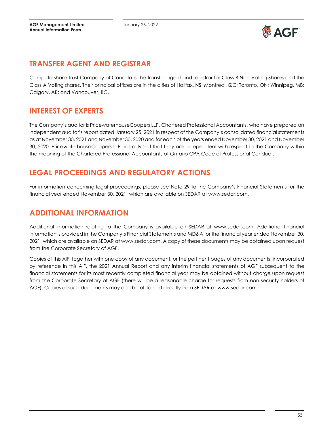

# <span id="page-52-0"></span>**TRANSFER AGENT AND REGISTRAR**

Computershare Trust Company of Canada is the transfer agent and registrar for Class B Non-Voting Shares and the Class A Voting shares. Their principal offices are in the cities of Halifax, NS; Montreal, QC; Toronto, ON; Winnipeg, MB; Calgary, AB; and Vancouver, BC.

# <span id="page-52-1"></span>**INTEREST OF EXPERTS**

The Company's auditor is PricewaterhouseCoopers LLP, Chartered Professional Accountants, who have prepared an independent auditor's report dated January 25, 2021 in respect of the Company's consolidated financial statements as at November 30, 2021 and November 30, 2020 and for each of the years ended November 30, 2021 and November 30, 2020. PricewaterhouseCoopers LLP has advised that they are independent with respect to the Company within the meaning of the Chartered Professional Accountants of Ontario CPA Code of Professional Conduct.

# <span id="page-52-2"></span>**LEGAL PROCEEDINGS AND REGULATORY ACTIONS**

For information concerning legal proceedings, please see Note 29 to the Company's Financial Statements for the financial year ended November 30, 2021, which are available on SEDAR at www.sedar.com.

# <span id="page-52-3"></span>**ADDITIONAL INFORMATION**

Additional information relating to the Company is available on SEDAR at www.sedar.com. Additional financial information is provided in the Company's Financial Statements and MD&A for the financial year ended November 30, 2021, which are available on SEDAR at www.sedar.com. A copy of these documents may be obtained upon request from the Corporate Secretary of AGF.

Copies of this AIF, together with one copy of any document, or the pertinent pages of any documents, incorporated by reference in this AIF, the 2021 Annual Report and any interim financial statements of AGF subsequent to the financial statements for its most recently completed financial year may be obtained without charge upon request from the Corporate Secretary of AGF (there will be a reasonable charge for requests from non-security holders of AGF). Copies of such documents may also be obtained directly from SEDAR at www.sedar.com.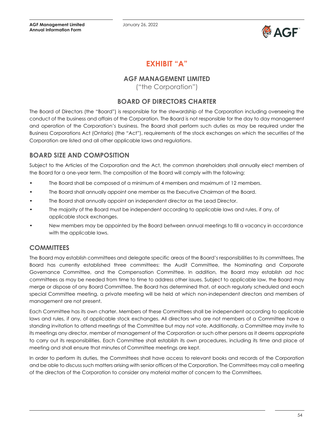

# **EXHIBIT "A"**

# **AGF MANAGEMENT LIMITED**

("the Corporation")

# **BOARD OF DIRECTORS CHARTER**

<span id="page-53-0"></span>The Board of Directors (the "Board") is responsible for the stewardship of the Corporation including overseeing the conduct of the business and affairs of the Corporation. The Board is not responsible for the day to day management and operation of the Corporation's business. The Board shall perform such duties as may be required under the Business Corporations Act (Ontario) (the "Act"), requirements of the stock exchanges on which the securities of the Corporation are listed and all other applicable laws and regulations.

# **BOARD SIZE AND COMPOSITION**

Subject to the Articles of the Corporation and the Act, the common shareholders shall annually elect members of the Board for a one-year term. The composition of the Board will comply with the following:

- The Board shall be composed of a minimum of 4 members and maximum of 12 members.
- The Board shall annually appoint one member as the Executive Chairman of the Board.
- The Board shall annually appoint an independent director as the Lead Director.
- The majority of the Board must be independent according to applicable laws and rules, if any, of applicable stock exchanges.
- New members may be appointed by the Board between annual meetings to fill a vacancy in accordance with the applicable laws.

# **COMMITTEES**

The Board may establish committees and delegate specific areas of the Board's responsibilities to its committees. The Board has currently established three committees: the Audit Committee, the Nominating and Corporate Governance Committee, and the Compensation Committee. In addition, the Board may establish *ad hoc* committees as may be needed from time to time to address other issues. Subject to applicable law, the Board may merge or dispose of any Board Committee. The Board has determined that, at each regularly scheduled and each special Committee meeting, a private meeting will be held at which non-independent directors and members of management are not present.

Each Committee has its own charter. Members of these Committees shall be independent according to applicable laws and rules, if any, of applicable stock exchanges. All directors who are not members of a Committee have a standing invitation to attend meetings of the Committee but may not vote. Additionally, a Committee may invite to its meetings any director, member of management of the Corporation or such other persons as it deems appropriate to carry out its responsibilities. Each Committee shall establish its own procedures, including its time and place of meeting and shall ensure that minutes of Committee meetings are kept.

In order to perform its duties, the Committees shall have access to relevant books and records of the Corporation and be able to discuss such matters arising with senior officers of the Corporation. The Committees may call a meeting of the directors of the Corporation to consider any material matter of concern to the Committees.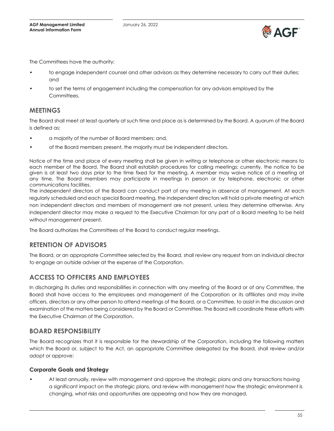

The Committees have the authority:

- to engage independent counsel and other advisors as they determine necessary to carry out their duties; and
- to set the terms of engagement including the compensation for any advisors employed by the Committees.

### **MEETINGS**

The Board shall meet at least quarterly at such time and place as is determined by the Board. A quorum of the Board is defined as:

- a majority of the number of Board members; and,
- of the Board members present, the majority must be independent directors.

Notice of the time and place of every meeting shall be given in writing or telephone or other electronic means to each member of the Board. The Board shall establish procedures for calling meetings; currently, the notice to be given is at least two days prior to the time fixed for the meeting. A member may waive notice of a meeting at any time. The Board members may participate in meetings in person or by telephone, electronic or other communications facilities.

The independent directors of the Board can conduct part of any meeting in absence of management. At each regularly scheduled and each special Board meeting, the independent directors will hold a private meeting at which non independent directors and members of management are not present, unless they determine otherwise. Any independent director may make a request to the Executive Chairman for any part of a Board meeting to be held without management present.

The Board authorizes the Committees of the Board to conduct regular meetings.

### **RETENTION OF ADVISORS**

The Board, or an appropriate Committee selected by the Board, shall review any request from an individual director to engage an outside adviser at the expense of the Corporation.

# **ACCESS TO OFFICERS AND EMPLOYEES**

In discharging its duties and responsibilities in connection with any meeting of the Board or of any Committee, the Board shall have access to the employees and management of the Corporation or its affiliates and may invite officers, directors or any other person to attend meetings of the Board, or a Committee, to assist in the discussion and examination of the matters being considered by the Board or Committee. The Board will coordinate these efforts with the Executive Chairman of the Corporation.

### **BOARD RESPONSIBILITY**

The Board recognizes that it is responsible for the stewardship of the Corporation, including the following matters which the Board or, subject to the Act, an appropriate Committee delegated by the Board, shall review and/or adopt or approve:

#### **Corporate Goals and Strategy**

• At least annually, review with management and approve the strategic plans and any transactions having a significant impact on the strategic plans, and review with management how the strategic environment is changing, what risks and opportunities are appearing and how they are managed.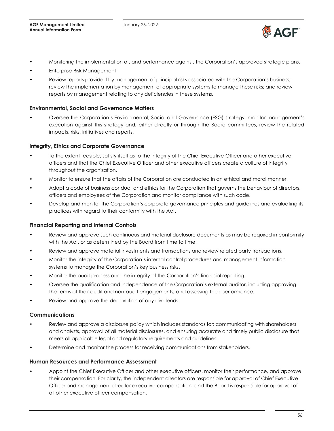

- Monitoring the implementation of, and performance against, the Corporation's approved strategic plans.
- Enterprise Risk Management
- Review reports provided by management of principal risks associated with the Corporation's business; review the implementation by management of appropriate systems to manage these risks; and review reports by management relating to any deficiencies in these systems.

#### **Environmental, Social and Governance Matters**

• Oversee the Corporation's Environmental, Social and Governance (ESG) strategy, monitor management's execution against this strategy and, either directly or through the Board committees, review the related impacts, risks, initiatives and reports.

#### **Integrity, Ethics and Corporate Governance**

- To the extent feasible, satisfy itself as to the integrity of the Chief Executive Officer and other executive officers and that the Chief Executive Officer and other executive officers create a culture of integrity throughout the organization.
- Monitor to ensure that the affairs of the Corporation are conducted in an ethical and moral manner.
- Adopt a code of business conduct and ethics for the Corporation that governs the behaviour of directors, officers and employees of the Corporation and monitor compliance with such code.
- Develop and monitor the Corporation's corporate governance principles and guidelines and evaluating its practices with regard to their conformity with the Act.

#### **Financial Reporting and Internal Controls**

- Review and approve such continuous and material disclosure documents as may be required in conformity with the Act, or as determined by the Board from time to time.
- Review and approve material investments and transactions and review related party transactions.
- Monitor the integrity of the Corporation's internal control procedures and management information systems to manage the Corporation's key business risks.
- Monitor the audit process and the integrity of the Corporation's financial reporting.
- Oversee the qualification and independence of the Corporation's external auditor, including approving the terms of their audit and non-audit engagements, and assessing their performance.
- Review and approve the declaration of any dividends.

#### **Communications**

- Review and approve a disclosure policy which includes standards for: communicating with shareholders and analysts, approval of all material disclosures, and ensuring accurate and timely public disclosure that meets all applicable legal and regulatory requirements and guidelines.
- Determine and monitor the process for receiving communications from stakeholders.

#### **Human Resources and Performance Assessment**

• Appoint the Chief Executive Officer and other executive officers, monitor their performance, and approve their compensation. For clarity, the independent directors are responsible for approval of Chief Executive Officer and management director executive compensation, and the Board is responsible for approval of all other executive officer compensation.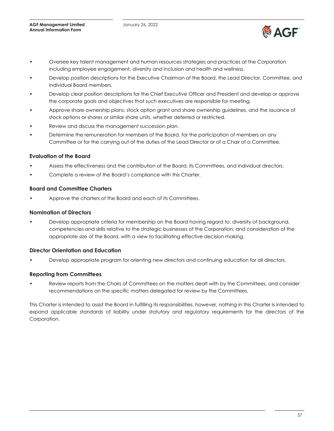

- Oversee key talent management and human resources strategies and practices at the Corporation including employee engagement, diversity and inclusion and health and wellness.
- Develop position descriptions for the Executive Chairman of the Board, the Lead Director, Committee, and individual Board members.
- Develop clear position descriptions for the Chief Executive Officer and President and develop or approve the corporate goals and objectives that such executives are responsible for meeting.
- Approve share ownership plans, stock option grant and share ownership guidelines, and the issuance of stock options or shares or similar share units, whether deferred or restricted.
- Review and discuss the management succession plan.
- Determine the remuneration for members of the Board, for the participation of members on any Committee or for the carrying out of the duties of the Lead Director or of a Chair of a Committee.

#### **Evaluation of the Board**

- Assess the effectiveness and the contribution of the Board, its Committees, and individual directors.
- Complete a review of the Board's compliance with this Charter.

#### **Board and Committee Charters**

• Approve the charters of the Board and each of its Committees.

#### **Nomination of Directors**

• Develop appropriate criteria for membership on the Board having regard to: diversity of background, competencies and skills relative to the strategic businesses of the Corporation; and consideration of the appropriate size of the Board, with a view to facilitating effective decision making.

#### **Director Orientation and Education**

• Develop appropriate program for orienting new directors and continuing education for all directors.

#### **Reporting from Committees**

• Review reports from the Chairs of Committees on the matters dealt with by the Committees, and consider recommendations on the specific matters delegated for review by the Committees.

This Charter is intended to assist the Board in fulfilling its responsibilities, however, nothing in this Charter is intended to expand applicable standards of liability under statutory and regulatory requirements for the directors of the Corporation.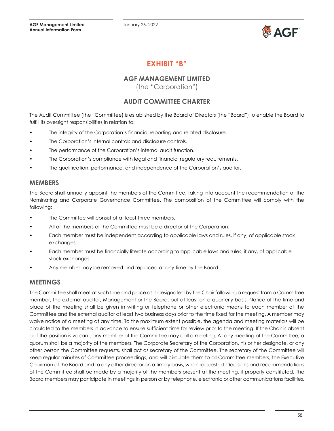January 26, 2022



# **EXHIBIT "B"**

# **AGF MANAGEMENT LIMITED**

(the "Corporation")

# **AUDIT COMMITTEE CHARTER**

<span id="page-57-0"></span>The Audit Committee (the "Committee) is established by the Board of Directors (the "Board") to enable the Board to fulfill its oversight responsibilities in relation to:

- The integrity of the Corporation's financial reporting and related disclosure.
- The Corporation's internal controls and disclosure controls.
- The performance of the Corporation's internal audit function.
- The Corporation's compliance with legal and financial regulatory requirements.
- The qualification, performance, and independence of the Corporation's auditor.

### **MEMBERS**

The Board shall annually appoint the members of the Committee, taking into account the recommendation of the Nominating and Corporate Governance Committee. The composition of the Committee will comply with the following:

- The Committee will consist of at least three members.
- All of the members of the Committee must be a director of the Corporation.
- Each member must be independent according to applicable laws and rules, if any, of applicable stock exchanges.
- Each member must be financially literate according to applicable laws and rules, if any, of applicable stock exchanges.
- Any member may be removed and replaced at any time by the Board.

# **MEETINGS**

The Committee shall meet at such time and place as is designated by the Chair following a request from a Committee member, the external auditor, Management or the Board, but at least on a quarterly basis. Notice of the time and place of the meeting shall be given in writing or telephone or other electronic means to each member of the Committee and the external auditor at least two business days prior to the time fixed for the meeting. A member may waive notice of a meeting at any time. To the maximum extent possible, the agenda and meeting materials will be circulated to the members in advance to ensure sufficient time for review prior to the meeting. If the Chair is absent or if the position is vacant, any member of the Committee may call a meeting. At any meeting of the Committee, a quorum shall be a majority of the members. The Corporate Secretary of the Corporation, his or her designate, or any other person the Committee requests, shall act as secretary of the Committee. The secretary of the Committee will keep regular minutes of Committee proceedings, and will circulate them to all Committee members, the Executive Chairman of the Board and to any other director on a timely basis, when requested. Decisions and recommendations of the Committee shall be made by a majority of the members present at the meeting, if properly constituted. The Board members may participate in meetings in person or by telephone, electronic or other communications facilities.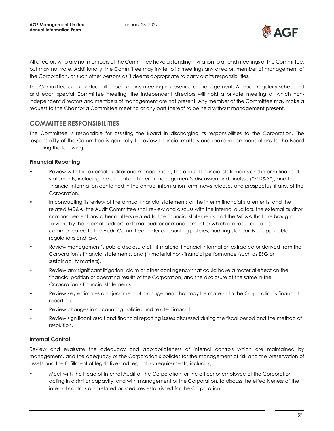

All directors who are not members of the Committee have a standing invitation to attend meetings of the Committee, but may not vote. Additionally, the Committee may invite to its meetings any director, member of management of the Corporation, or such other persons as it deems appropriate to carry out its responsibilities.

The Committee can conduct all or part of any meeting in absence of management. At each regularly scheduled and each special Committee meeting, the independent directors will hold a private meeting at which nonindependent directors and members of management are not present. Any member of the Committee may make a request to the Chair for a Committee meeting or any part thereof to be held without management present.

# **COMMITTEE RESPONSIBILITIES**

The Committee is responsible for assisting the Board in discharging its responsibilities to the Corporation. The responsibility of the Committee is generally to review financial matters and make recommendations to the Board including the following:

### **Financial Reporting**

- Review with the external auditor and management, the annual financial statements and interim financial statements, including the annual and interim management's discussion and analysis ("MD&A"), and the financial information contained in the annual information form, news releases and prospectus, if any, of the Corporation.
- In conducting its review of the annual financial statements or the interim financial statements, and the related MD&A, the Audit Committee shall review and discuss with the internal auditors, the external auditor or management any other matters related to the financial statements and the MD&A that are brought forward by the internal auditors, external auditor or management or which are required to be communicated to the Audit Committee under accounting policies, auditing standards or applicable regulations and law.
- Review management's public disclosure of: (i) material financial information extracted or derived from the Corporation's financial statements, and (ii) material non-financial performance (such as ESG or sustainability matters).
- Review any significant litigation, claim or other contingency that could have a material effect on the financial position or operating results of the Corporation, and the disclosure of the same in the Corporation's financial statements.
- Review key estimates and judgment of management that may be material to the Corporation's financial reporting.
- Review changes in accounting policies and related impact.
- Review significant audit and financial reporting issues discussed during the fiscal period and the method of resolution.

### **Internal Control**

Review and evaluate the adequacy and appropriateness of internal controls which are maintained by management, and the adequacy of the Corporation's policies for the management of risk and the preservation of assets and the fulfillment of legislative and regulatory requirements, including:

• Meet with the Head of Internal Audit of the Corporation, or the officer or employee of the Corporation acting in a similar capacity, and with management of the Corporation, to discuss the effectiveness of the internal controls and related procedures established for the Corporation;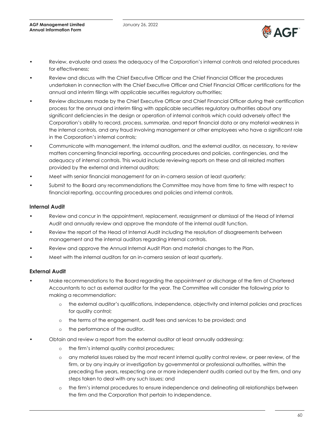

- Review, evaluate and assess the adequacy of the Corporation's internal controls and related procedures for effectiveness;
- Review and discuss with the Chief Executive Officer and the Chief Financial Officer the procedures undertaken in connection with the Chief Executive Officer and Chief Financial Officer certifications for the annual and interim filings with applicable securities regulatory authorities;
- Review disclosures made by the Chief Executive Officer and Chief Financial Officer during their certification process for the annual and interim filing with applicable securities regulatory authorities about any significant deficiencies in the design or operation of internal controls which could adversely affect the Corporation's ability to record, process, summarize, and report financial data or any material weakness in the internal controls, and any fraud involving management or other employees who have a significant role in the Corporation's internal controls;
- Communicate with management, the internal auditors, and the external auditor, as necessary, to review matters concerning financial reporting, accounting procedures and policies, contingencies, and the adequacy of internal controls. This would include reviewing reports on these and all related matters provided by the external and internal auditors;
- Meet with senior financial management for an in-camera session at least quarterly;
- Submit to the Board any recommendations the Committee may have from time to time with respect to financial reporting, accounting procedures and policies and internal controls.

#### **Internal Audit**

- Review and concur in the appointment, replacement, reassignment or dismissal of the Head of Internal Audit and annually review and approve the mandate of the internal audit function.
- Review the report of the Head of Internal Audit including the resolution of disagreements between management and the internal auditors regarding internal controls.
- Review and approve the Annual Internal Audit Plan and material changes to the Plan.
- Meet with the internal auditors for an in-camera session at least quarterly.

#### **External Audit**

- Make recommendations to the Board regarding the appointment or discharge of the firm of Chartered Accountants to act as external auditor for the year. The Committee will consider the following prior to making a recommendation:
	- o the external auditor's qualifications, independence, objectivity and internal policies and practices for quality control;
	- o the terms of the engagement, audit fees and services to be provided; and
	- o the performance of the auditor.
- Obtain and review a report from the external auditor at least annually addressing:
	- o the firm's internal quality control procedures;
	- o any material issues raised by the most recent internal quality control review, or peer review, of the firm, or by any inquiry or investigation by governmental or professional authorities, within the preceding five years, respecting one or more independent audits carried out by the firm, and any steps taken to deal with any such issues; and
	- o the firm's internal procedures to ensure independence and delineating all relationships between the firm and the Corporation that pertain to independence.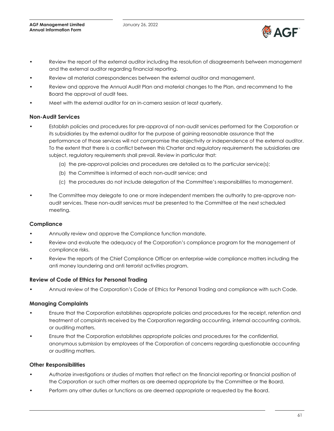

- Review the report of the external auditor including the resolution of disagreements between management and the external auditor regarding financial reporting.
- Review all material correspondences between the external auditor and management.
- Review and approve the Annual Audit Plan and material changes to the Plan, and recommend to the Board the approval of audit fees.
- Meet with the external auditor for an in-camera session at least quarterly.

#### **Non-Audit Services**

- Establish policies and procedures for pre-approval of non-audit services performed for the Corporation or its subsidiaries by the external auditor for the purpose of gaining reasonable assurance that the performance of those services will not compromise the objectivity or independence of the external auditor. To the extent that there is a conflict between this Charter and regulatory requirements the subsidiaries are subject, regulatory requirements shall prevail. Review in particular that:
	- (a) the pre-approval policies and procedures are detailed as to the particular service(s);
	- (b) the Committee is informed of each non-audit service; and
	- (c) the procedures do not include delegation of the Committee's responsibilities to management.
- The Committee may delegate to one or more independent members the authority to pre-approve nonaudit services. These non-audit services must be presented to the Committee at the next scheduled meeting.

#### **Compliance**

- Annually review and approve the Compliance function mandate.
- Review and evaluate the adequacy of the Corporation's compliance program for the management of compliance risks.
- Review the reports of the Chief Compliance Officer on enterprise-wide compliance matters including the anti money laundering and anti terrorist activities program.

#### **Review of Code of Ethics for Personal Trading**

• Annual review of the Corporation's Code of Ethics for Personal Trading and compliance with such Code.

#### **Managing Complaints**

- Ensure that the Corporation establishes appropriate policies and procedures for the receipt, retention and treatment of complaints received by the Corporation regarding accounting, internal accounting controls, or auditing matters.
- Ensure that the Corporation establishes appropriate policies and procedures for the confidential, anonymous submission by employees of the Corporation of concerns regarding questionable accounting or auditing matters.

#### **Other Responsibilities**

- Authorize investigations or studies of matters that reflect on the financial reporting or financial position of the Corporation or such other matters as are deemed appropriate by the Committee or the Board.
- Perform any other duties or functions as are deemed appropriate or requested by the Board.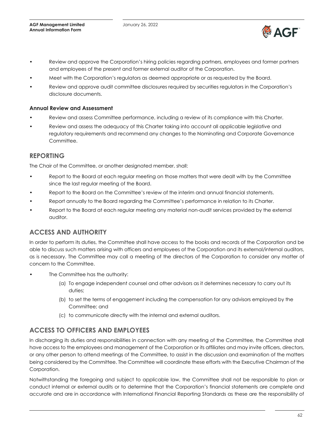

- Review and approve the Corporation's hiring policies regarding partners, employees and former partners and employees of the present and former external auditor of the Corporation.
- Meet with the Corporation's regulators as deemed appropriate or as requested by the Board.
- Review and approve audit committee disclosures required by securities regulators in the Corporation's disclosure documents.

#### **Annual Review and Assessment**

- Review and assess Committee performance, including a review of its compliance with this Charter.
- Review and assess the adequacy of this Charter taking into account all applicable legislative and regulatory requirements and recommend any changes to the Nominating and Corporate Governance Committee.

### **REPORTING**

The Chair of the Committee, or another designated member, shall:

- Report to the Board at each regular meeting on those matters that were dealt with by the Committee since the last regular meeting of the Board.
- Report to the Board on the Committee's review of the interim and annual financial statements.
- Report annually to the Board regarding the Committee's performance in relation to its Charter.
- Report to the Board at each regular meeting any material non-audit services provided by the external auditor.

# **ACCESS AND AUTHORITY**

In order to perform its duties, the Committee shall have access to the books and records of the Corporation and be able to discuss such matters arising with officers and employees of the Corporation and its external/internal auditors, as is necessary. The Committee may call a meeting of the directors of the Corporation to consider any matter of concern to the Committee.

- The Committee has the authority:
	- (a) To engage independent counsel and other advisors as it determines necessary to carry out its duties;
	- (b) to set the terms of engagement including the compensation for any advisors employed by the Committee; and
	- (c) to communicate directly with the internal and external auditors.

# **ACCESS TO OFFICERS AND EMPLOYEES**

In discharging its duties and responsibilities in connection with any meeting of the Committee, the Committee shall have access to the employees and management of the Corporation or its affiliates and may invite officers, directors, or any other person to attend meetings of the Committee, to assist in the discussion and examination of the matters being considered by the Committee. The Committee will coordinate these efforts with the Executive Chairman of the Corporation.

Notwithstanding the foregoing and subject to applicable law, the Committee shall not be responsible to plan or conduct internal or external audits or to determine that the Corporation's financial statements are complete and accurate and are in accordance with International Financial Reporting Standards as these are the responsibility of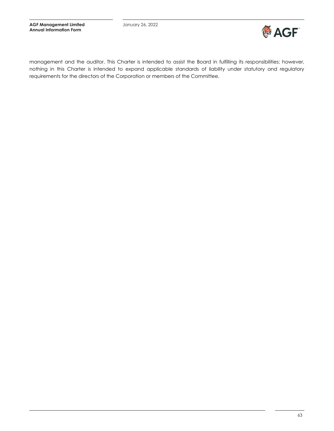

management and the auditor. This Charter is intended to assist the Board in fulfilling its responsibilities; however, nothing in this Charter is intended to expand applicable standards of liability under statutory and regulatory requirements for the directors of the Corporation or members of the Committee.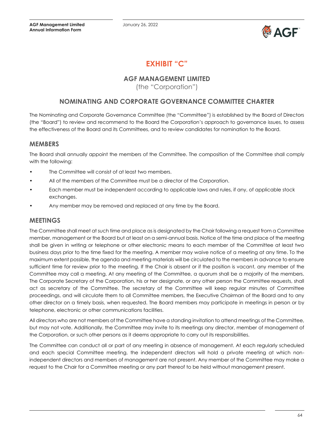

# **EXHIBIT "C"**

# **AGF MANAGEMENT LIMITED**

(the "Corporation")

# <span id="page-63-0"></span>**NOMINATING AND CORPORATE GOVERNANCE COMMITTEE CHARTER**

The Nominating and Corporate Governance Committee (the "Committee") is established by the Board of Directors (the "Board") to review and recommend to the Board the Corporation's approach to governance issues, to assess the effectiveness of the Board and its Committees, and to review candidates for nomination to the Board.

### **MEMBERS**

The Board shall annually appoint the members of the Committee. The composition of the Committee shall comply with the following:

- The Committee will consist of at least two members.
- All of the members of the Committee must be a director of the Corporation.
- Each member must be independent according to applicable laws and rules, if any, of applicable stock exchanges.
- Any member may be removed and replaced at any time by the Board.

# **MEETINGS**

The Committee shall meet at such time and place as is designated by the Chair following a request from a Committee member, management or the Board but at least on a semi-annual basis. Notice of the time and place of the meeting shall be given in writing or telephone or other electronic means to each member of the Committee at least two business days prior to the time fixed for the meeting. A member may waive notice of a meeting at any time. To the maximum extent possible, the agenda and meeting materials will be circulated to the members in advance to ensure sufficient time for review prior to the meeting. If the Chair is absent or if the position is vacant, any member of the Committee may call a meeting. At any meeting of the Committee, a quorum shall be a majority of the members. The Corporate Secretary of the Corporation, his or her designate, or any other person the Committee requests, shall act as secretary of the Committee. The secretary of the Committee will keep regular minutes of Committee proceedings, and will circulate them to all Committee members, the Executive Chairman of the Board and to any other director on a timely basis, when requested. The Board members may participate in meetings in person or by telephone, electronic or other communications facilities.

All directors who are not members of the Committee have a standing invitation to attend meetings of the Committee, but may not vote. Additionally, the Committee may invite to its meetings any director, member of management of the Corporation, or such other persons as it deems appropriate to carry out its responsibilities.

The Committee can conduct all or part of any meeting in absence of management. At each regularly scheduled and each special Committee meeting, the independent directors will hold a private meeting at which nonindependent directors and members of management are not present. Any member of the Committee may make a request to the Chair for a Committee meeting or any part thereof to be held without management present.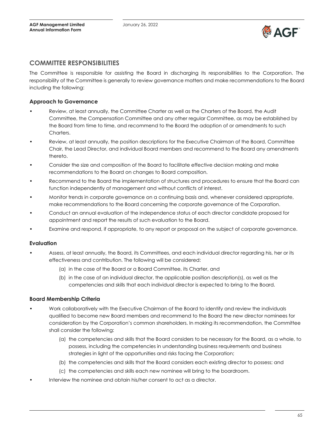

### **COMMITTEE RESPONSIBILITIES**

The Committee is responsible for assisting the Board in discharging its responsibilities to the Corporation. The responsibility of the Committee is generally to review governance matters and make recommendations to the Board including the following:

#### **Approach to Governance**

- Review, at least annually, the Committee Charter as well as the Charters of the Board, the Audit Committee, the Compensation Committee and any other regular Committee, as may be established by the Board from time to time, and recommend to the Board the adoption of or amendments to such Charters.
- Review, at least annually, the position descriptions for the Executive Chairman of the Board, Committee Chair, the Lead Director, and individual Board members and recommend to the Board any amendments thereto.
- Consider the size and composition of the Board to facilitate effective decision making and make recommendations to the Board on changes to Board composition.
- Recommend to the Board the implementation of structures and procedures to ensure that the Board can function independently of management and without conflicts of interest.
- Monitor trends in corporate governance on a continuing basis and, whenever considered appropriate, make recommendations to the Board concerning the corporate governance of the Corporation.
- Conduct an annual evaluation of the independence status of each director candidate proposed for appointment and report the results of such evaluation to the Board.
- Examine and respond, if appropriate, to any report or proposal on the subject of corporate governance.

#### **Evaluation**

- Assess, at least annually, the Board, its Committees, and each individual director regarding his, her or its effectiveness and contribution. The following will be considered:
	- (a) in the case of the Board or a Board Committee, its Charter, and
	- (b) in the case of an individual director, the applicable position description(s), as well as the competencies and skills that each individual director is expected to bring to the Board.

#### **Board Membership Criteria**

- Work collaboratively with the Executive Chairman of the Board to identify and review the individuals qualified to become new Board members and recommend to the Board the new director nominees for consideration by the Corporation's common shareholders. In making its recommendation, the Committee shall consider the following:
	- (a) the competencies and skills that the Board considers to be necessary for the Board, as a whole, to possess, including the competencies in understanding business requirements and business strategies in light of the opportunities and risks facing the Corporation;
	- (b) the competencies and skills that the Board considers each existing director to possess; and
	- (c) the competencies and skills each new nominee will bring to the boardroom.
- Interview the nominee and obtain his/her consent to act as a director.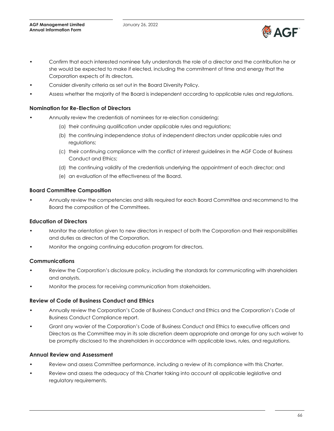

- Confirm that each interested nominee fully understands the role of a director and the contribution he or she would be expected to make if elected, including the commitment of time and energy that the Corporation expects of its directors.
- Consider diversity criteria as set out in the Board Diversity Policy.
- Assess whether the majority of the Board is independent according to applicable rules and regulations.

#### **Nomination for Re-Election of Directors**

- Annually review the credentials of nominees for re-election considering:
	- (a) their continuing qualification under applicable rules and regulations;
	- (b) the continuing independence status of independent directors under applicable rules and regulations;
	- (c) their continuing compliance with the conflict of interest guidelines in the AGF Code of Business Conduct and Ethics;
	- (d) the continuing validity of the credentials underlying the appointment of each director; and
	- (e) an evaluation of the effectiveness of the Board.

#### **Board Committee Composition**

• Annually review the competencies and skills required for each Board Committee and recommend to the Board the composition of the Committees.

#### **Education of Directors**

- Monitor the orientation given to new directors in respect of both the Corporation and their responsibilities and duties as directors of the Corporation.
- Monitor the ongoing continuing education program for directors.

#### **Communications**

- Review the Corporation's disclosure policy, including the standards for communicating with shareholders and analysts.
- Monitor the process for receiving communication from stakeholders.

#### **Review of Code of Business Conduct and Ethics**

- Annually review the Corporation's Code of Business Conduct and Ethics and the Corporation's Code of Business Conduct Compliance report.
- Grant any wavier of the Corporation's Code of Business Conduct and Ethics to executive officers and Directors as the Committee may in its sole discretion deem appropriate and arrange for any such waiver to be promptly disclosed to the shareholders in accordance with applicable laws, rules, and regulations.

#### **Annual Review and Assessment**

- Review and assess Committee performance, including a review of its compliance with this Charter.
- Review and assess the adequacy of this Charter taking into account all applicable legislative and regulatory requirements.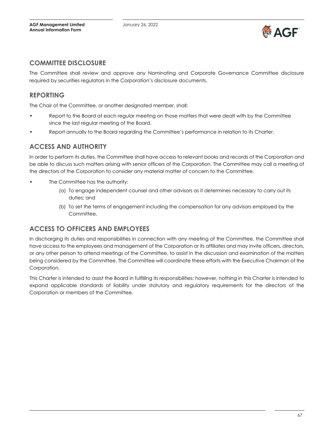

### **COMMITTEE DISCLOSURE**

The Committee shall review and approve any Nominating and Corporate Governance Committee disclosure required by securities regulators in the Corporation's disclosure documents.

# **REPORTING**

The Chair of the Committee, or another designated member, shall:

- Report to the Board at each regular meeting on those matters that were dealt with by the Committee since the last regular meeting of the Board.
- Report annually to the Board regarding the Committee's performance in relation to its Charter.

### **ACCESS AND AUTHORITY**

In order to perform its duties, the Committee shall have access to relevant books and records of the Corporation and be able to discuss such matters arising with senior officers of the Corporation. The Committee may call a meeting of the directors of the Corporation to consider any material matter of concern to the Committee.

- The Committee has the authority:
	- (a) To engage independent counsel and other advisors as it determines necessary to carry out its duties; and
	- (b) To set the terms of engagement including the compensation for any advisors employed by the Committee.

# **ACCESS TO OFFICERS AND EMPLOYEES**

In discharging its duties and responsibilities in connection with any meeting of the Committee, the Committee shall have access to the employees and management of the Corporation or its affiliates and may invite officers, directors, or any other person to attend meetings of the Committee, to assist in the discussion and examination of the matters being considered by the Committee. The Committee will coordinate these efforts with the Executive Chairman of the Corporation.

This Charter is intended to assist the Board in fulfilling its responsibilities; however, nothing in this Charter is intended to expand applicable standards of liability under statutory and regulatory requirements for the directors of the Corporation or members of the Committee.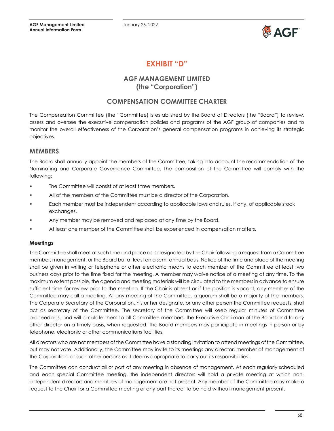

# **EXHIBIT "D"**

# **AGF MANAGEMENT LIMITED (the "Corporation")**

# **COMPENSATION COMMITTEE CHARTER**

<span id="page-67-0"></span>The Compensation Committee (the "Committee) is established by the Board of Directors (the "Board") to review, assess and oversee the executive compensation policies and programs of the AGF group of companies and to monitor the overall effectiveness of the Corporation's general compensation programs in achieving its strategic objectives.

### **MEMBERS**

The Board shall annually appoint the members of the Committee, taking into account the recommendation of the Nominating and Corporate Governance Committee. The composition of the Committee will comply with the following:

- The Committee will consist of at least three members.
- All of the members of the Committee must be a director of the Corporation.
- Each member must be independent according to applicable laws and rules, if any, of applicable stock exchanges.
- Any member may be removed and replaced at any time by the Board.
- At least one member of the Committee shall be experienced in compensation matters.

#### **Meetings**

The Committee shall meet at such time and place as is designated by the Chair following a request from a Committee member, management, or the Board but at least on a semi-annual basis. Notice of the time and place of the meeting shall be given in writing or telephone or other electronic means to each member of the Committee at least two business days prior to the time fixed for the meeting. A member may waive notice of a meeting at any time. To the maximum extent possible, the agenda and meeting materials will be circulated to the members in advance to ensure sufficient time for review prior to the meeting. If the Chair is absent or if the position is vacant, any member of the Committee may call a meeting. At any meeting of the Committee, a quorum shall be a majority of the members. The Corporate Secretary of the Corporation, his or her designate, or any other person the Committee requests, shall act as secretary of the Committee. The secretary of the Committee will keep regular minutes of Committee proceedings, and will circulate them to all Committee members, the Executive Chairman of the Board and to any other director on a timely basis, when requested. The Board members may participate in meetings in person or by telephone, electronic or other communications facilities.

All directors who are not members of the Committee have a standing invitation to attend meetings of the Committee, but may not vote. Additionally, the Committee may invite to its meetings any director, member of management of the Corporation, or such other persons as it deems appropriate to carry out its responsibilities.

The Committee can conduct all or part of any meeting in absence of management. At each regularly scheduled and each special Committee meeting, the independent directors will hold a private meeting at which nonindependent directors and members of management are not present. Any member of the Committee may make a request to the Chair for a Committee meeting or any part thereof to be held without management present.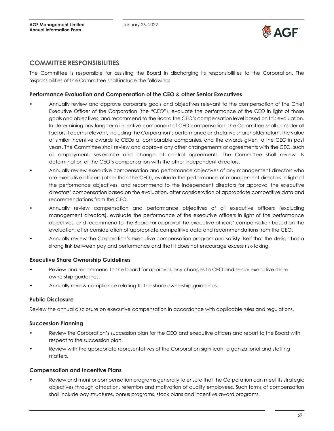

### **COMMITTEE RESPONSIBILITIES**

The Committee is responsible for assisting the Board in discharging its responsibilities to the Corporation. The responsibilities of the Committee shall include the following;

#### **Performance Evaluation and Compensation of the CEO & other Senior Executives**

- Annually review and approve corporate goals and objectives relevant to the compensation of the Chief Executive Officer of the Corporation (the "CEO"), evaluate the performance of the CEO in light of those goals and objectives, and recommend to the Board the CEO's compensation level based on this evaluation. In determining any long-term incentive component of CEO compensation, the Committee shall consider all factors it deems relevant, including the Corporation's performance and relative shareholder return, the value of similar incentive awards to CEOs at comparable companies, and the awards given to the CEO in past years. The Committee shall review and approve any other arrangements or agreements with the CEO, such as employment, severance and change of control agreements. The Committee shall review its determination of the CEO's compensation with the other independent directors.
- Annually review executive compensation and performance objectives of any management directors who are executive officers (other than the CEO), evaluate the performance of management directors in light of the performance objectives, and recommend to the independent directors for approval the executive directors' compensation based on the evaluation, after consideration of appropriate competitive data and recommendations from the CEO.
- Annually review compensation and performance objectives of all executive officers (excluding management directors), evaluate the performance of the executive officers in light of the performance objectives, and recommend to the Board for approval the executive officers' compensation based on the evaluation, after consideration of appropriate competitive data and recommendations from the CEO.
- Annually review the Corporation's executive compensation program and satisfy itself that the design has a strong link between pay and performance and that it does not encourage excess risk-taking.

#### **Executive Share Ownership Guidelines**

- Review and recommend to the board for approval, any changes to CEO and senior executive share ownership guidelines.
- Annually review compliance relating to the share ownership guidelines.

#### **Public Disclosure**

Review the annual disclosure on executive compensation in accordance with applicable rules and regulations.

#### **Succession Planning**

- Review the Corporation's succession plan for the CEO and executive officers and report to the Board with respect to the succession plan.
- Review with the appropriate representatives of the Corporation significant organizational and staffing matters.

#### **Compensation and Incentive Plans**

Review and monitor compensation programs generally to ensure that the Corporation can meet its strategic objectives through attraction, retention and motivation of quality employees. Such forms of compensation shall include pay structures, bonus programs, stock plans and incentive award programs.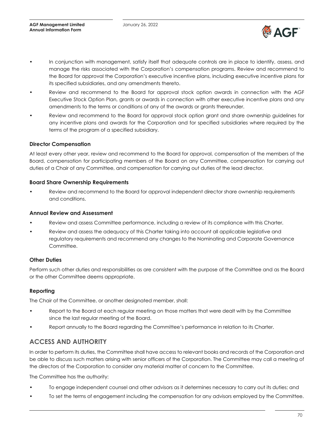

- In conjunction with management, satisfy itself that adequate controls are in place to identify, assess, and manage the risks associated with the Corporation's compensation programs. Review and recommend to the Board for approval the Corporation's executive incentive plans, including executive incentive plans for its specified subsidiaries, and any amendments thereto.
- Review and recommend to the Board for approval stock option awards in connection with the AGF Executive Stock Option Plan, grants or awards in connection with other executive incentive plans and any amendments to the terms or conditions of any of the awards or grants thereunder.
- Review and recommend to the Board for approval stock option grant and share ownership guidelines for any incentive plans and awards for the Corporation and for specified subsidiaries where required by the terms of the program of a specified subsidiary.

#### **Director Compensation**

At least every other year, review and recommend to the Board for approval, compensation of the members of the Board, compensation for participating members of the Board on any Committee, compensation for carrying out duties of a Chair of any Committee, and compensation for carrying out duties of the lead director.

#### **Board Share Ownership Requirements**

Review and recommend to the Board for approval independent director share ownership requirements and conditions.

#### **Annual Review and Assessment**

- Review and assess Committee performance, including a review of its compliance with this Charter.
- Review and assess the adequacy of this Charter taking into account all applicable legislative and regulatory requirements and recommend any changes to the Nominating and Corporate Governance Committee.

#### **Other Duties**

Perform such other duties and responsibilities as are consistent with the purpose of the Committee and as the Board or the other Committee deems appropriate.

#### **Reporting**

The Chair of the Committee, or another designated member, shall:

- Report to the Board at each regular meeting on those matters that were dealt with by the Committee since the last regular meeting of the Board.
- Report annually to the Board regarding the Committee's performance in relation to its Charter.

# **ACCESS AND AUTHORITY**

In order to perform its duties, the Committee shall have access to relevant books and records of the Corporation and be able to discuss such matters arising with senior officers of the Corporation. The Committee may call a meeting of the directors of the Corporation to consider any material matter of concern to the Committee.

The Committee has the authority:

- To engage independent counsel and other advisors as it determines necessary to carry out its duties; and
- To set the terms of engagement including the compensation for any advisors employed by the Committee.